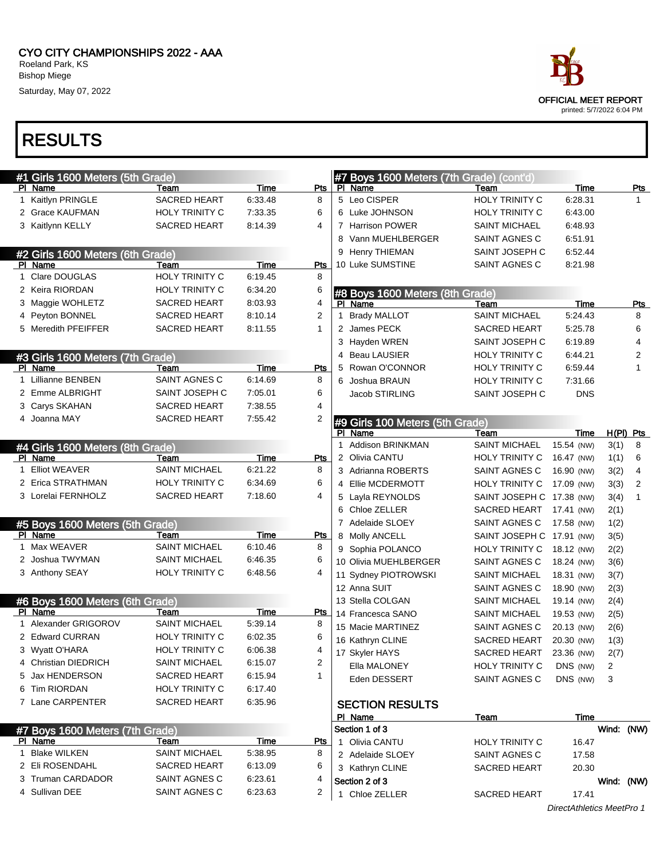| race                                                     |
|----------------------------------------------------------|
| <b>OFFICIAL MEET REPORT</b><br>printed: 5/7/2022 6:04 PM |

| #1 Girls 1600 Meters (5th Grade) |                       |         |            |              | #7 Boys 1600 Meters (7th Grade) (cont'd) |                           |                           |            |                |
|----------------------------------|-----------------------|---------|------------|--------------|------------------------------------------|---------------------------|---------------------------|------------|----------------|
| PI Name                          | Team                  | Time    | Pts        |              | PI Name                                  | Team                      | Time                      |            | Pts            |
| 1 Kaitlyn PRINGLE                | SACRED HEART          | 6:33.48 | 8          |              | 5 Leo CISPER                             | <b>HOLY TRINITY C</b>     | 6:28.31                   |            | 1.             |
| 2 Grace KAUFMAN                  | HOLY TRINITY C        | 7:33.35 | 6          |              | 6 Luke JOHNSON                           | HOLY TRINITY C            | 6:43.00                   |            |                |
| 3 Kaitlynn KELLY                 | <b>SACRED HEART</b>   | 8:14.39 | 4          |              | 7 Harrison POWER                         | <b>SAINT MICHAEL</b>      | 6:48.93                   |            |                |
|                                  |                       |         |            |              | 8 Vann MUEHLBERGER                       | SAINT AGNES C             | 6:51.91                   |            |                |
| #2 Girls 1600 Meters (6th Grade) |                       |         |            |              | 9 Henry THIEMAN                          | SAINT JOSEPH C            | 6:52.44                   |            |                |
| PI Name                          | Team                  | Time    | Pts        |              | 10 Luke SUMSTINE                         | SAINT AGNES C             | 8:21.98                   |            |                |
| 1 Clare DOUGLAS                  | <b>HOLY TRINITY C</b> | 6:19.45 | 8          |              |                                          |                           |                           |            |                |
| 2 Keira RIORDAN                  | HOLY TRINITY C        | 6:34.20 | 6          |              | #8 Boys 1600 Meters (8th Grade)          |                           |                           |            |                |
| 3 Maggie WOHLETZ                 | <b>SACRED HEART</b>   | 8:03.93 | 4          |              | PI Name                                  | Team                      | Time                      |            | <b>Pts</b>     |
| 4 Peyton BONNEL                  | <b>SACRED HEART</b>   | 8:10.14 | 2          | $\mathbf{1}$ | <b>Brady MALLOT</b>                      | <b>SAINT MICHAEL</b>      | 5:24.43                   |            | 8              |
| 5 Meredith PFEIFFER              | <b>SACRED HEART</b>   | 8:11.55 | 1          |              | 2 James PECK                             | <b>SACRED HEART</b>       | 5:25.78                   |            | 6              |
|                                  |                       |         |            |              | 3 Hayden WREN                            | SAINT JOSEPH C            | 6:19.89                   |            | 4              |
| #3 Girls 1600 Meters (7th Grade) |                       |         |            |              | 4 Beau LAUSIER                           | HOLY TRINITY C            | 6:44.21                   |            | 2              |
| PI Name                          | Team                  | Time    | Pts        | 5            | Rowan O'CONNOR                           | HOLY TRINITY C            | 6:59.44                   |            | 1              |
| 1 Lillianne BENBEN               | SAINT AGNES C         | 6:14.69 | 8          |              | 6 Joshua BRAUN                           | HOLY TRINITY C            | 7:31.66                   |            |                |
| 2 Emme ALBRIGHT                  | SAINT JOSEPH C        | 7:05.01 | 6          |              | Jacob STIRLING                           | SAINT JOSEPH C            | <b>DNS</b>                |            |                |
| 3 Carys SKAHAN                   | <b>SACRED HEART</b>   | 7:38.55 | 4          |              |                                          |                           |                           |            |                |
| 4 Joanna MAY                     | <b>SACRED HEART</b>   | 7:55.42 | 2          |              | #9 Girls 100 Meters (5th Grade)          |                           |                           |            |                |
|                                  |                       |         |            |              | PI Name                                  | Team                      | Time                      |            | $H(PI)$ Pts    |
| #4 Girls 1600 Meters (8th Grade) |                       |         |            | 1            | <b>Addison BRINKMAN</b>                  | <b>SAINT MICHAEL</b>      | 15.54 (NW)                | 3(1)       | 8              |
| PI Name                          | Team                  | Time    | Pts        |              | 2 Olivia CANTU                           | HOLY TRINITY C            | 16.47 (NW)                | 1(1)       | 6              |
| 1 Elliot WEAVER                  | <b>SAINT MICHAEL</b>  | 6:21.22 | 8          |              | 3 Adrianna ROBERTS                       | SAINT AGNES C             | 16.90 (NW)                | 3(2)       | $\overline{4}$ |
| 2 Erica STRATHMAN                | <b>HOLY TRINITY C</b> | 6:34.69 | 6          |              | 4 Ellie MCDERMOTT                        | HOLY TRINITY C            | 17.09 (NW)                | 3(3)       | 2              |
| 3 Lorelai FERNHOLZ               | SACRED HEART          | 7:18.60 | 4          |              | 5 Layla REYNOLDS                         | SAINT JOSEPH C 17.38 (NW) |                           | 3(4)       | 1              |
|                                  |                       |         |            | 6            | Chloe ZELLER                             | <b>SACRED HEART</b>       | 17.41 (NW)                | 2(1)       |                |
| #5 Boys 1600 Meters (5th Grade)  |                       |         |            |              | 7 Adelaide SLOEY                         | SAINT AGNES C             | 17.58 (NW)                | 1(2)       |                |
| PI Name                          | Team                  | Time    | <b>Pts</b> |              | 8 Molly ANCELL                           | SAINT JOSEPH C 17.91 (NW) |                           | 3(5)       |                |
| 1 Max WEAVER                     | <b>SAINT MICHAEL</b>  | 6:10.46 | 8          |              | 9 Sophia POLANCO                         | HOLY TRINITY C            | 18.12 (NW)                | 2(2)       |                |
| 2 Joshua TWYMAN                  | <b>SAINT MICHAEL</b>  | 6:46.35 | 6          |              | 10 Olivia MUEHLBERGER                    | SAINT AGNES C             | 18.24 (NW)                | 3(6)       |                |
| 3 Anthony SEAY                   | <b>HOLY TRINITY C</b> | 6:48.56 | 4          |              | 11 Sydney PIOTROWSKI                     | <b>SAINT MICHAEL</b>      | 18.31 (NW)                | 3(7)       |                |
|                                  |                       |         |            |              | 12 Anna SUIT                             | SAINT AGNES C             | 18.90 (NW)                | 2(3)       |                |
| #6 Boys 1600 Meters (6th Grade)  |                       |         |            |              | 13 Stella COLGAN                         | <b>SAINT MICHAEL</b>      | 19.14 (NW)                | 2(4)       |                |
| PI Name                          | Team                  | Time    | <b>Pts</b> |              | 14 Francesca SANO                        | <b>SAINT MICHAEL</b>      | 19.53 (NW)                | 2(5)       |                |
| 1 Alexander GRIGOROV             | <b>SAINT MICHAEL</b>  | 5:39.14 | 8          |              | 15 Macie MARTINEZ                        | SAINT AGNES C             | 20.13 (NW)                | 2(6)       |                |
| 2 Edward CURRAN                  | HOLY TRINITY C        | 6:02.35 | 6          |              | 16 Kathryn CLINE                         | SACRED HEART              | 20.30 (NW)                | 1(3)       |                |
| 3 Wyatt O'HARA                   | HOLY TRINITY C        | 6:06.38 | 4          |              | 17 Skyler HAYS                           | SACRED HEART 23.36 (NW)   |                           | 2(7)       |                |
| 4 Christian DIEDRICH             | <b>SAINT MICHAEL</b>  | 6:15.07 | 2          |              | Ella MALONEY                             | HOLY TRINITY C            | DNS (NW)                  | 2          |                |
| 5 Jax HENDERSON                  | SACRED HEART          | 6:15.94 | 1          |              | Eden DESSERT                             | SAINT AGNES C             | DNS (NW)                  | 3          |                |
| 6 Tim RIORDAN                    | <b>HOLY TRINITY C</b> | 6:17.40 |            |              |                                          |                           |                           |            |                |
| 7 Lane CARPENTER                 | <b>SACRED HEART</b>   | 6:35.96 |            |              | <b>SECTION RESULTS</b>                   |                           |                           |            |                |
|                                  |                       |         |            |              | PI Name                                  | <b>Team</b>               | Time                      |            |                |
| #7 Boys 1600 Meters (7th Grade)  |                       |         |            |              | Section 1 of 3                           |                           |                           | Wind: (NW) |                |
| PI Name                          | Team                  | Time    | <u>Pts</u> |              | 1 Olivia CANTU                           | HOLY TRINITY C            | 16.47                     |            |                |
| 1 Blake WILKEN                   | <b>SAINT MICHAEL</b>  | 5:38.95 | 8          |              | 2 Adelaide SLOEY                         | SAINT AGNES C             | 17.58                     |            |                |
| 2 Eli ROSENDAHL                  | <b>SACRED HEART</b>   | 6:13.09 | 6          |              | 3 Kathryn CLINE                          | <b>SACRED HEART</b>       | 20.30                     |            |                |
| 3 Truman CARDADOR                | SAINT AGNES C         | 6:23.61 | 4          |              | Section 2 of 3                           |                           |                           | Wind: (NW) |                |
| 4 Sullivan DEE                   | SAINT AGNES C         | 6:23.63 | 2          |              | 1 Chloe ZELLER                           | <b>SACRED HEART</b>       | 17.41                     |            |                |
|                                  |                       |         |            |              |                                          |                           | DirectAthletics MeetPro 1 |            |                |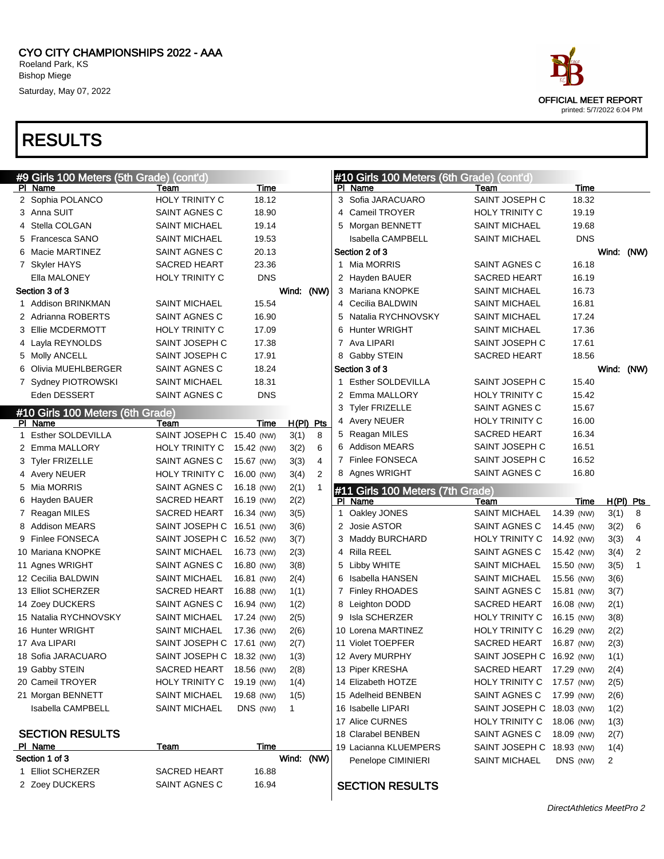

| #9 Girls 100 Meters (5th Grade) (cont'd) |                           |            |             |                | #10 Girls 100 Meters (6th Grade) (cont'd) |                           |            |                |             |
|------------------------------------------|---------------------------|------------|-------------|----------------|-------------------------------------------|---------------------------|------------|----------------|-------------|
| PI Name                                  | Team                      | Time       |             |                | PI Name                                   | <b>Team</b>               | Time       |                |             |
| 2 Sophia POLANCO                         | HOLY TRINITY C            | 18.12      |             |                | 3 Sofia JARACUARO                         | SAINT JOSEPH C            | 18.32      |                |             |
| 3 Anna SUIT                              | SAINT AGNES C             | 18.90      |             |                | 4 Cameil TROYER                           | <b>HOLY TRINITY C</b>     | 19.19      |                |             |
| 4 Stella COLGAN                          | <b>SAINT MICHAEL</b>      | 19.14      |             |                | 5 Morgan BENNETT                          | SAINT MICHAEL             | 19.68      |                |             |
| 5 Francesca SANO                         | <b>SAINT MICHAEL</b>      | 19.53      |             |                | <b>Isabella CAMPBELL</b>                  | SAINT MICHAEL             | <b>DNS</b> |                |             |
| 6 Macie MARTINEZ                         | SAINT AGNES C             | 20.13      |             |                | Section 2 of 3                            |                           |            | Wind:          | (NW)        |
| 7 Skyler HAYS                            | <b>SACRED HEART</b>       | 23.36      |             |                | 1 Mia MORRIS                              | SAINT AGNES C             | 16.18      |                |             |
| Ella MALONEY                             | <b>HOLY TRINITY C</b>     | <b>DNS</b> |             |                | 2 Hayden BAUER                            | <b>SACRED HEART</b>       | 16.19      |                |             |
| Section 3 of 3                           |                           |            | Wind: (NW)  |                | 3 Mariana KNOPKE                          | <b>SAINT MICHAEL</b>      | 16.73      |                |             |
| 1 Addison BRINKMAN                       | <b>SAINT MICHAEL</b>      | 15.54      |             |                | 4 Cecilia BALDWIN                         | SAINT MICHAEL             | 16.81      |                |             |
| 2 Adrianna ROBERTS                       | SAINT AGNES C             | 16.90      |             |                | 5 Natalia RYCHNOVSKY                      | SAINT MICHAEL             | 17.24      |                |             |
| 3 Ellie MCDERMOTT                        | HOLY TRINITY C            | 17.09      |             |                | 6 Hunter WRIGHT                           | SAINT MICHAEL             | 17.36      |                |             |
| 4 Layla REYNOLDS                         | SAINT JOSEPH C            | 17.38      |             |                | 7 Ava LIPARI                              | SAINT JOSEPH C            | 17.61      |                |             |
| 5 Molly ANCELL                           | SAINT JOSEPH C            | 17.91      |             |                | 8 Gabby STEIN                             | SACRED HEART              | 18.56      |                |             |
| 6 Olivia MUEHLBERGER                     | SAINT AGNES C             | 18.24      |             |                | Section 3 of 3                            |                           |            |                | Wind: (NW)  |
| 7 Sydney PIOTROWSKI                      | <b>SAINT MICHAEL</b>      | 18.31      |             |                | 1 Esther SOLDEVILLA                       | SAINT JOSEPH C            | 15.40      |                |             |
| Eden DESSERT                             | SAINT AGNES C             | <b>DNS</b> |             |                | 2 Emma MALLORY                            | <b>HOLY TRINITY C</b>     | 15.42      |                |             |
| #10 Girls 100 Meters (6th Grade)         |                           |            |             |                | 3 Tyler FRIZELLE                          | SAINT AGNES C             | 15.67      |                |             |
| PI Name                                  | Team                      | Time       | $H(PI)$ Pts |                | 4 Avery NEUER                             | HOLY TRINITY C            | 16.00      |                |             |
| 1 Esther SOLDEVILLA                      | SAINT JOSEPH C 15.40 (NW) |            | 3(1)        | 8              | 5 Reagan MILES                            | SACRED HEART              | 16.34      |                |             |
| 2 Emma MALLORY                           | HOLY TRINITY C            | 15.42 (NW) | 3(2)        | 6              | 6 Addison MEARS                           | SAINT JOSEPH C            | 16.51      |                |             |
| 3 Tyler FRIZELLE                         | SAINT AGNES C             | 15.67 (NW) | 3(3)        | 4              | 7 Finlee FONSECA                          | SAINT JOSEPH C            | 16.52      |                |             |
| 4 Avery NEUER                            | HOLY TRINITY C            | 16.00 (NW) | 3(4)        | $\overline{2}$ | 8 Agnes WRIGHT                            | SAINT AGNES C             | 16.80      |                |             |
| 5 Mia MORRIS                             | SAINT AGNES C             | 16.18 (NW) | 2(1)        |                | #11 Girls 100 Meters (7th Grade)          |                           |            |                |             |
| 6 Hayden BAUER                           | <b>SACRED HEART</b>       | 16.19 (NW) | 2(2)        |                | PI Name                                   | Team                      | Time       |                | $H(PI)$ Pts |
| 7 Reagan MILES                           | SACRED HEART              | 16.34 (NW) | 3(5)        |                | 1 Oakley JONES                            | <b>SAINT MICHAEL</b>      | 14.39 (NW) | 3(1)           | 8           |
| 8 Addison MEARS                          | SAINT JOSEPH C 16.51 (NW) |            | 3(6)        |                | 2 Josie ASTOR                             | SAINT AGNES C             | 14.45 (NW) | 3(2)           | 6           |
| 9 Finlee FONSECA                         | SAINT JOSEPH C 16.52 (NW) |            | 3(7)        |                | 3 Maddy BURCHARD                          | HOLY TRINITY C            | 14.92 (NW) | 3(3)           | 4           |
| 10 Mariana KNOPKE                        | <b>SAINT MICHAEL</b>      | 16.73 (NW) | 2(3)        |                | 4 Rilla REEL                              | SAINT AGNES C             | 15.42 (NW) | 3(4)           | 2           |
| 11 Agnes WRIGHT                          | SAINT AGNES C             | 16.80 (NW) | 3(8)        |                | 5 Libby WHITE                             | SAINT MICHAEL             | 15.50 (NW) | 3(5)           | 1           |
| 12 Cecilia BALDWIN                       | <b>SAINT MICHAEL</b>      | 16.81 (NW) | 2(4)        |                | 6 Isabella HANSEN                         | SAINT MICHAEL             | 15.56 (NW) | 3(6)           |             |
| 13 Elliot SCHERZER                       | <b>SACRED HEART</b>       | 16.88 (NW) | 1(1)        |                | 7 Finley RHOADES                          | SAINT AGNES C             | 15.81 (NW) | 3(7)           |             |
| 14 Zoey DUCKERS                          | SAINT AGNES C             | 16.94 (NW) | 1(2)        |                | 8 Leighton DODD                           | <b>SACRED HEART</b>       | 16.08 (NW) | 2(1)           |             |
| 15 Natalia RYCHNOVSKY                    | <b>SAINT MICHAEL</b>      | 17.24 (NW) | 2(5)        |                | 9 Isla SCHERZER                           | HOLY TRINITY C            | 16.15 (NW) | 3(8)           |             |
| 16 Hunter WRIGHT                         | <b>SAINT MICHAEL</b>      | 17.36 (NW) | 2(6)        |                | 10 Lorena MARTINEZ                        | HOLY TRINITY C            | 16.29 (NW) | 2(2)           |             |
| 17 Ava LIPARI                            | SAINT JOSEPH C 17.61 (NW) |            | 2(7)        |                | 11 Violet TOEPFER                         | <b>SACRED HEART</b>       | 16.87 (NW) | 2(3)           |             |
| 18 Sofia JARACUARO                       | SAINT JOSEPH C 18.32 (NW) |            | 1(3)        |                | 12 Avery MURPHY                           | SAINT JOSEPH C 16.92 (NW) |            | 1(1)           |             |
| 19 Gabby STEIN                           | SACRED HEART              | 18.56 (NW) | 2(8)        |                | 13 Piper KRESHA                           | <b>SACRED HEART</b>       | 17.29 (NW) | 2(4)           |             |
| 20 Cameil TROYER                         | HOLY TRINITY C            | 19.19 (NW) | 1(4)        |                | 14 Elizabeth HOTZE                        | <b>HOLY TRINITY C</b>     | 17.57 (NW) | 2(5)           |             |
| 21 Morgan BENNETT                        | <b>SAINT MICHAEL</b>      | 19.68 (NW) | 1(5)        |                | 15 Adelheid BENBEN                        | SAINT AGNES C             | 17.99 (NW) | 2(6)           |             |
| <b>Isabella CAMPBELL</b>                 | <b>SAINT MICHAEL</b>      | DNS (NW)   | 1           |                | 16 Isabelle LIPARI                        | SAINT JOSEPH C 18.03 (NW) |            | 1(2)           |             |
|                                          |                           |            |             |                | 17 Alice CURNES                           | HOLY TRINITY C            | 18.06 (NW) | 1(3)           |             |
| <b>SECTION RESULTS</b>                   |                           |            |             |                | 18 Clarabel BENBEN                        | SAINT AGNES C             | 18.09 (NW) | 2(7)           |             |
| PI Name                                  | <u>Team</u>               | Time       |             |                | 19 Lacianna KLUEMPERS                     | SAINT JOSEPH C 18.93 (NW) |            | 1(4)           |             |
|                                          |                           |            |             |                |                                           |                           |            |                |             |
| Section 1 of 3                           |                           |            | Wind: (NW)  |                |                                           |                           |            |                |             |
| 1 Elliot SCHERZER                        | <b>SACRED HEART</b>       | 16.88      |             |                | Penelope CIMINIERI                        | <b>SAINT MICHAEL</b>      | DNS (NW)   | $\overline{2}$ |             |

#### SECTION RESULTS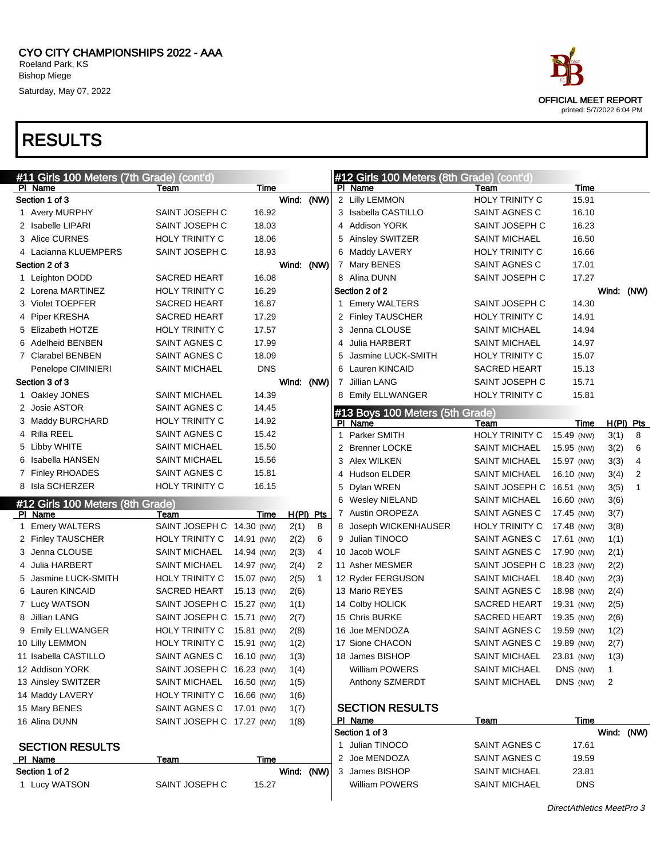

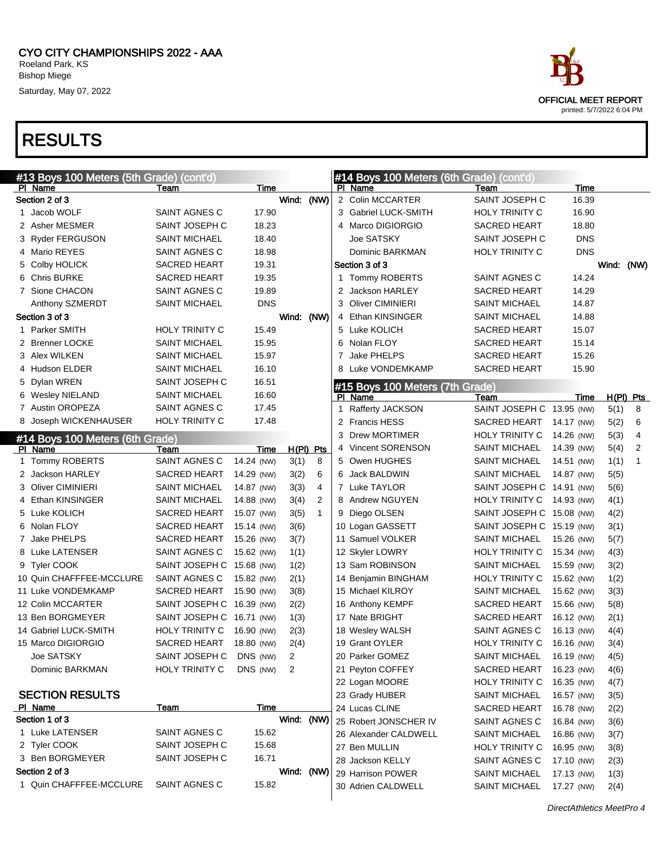

#### #13 Boys 100 Meters (5th Grade) (cont'd) PI Name Team Team Time Section 2 of 3 New York 1, 2012 1, 2014 1, 2014 1, 2014 1, 2014 1, 2014 1, 2014 1, 2014 1, 2014 1, 2014 1, 201 1 Jacob WOLF SAINT AGNES C 17.90 2 Asher MESMER
SAINT JOSEPH C
18.23 3 Ryder FERGUSON SAINT MICHAEL 18.40 4 Mario REYES SAINT AGNES C 18.98 5 Colby HOLICK SACRED HEART 19.31 6 Chris BURKE SACRED HEART 19.35 7 Sione CHACON SAINT AGNES C 19.89 Anthony SZMERDT SAINT MICHAEL DNS Section 3 of 3 Wind: (NW) 1 Parker SMITH **HOLY TRINITY C** 15.49 2 Brenner LOCKE SAINT MICHAEL 15.95 3 Alex WILKEN SAINT MICHAEL 15.97 4 Hudson ELDER SAINT MICHAEL 16.10 5 Dylan WREN SAINT JOSEPH C 16.51 6 Wesley NIELAND SAINT MICHAEL 16.60 7 Austin OROPEZA<br>
SAINT AGNES C 17.45 8 Joseph WICKENHAUSER HOLY TRINITY C 17.48 #14 Boys 100 Meters (6th Grade) PI Name Team Team Time H(PI) Pts 1 Tommy ROBERTS SAINT AGNES C 14.24 (NW) 3(1) 8 2 Jackson HARLEY SACRED HEART 14.29 (NW) 3(2) 6 3 Oliver CIMINIERI SAINT MICHAEL 14.87 (NW) 3(3) 4 4 Ethan KINSINGER SAINT MICHAEL 14.88 (NW) 3(4) 2 5 Luke KOLICH SACRED HEART 15.07 (NW) 3(5) 1 6 Nolan FLOY SACRED HEART 15.14 (NW) 3(6) 7 Jake PHELPS SACRED HEART 15.26 (NW) 3(7) 8 Luke LATENSER SAINT AGNES C 15.62 (NW) 1(1) 9 Tyler COOK SAINT JOSEPH C 15.68 (NW) 1(2) 10 Quin CHAFFFEE-MCCLURE SAINT AGNES C 15.82 (NW) 2(1) 11 Luke VONDEMKAMP SACRED HEART 15.90 (NW) 3(8) 12 Colin MCCARTER SAINT JOSEPH C 16.39 (NW) 2(2) 13 Ben BORGMEYER SAINT JOSEPH C 16.71 (NW) 1(3) 14 Gabriel LUCK-SMITH HOLY TRINITY C 16.90 (NW) 2(3) 15 Marco DIGIORGIO SACRED HEART 18.80 (NW) 2(4) Joe SATSKY SAINT JOSEPH C DNS (NW) 2 Dominic BARKMAN HOLY TRINITY C DNS (NW) 2 SECTION RESULTS PI Name Team Team Time Section 1 of 3 Wind: (NW) 1 Luke LATENSER SAINT AGNES C 15.62 2 Tyler COOK SAINT JOSEPH C 15.68 3 Ben BORGMEYER SAINT JOSEPH C 16.71 Section 2 of 3 Wind: (NW) 1 Quin CHAFFFEE-MCCLURE SAINT AGNES C 15.82 #14 Boys 100 Meters (6th Grade) (cont'd) PI Name Team Team Time 2 Colin MCCARTER SAINT JOSEPH C 16.39 3 Gabriel LUCK-SMITH HOLY TRINITY C 16.90 4 Marco DIGIORGIO SACRED HEART 18.80 Joe SATSKY SAINT JOSEPH C DNS Dominic BARKMAN HOLY TRINITY C DNS Section 3 of 3 Wind: (NW) 1 Tommy ROBERTS SAINT AGNES C 14.24 2 Jackson HARLEY SACRED HEART 14.29 3 Oliver CIMINIERI SAINT MICHAEL 14.87 4 Ethan KINSINGER SAINT MICHAEL 14.88 5 Luke KOLICH SACRED HEART 15.07 6 Nolan FLOY SACRED HEART 15.14 7 Jake PHELPS SACRED HEART 15.26 8 Luke VONDEMKAMP SACRED HEART 15.90 #15 Boys 100 Meters (7th Grade) PI Name Team Team Team Time H(PI) Pts 1 Rafferty JACKSON SAINT JOSEPH C 13.95 (NW) 5(1) 8 2 Francis HESS SACRED HEART 14.17 (NW) 5(2) 6 3 Drew MORTIMER HOLY TRINITY C 14.26 (NW) 5(3) 4 4 Vincent SORENSON SAINT MICHAEL 14.39 (NW) 5(4) 2 5 Owen HUGHES SAINT MICHAEL 14.51 (NW) 1(1) 1 6 Jack BALDWIN SAINT MICHAEL 14.87 (NW) 5(5) 7 Luke TAYLOR SAINT JOSEPH C 14.91 (NW) 5(6) 8 Andrew NGUYEN HOLY TRINITY C 14.93 (NW) 4(1) 9 Diego OLSEN SAINT JOSEPH C 15.08 (NW) 4(2) 10 Logan GASSETT SAINT JOSEPH C 15.19 (NW) 3(1) 11 Samuel VOLKER SAINT MICHAEL 15.26 (NW) 5(7) 12 Skyler LOWRY HOLY TRINITY C 15.34 (NW) 4(3) 13 Sam ROBINSON SAINT MICHAEL 15.59 (NW) 3(2) 14 Benjamin BINGHAM HOLY TRINITY C 15.62 (NW) 1(2) 15 Michael KILROY SAINT MICHAEL 15.62 (NW) 3(3) 16 Anthony KEMPF SACRED HEART 15.66 (NW) 5(8) 17 Nate BRIGHT SACRED HEART 16.12 (NW) 2(1) 18 Wesley WALSH SAINT AGNES C 16.13 (NW) 4(4) 19 Grant OYLER HOLY TRINITY C 16.16 (NW) 3(4) 20 Parker GOMEZ SAINT MICHAEL 16.19 (NW) 4(5) 21 Peyton COFFEY SACRED HEART 16.23 (NW) 4(6) 22 Logan MOORE HOLY TRINITY C 16.35 (NW) 4(7) 23 Grady HUBER SAINT MICHAEL 16.57 (NW) 3(5) 24 Lucas CLINE SACRED HEART 16.78 (NW) 2(2) 25 Robert JONSCHER IV SAINT AGNES C 16.84 (NW) 3(6) 26 Alexander CALDWELL SAINT MICHAEL 16.86 (NW) 3(7) 27 Ben MULLIN HOLY TRINITY C 16.95 (NW) 3(8) 28 Jackson KELLY SAINT AGNES C 17.10 (NW) 2(3) 29 Harrison POWER SAINT MICHAEL 17.13 (NW) 1(3) 30 Adrien CALDWELL SAINT MICHAEL 17.27 (NW) 2(4)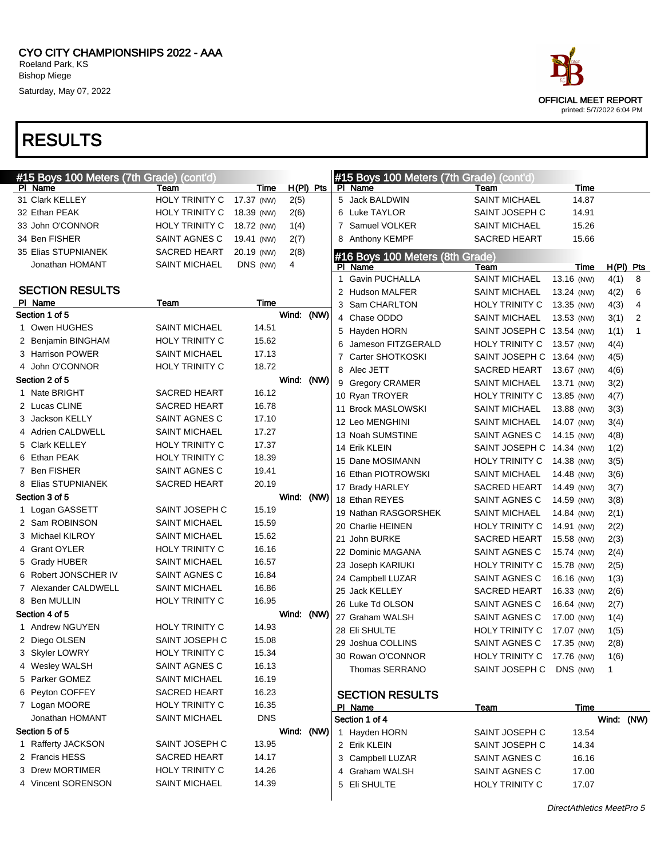| #15 Boys 100 Meters (7th Grade) (cont'd) |                       |            |            |           | #15 Boys 100 Meters (7th Grade) (cont'd) |                                |                          |              |   |
|------------------------------------------|-----------------------|------------|------------|-----------|------------------------------------------|--------------------------------|--------------------------|--------------|---|
| PI Name                                  | Team                  | Time       |            | H(PI) Pts | PI Name                                  | Team                           | Time                     |              |   |
| 31 Clark KELLEY                          | HOLY TRINITY C        | 17.37 (NW) | 2(5)       |           | 5 Jack BALDWIN                           | <b>SAINT MICHAEL</b>           | 14.87                    |              |   |
| 32 Ethan PEAK                            | HOLY TRINITY C        | 18.39 (NW) | 2(6)       |           | 6 Luke TAYLOR                            | SAINT JOSEPH C                 | 14.91                    |              |   |
| 33 John O'CONNOR                         | HOLY TRINITY C        | 18.72 (NW) | 1(4)       |           | 7 Samuel VOLKER                          | <b>SAINT MICHAEL</b>           | 15.26                    |              |   |
| 34 Ben FISHER                            | SAINT AGNES C         | 19.41 (NW) | 2(7)       |           | 8 Anthony KEMPF                          | <b>SACRED HEART</b>            | 15.66                    |              |   |
| 35 Elias STUPNIANEK                      | SACRED HEART          | 20.19 (NW) | 2(8)       |           | #16 Boys 100 Meters (8th Grade)          |                                |                          |              |   |
| Jonathan HOMANT                          | <b>SAINT MICHAEL</b>  | DNS (NW)   | 4          |           | PI Name                                  | Team                           | Time                     | $H(PI)$ Pts  |   |
| <b>SECTION RESULTS</b>                   |                       |            |            |           | <b>Gavin PUCHALLA</b>                    | <b>SAINT MICHAEL</b>           | 13.16 (NW)               | 4(1)         | 8 |
|                                          |                       | Time       |            |           | 2 Hudson MALFER                          | <b>SAINT MICHAEL</b>           | 13.24 (NW)               | 4(2)         | 6 |
| PI Name<br>Section 1 of 5                | Team                  |            | Wind:      | (NW)      | 3 Sam CHARLTON                           | HOLY TRINITY C                 | 13.35 (NW)               | 4(3)         | 4 |
| 1 Owen HUGHES                            | <b>SAINT MICHAEL</b>  | 14.51      |            |           | 4 Chase ODDO                             | <b>SAINT MICHAEL</b>           | 13.53 (NW)               | 3(1)         | 2 |
| 2 Benjamin BINGHAM                       | <b>HOLY TRINITY C</b> | 15.62      |            |           | 5 Hayden HORN                            | SAINT JOSEPH C 13.54 (NW)      |                          | 1(1)         | 1 |
| 3 Harrison POWER                         | <b>SAINT MICHAEL</b>  | 17.13      |            |           | Jameson FITZGERALD                       | HOLY TRINITY C                 | 13.57 (NW)               | 4(4)         |   |
| 4 John O'CONNOR                          | <b>HOLY TRINITY C</b> | 18.72      |            |           | 7 Carter SHOTKOSKI                       | SAINT JOSEPH C 13.64 (NW)      |                          | 4(5)         |   |
| Section 2 of 5                           |                       |            | Wind: (NW) |           | 8 Alec JETT                              | <b>SACRED HEART</b>            | 13.67 (NW)               | 4(6)         |   |
| 1 Nate BRIGHT                            | <b>SACRED HEART</b>   | 16.12      |            |           | 9 Gregory CRAMER                         | <b>SAINT MICHAEL</b>           | 13.71 (NW)               | 3(2)         |   |
| 2 Lucas CLINE                            | <b>SACRED HEART</b>   | 16.78      |            |           | 10 Ryan TROYER                           | <b>HOLY TRINITY C</b>          | 13.85 (NW)               | 4(7)         |   |
| 3 Jackson KELLY                          | SAINT AGNES C         | 17.10      |            |           | 11 Brock MASLOWSKI                       | <b>SAINT MICHAEL</b>           | 13.88 (NW)               | 3(3)         |   |
| 4 Adrien CALDWELL                        | <b>SAINT MICHAEL</b>  | 17.27      |            |           | 12 Leo MENGHINI                          | <b>SAINT MICHAEL</b>           | 14.07 (NW)               | 3(4)         |   |
| 5 Clark KELLEY                           | <b>HOLY TRINITY C</b> | 17.37      |            |           | 13 Noah SUMSTINE                         | SAINT AGNES C                  | 14.15 (NW)               | 4(8)         |   |
| 6 Ethan PEAK                             | <b>HOLY TRINITY C</b> | 18.39      |            |           | 14 Erik KLEIN                            | SAINT JOSEPH C 14.34 (NW)      |                          | 1(2)         |   |
| 7 Ben FISHER                             | SAINT AGNES C         | 19.41      |            |           | 15 Dane MOSIMANN                         | HOLY TRINITY C                 | 14.38 (NW)               | 3(5)         |   |
| 8 Elias STUPNIANEK                       | <b>SACRED HEART</b>   | 20.19      |            |           | 16 Ethan PIOTROWSKI                      | <b>SAINT MICHAEL</b>           | 14.48 (NW)               | 3(6)         |   |
| Section 3 of 5                           |                       |            | Wind: (NW) |           | 17 Brady HARLEY                          | <b>SACRED HEART</b>            | 14.49 (NW)               | 3(7)         |   |
| 1 Logan GASSETT                          | SAINT JOSEPH C        | 15.19      |            |           | 18 Ethan REYES                           | SAINT AGNES C                  | 14.59 (NW)               | 3(8)         |   |
| 2 Sam ROBINSON                           | <b>SAINT MICHAEL</b>  | 15.59      |            |           | 19 Nathan RASGORSHEK                     | <b>SAINT MICHAEL</b>           | 14.84 (NW)               | 2(1)         |   |
| 3 Michael KILROY                         | <b>SAINT MICHAEL</b>  | 15.62      |            |           | 20 Charlie HEINEN                        | HOLY TRINITY C                 | 14.91 (NW)               | 2(2)         |   |
| 4 Grant OYLER                            | <b>HOLY TRINITY C</b> | 16.16      |            |           | 21 John BURKE                            | <b>SACRED HEART</b>            | 15.58 (NW)               | 2(3)         |   |
| 5 Grady HUBER                            | <b>SAINT MICHAEL</b>  | 16.57      |            |           | 22 Dominic MAGANA                        | SAINT AGNES C                  | 15.74 (NW)               | 2(4)         |   |
| 6 Robert JONSCHER IV                     | SAINT AGNES C         | 16.84      |            |           | 23 Joseph KARIUKI                        | HOLY TRINITY C                 | 15.78 (NW)               | 2(5)         |   |
| 7 Alexander CALDWELL                     | <b>SAINT MICHAEL</b>  | 16.86      |            |           | 24 Campbell LUZAR<br>25 Jack KELLEY      | SAINT AGNES C                  | 16.16 (NW)               | 1(3)         |   |
| 8 Ben MULLIN                             | <b>HOLY TRINITY C</b> | 16.95      |            |           |                                          | <b>SACRED HEART</b>            | 16.33 (NW)               | 2(6)         |   |
| Section 4 of 5                           |                       |            | Wind: (NW) |           | 26 Luke Td OLSON<br>27 Graham WALSH      | SAINT AGNES C<br>SAINT AGNES C | 16.64 (NW)<br>17.00 (NW) | 2(7)         |   |
| 1 Andrew NGUYEN                          | <b>HOLY TRINITY C</b> | 14.93      |            |           | 28 Eli SHULTE                            | <b>HOLY TRINITY C</b>          |                          | 1(4)         |   |
| 2 Diego OLSEN                            | SAINT JOSEPH C        | 15.08      |            |           | 29 Joshua COLLINS                        | SAINT AGNES C                  | 17.07 (NW)               | 1(5)         |   |
| 3 Skyler LOWRY                           | HOLY TRINITY C        | 15.34      |            |           | 30 Rowan O'CONNOR                        | HOLY TRINITY C 17.76 (NW)      | 17.35 (NW)               | 2(8)<br>1(6) |   |
| 4 Wesley WALSH                           | SAINT AGNES C         | 16.13      |            |           | Thomas SERRANO                           |                                |                          |              |   |
| 5 Parker GOMEZ                           | <b>SAINT MICHAEL</b>  | 16.19      |            |           |                                          | SAINT JOSEPH C DNS (NW)        |                          | 1            |   |
| 6 Peyton COFFEY                          | SACRED HEART          | 16.23      |            |           | <b>SECTION RESULTS</b>                   |                                |                          |              |   |
| 7 Logan MOORE                            | HOLY TRINITY C        | 16.35      |            |           | PI Name                                  | <u>Team</u>                    | Time                     |              |   |
| Jonathan HOMANT                          | <b>SAINT MICHAEL</b>  | <b>DNS</b> |            |           | Section 1 of 4                           |                                |                          | Wind: (NW)   |   |
| Section 5 of 5                           |                       |            | Wind: (NW) |           | 1 Hayden HORN                            | SAINT JOSEPH C                 | 13.54                    |              |   |
| 1 Rafferty JACKSON                       | SAINT JOSEPH C        | 13.95      |            |           | 2 Erik KLEIN                             | SAINT JOSEPH C                 | 14.34                    |              |   |
| 2 Francis HESS                           | SACRED HEART          | 14.17      |            |           | 3 Campbell LUZAR                         | SAINT AGNES C                  | 16.16                    |              |   |
| 3 Drew MORTIMER                          | HOLY TRINITY C        | 14.26      |            |           | 4 Graham WALSH                           | SAINT AGNES C                  | 17.00                    |              |   |
| 4 Vincent SORENSON                       | <b>SAINT MICHAEL</b>  | 14.39      |            |           | 5 Eli SHULTE                             | HOLY TRINITY C                 | 17.07                    |              |   |
|                                          |                       |            |            |           |                                          |                                |                          |              |   |

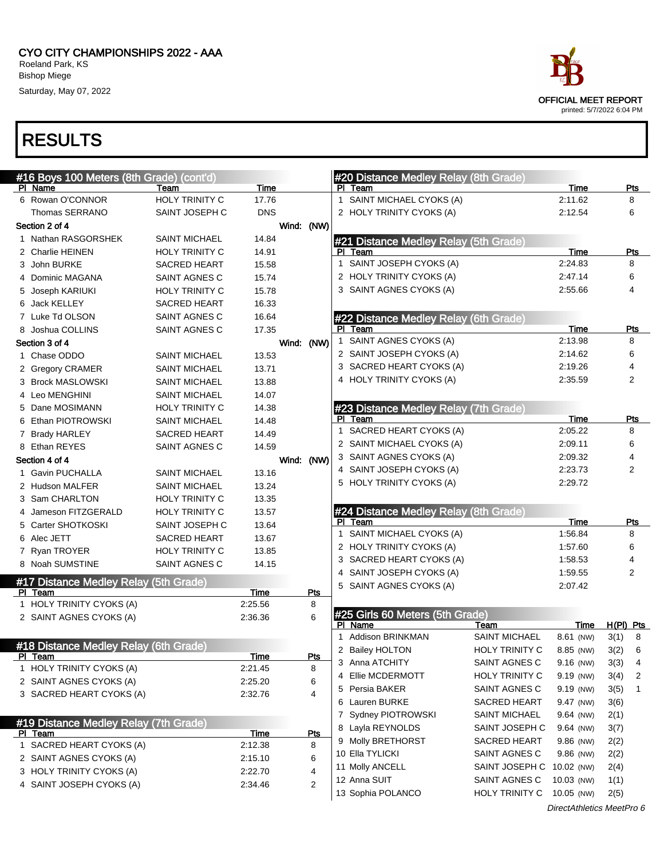CYO CITY CHAMPIONSHIPS 2022 - AAA Roeland Park, KS Bishop Miege

Saturday, May 07, 2022

| #16 Boys 100 Meters (8th Grade) (cont'd) |                       |             |                | #20 Distance Medley Relay (8th Grade) |                       |             |             |                |
|------------------------------------------|-----------------------|-------------|----------------|---------------------------------------|-----------------------|-------------|-------------|----------------|
| PI Name                                  | Team                  | Time        |                | PI Team                               |                       | Time        |             | <b>Pts</b>     |
| 6 Rowan O'CONNOR                         | <b>HOLY TRINITY C</b> | 17.76       |                | 1 SAINT MICHAEL CYOKS (A)             |                       | 2:11.62     |             | 8              |
| Thomas SERRANO                           | SAINT JOSEPH C        | <b>DNS</b>  |                | 2 HOLY TRINITY CYOKS (A)              |                       | 2:12.54     |             | 6              |
| Section 2 of 4                           |                       |             | Wind: (NW)     |                                       |                       |             |             |                |
| 1 Nathan RASGORSHEK                      | <b>SAINT MICHAEL</b>  | 14.84       |                | #21 Distance Medley Relay (5th Grade) |                       |             |             |                |
| 2 Charlie HEINEN                         | HOLY TRINITY C        | 14.91       |                | PI Team                               |                       | Time        |             | <b>Pts</b>     |
| 3 John BURKE                             | <b>SACRED HEART</b>   | 15.58       |                | 1 SAINT JOSEPH CYOKS (A)              |                       | 2:24.83     |             | 8              |
| 4 Dominic MAGANA                         | SAINT AGNES C         | 15.74       |                | 2 HOLY TRINITY CYOKS (A)              |                       | 2:47.14     |             | 6              |
| 5 Joseph KARIUKI                         | HOLY TRINITY C        | 15.78       |                | 3 SAINT AGNES CYOKS (A)               |                       | 2:55.66     |             | 4              |
| 6 Jack KELLEY                            | <b>SACRED HEART</b>   | 16.33       |                |                                       |                       |             |             |                |
| 7 Luke Td OLSON                          | SAINT AGNES C         | 16.64       |                | #22 Distance Medley Relay (6th Grade) |                       |             |             |                |
| 8 Joshua COLLINS                         | SAINT AGNES C         | 17.35       |                | PI Team                               |                       | Time        |             | Pts            |
| Section 3 of 4                           |                       |             | Wind: (NW)     | 1 SAINT AGNES CYOKS (A)               |                       | 2:13.98     |             | 8              |
| 1 Chase ODDO                             | <b>SAINT MICHAEL</b>  | 13.53       |                | 2 SAINT JOSEPH CYOKS (A)              |                       | 2:14.62     |             | 6              |
| 2 Gregory CRAMER                         | <b>SAINT MICHAEL</b>  | 13.71       |                | 3 SACRED HEART CYOKS (A)              |                       | 2:19.26     |             | 4              |
| 3 Brock MASLOWSKI                        | <b>SAINT MICHAEL</b>  | 13.88       |                | 4 HOLY TRINITY CYOKS (A)              |                       | 2:35.59     |             | $\overline{2}$ |
| 4 Leo MENGHINI                           | <b>SAINT MICHAEL</b>  | 14.07       |                |                                       |                       |             |             |                |
| 5 Dane MOSIMANN                          | HOLY TRINITY C        | 14.38       |                | #23 Distance Medley Relay (7th Grade) |                       |             |             |                |
| 6 Ethan PIOTROWSKI                       | <b>SAINT MICHAEL</b>  | 14.48       |                | PI Team                               |                       | Time        |             | <u>Pts</u>     |
| 7 Brady HARLEY                           | <b>SACRED HEART</b>   | 14.49       |                | 1 SACRED HEART CYOKS (A)              |                       | 2:05.22     |             | 8              |
| 8 Ethan REYES                            | SAINT AGNES C         | 14.59       |                | 2 SAINT MICHAEL CYOKS (A)             |                       | 2:09.11     |             | 6              |
| Section 4 of 4                           |                       |             | Wind: (NW)     | 3 SAINT AGNES CYOKS (A)               |                       | 2:09.32     |             | 4              |
| 1 Gavin PUCHALLA                         | <b>SAINT MICHAEL</b>  | 13.16       |                | 4 SAINT JOSEPH CYOKS (A)              |                       | 2:23.73     |             | 2              |
| 2 Hudson MALFER                          | <b>SAINT MICHAEL</b>  | 13.24       |                | 5 HOLY TRINITY CYOKS (A)              |                       | 2:29.72     |             |                |
| 3 Sam CHARLTON                           | HOLY TRINITY C        | 13.35       |                |                                       |                       |             |             |                |
| 4 Jameson FITZGERALD                     | HOLY TRINITY C        | 13.57       |                | #24 Distance Medley Relay (8th Grade) |                       |             |             |                |
| 5 Carter SHOTKOSKI                       | SAINT JOSEPH C        | 13.64       |                | PI Team                               |                       | Time        |             | Pts            |
| 6 Alec JETT                              | <b>SACRED HEART</b>   | 13.67       |                | 1 SAINT MICHAEL CYOKS (A)             |                       | 1:56.84     |             | 8              |
| 7 Ryan TROYER                            | HOLY TRINITY C        | 13.85       |                | 2 HOLY TRINITY CYOKS (A)              |                       | 1:57.60     |             | 6              |
| 8 Noah SUMSTINE                          | SAINT AGNES C         | 14.15       |                | 3 SACRED HEART CYOKS (A)              |                       | 1:58.53     |             | 4              |
|                                          |                       |             |                | 4 SAINT JOSEPH CYOKS (A)              |                       | 1:59.55     |             | $\overline{2}$ |
| #17 Distance Medley Relay (5th Grade)    |                       |             |                | 5 SAINT AGNES CYOKS (A)               |                       | 2:07.42     |             |                |
| PI Team                                  |                       | Time        | Pts            |                                       |                       |             |             |                |
| 1 HOLY TRINITY CYOKS (A)                 |                       | 2:25.56     | 8              | #25 Girls 60 Meters (5th Grade)       |                       |             |             |                |
| 2 SAINT AGNES CYOKS (A)                  |                       | 2:36.36     | 6              | PI Name                               | Team                  | Time        | $H(PI)$ Pts |                |
|                                          |                       |             |                | 1 Addison BRINKMAN                    | <b>SAINT MICHAEL</b>  | 8.61 (NW)   | 3(1)        | 8              |
| #18 Distance Medley Relay (6th Grade)    |                       |             |                | 2 Bailey HOLTON                       | <b>HOLY TRINITY C</b> | 8.85 (NW)   | 3(2)        | 6              |
| <u>PI Team</u>                           |                       | <u>Time</u> | <u>Pts</u>     | 3 Anna ATCHITY                        | SAINT AGNES C         | $9.16$ (NW) | 3(3)        | 4              |
| 1 HOLY TRINITY CYOKS (A)                 |                       | 2:21.45     | 8              | 4 Ellie MCDERMOTT                     | <b>HOLY TRINITY C</b> | 9.19 (NW)   | 3(4)        | 2              |
| 2 SAINT AGNES CYOKS (A)                  |                       | 2:25.20     | 6              | 5 Persia BAKER                        | SAINT AGNES C         | 9.19 (NW)   | 3(5)        | $\mathbf{1}$   |
| 3 SACRED HEART CYOKS (A)                 |                       | 2:32.76     | 4              | 6 Lauren BURKE                        | <b>SACRED HEART</b>   | 9.47 (NW)   | 3(6)        |                |
|                                          |                       |             |                | 7 Sydney PIOTROWSKI                   | <b>SAINT MICHAEL</b>  | 9.64 (NW)   | 2(1)        |                |
| #19 Distance Medley Relay (7th Grade)    |                       |             |                | 8 Layla REYNOLDS                      | SAINT JOSEPH C        | 9.64 (NW)   | 3(7)        |                |
| PI Team                                  |                       | <u>Time</u> | <u>Pts</u>     | 9 Molly BRETHORST                     | <b>SACRED HEART</b>   | 9.86 (NW)   | 2(2)        |                |
| 1 SACRED HEART CYOKS (A)                 |                       | 2:12.38     | 8              | 10 Ella TYLICKI                       | SAINT AGNES C         | 9.86 (NW)   | 2(2)        |                |
| 2 SAINT AGNES CYOKS (A)                  |                       | 2:15.10     | 6              | 11 Molly ANCELL                       | SAINT JOSEPH C        | 10.02 (NW)  | 2(4)        |                |
| 3 HOLY TRINITY CYOKS (A)                 |                       | 2:22.70     | 4              | 12 Anna SUIT                          | SAINT AGNES C         | 10.03 (NW)  | 1(1)        |                |
| 4 SAINT JOSEPH CYOKS (A)                 |                       | 2:34.46     | $\overline{2}$ | 13 Sophia POLANCO                     | <b>HOLY TRINITY C</b> | 10.05 (NW)  | 2(5)        |                |
|                                          |                       |             |                |                                       |                       |             |             |                |

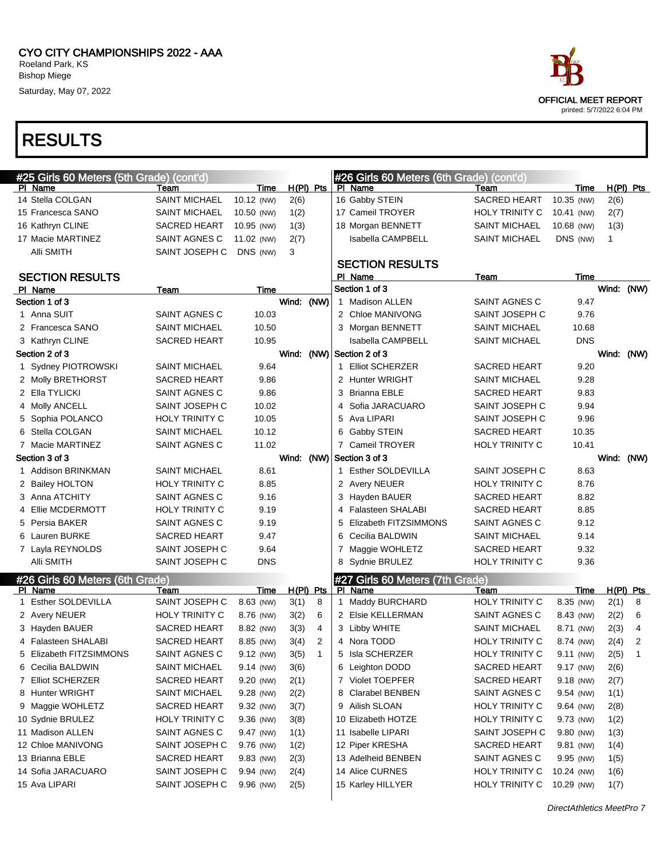



| #25 Girls 60 Meters (5th Grade) (cont'd) |                       |             |            |                |   | #26 Girls 60 Meters (6th Grade) (cont'd) |                       |            |            |             |
|------------------------------------------|-----------------------|-------------|------------|----------------|---|------------------------------------------|-----------------------|------------|------------|-------------|
| PI Name                                  | Team                  | Time        | H(PI) Pts  |                |   | PI Name                                  | Team                  | Time       |            | $H(PI)$ Pts |
| 14 Stella COLGAN                         | <b>SAINT MICHAEL</b>  | 10.12 (NW)  | 2(6)       |                |   | 16 Gabby STEIN                           | <b>SACRED HEART</b>   | 10.35 (NW) | 2(6)       |             |
| 15 Francesca SANO                        | <b>SAINT MICHAEL</b>  | 10.50 (NW)  | 1(2)       |                |   | 17 Cameil TROYER                         | HOLY TRINITY C        | 10.41 (NW) | 2(7)       |             |
| 16 Kathryn CLINE                         | <b>SACRED HEART</b>   | 10.95 (NW)  | 1(3)       |                |   | 18 Morgan BENNETT                        | <b>SAINT MICHAEL</b>  | 10.68 (NW) | 1(3)       |             |
| 17 Macie MARTINEZ                        | SAINT AGNES C         | 11.02 (NW)  | 2(7)       |                |   | <b>Isabella CAMPBELL</b>                 | <b>SAINT MICHAEL</b>  | DNS (NW)   | 1          |             |
| Alli SMITH                               | SAINT JOSEPH C        | DNS (NW)    | 3          |                |   |                                          |                       |            |            |             |
|                                          |                       |             |            |                |   | <b>SECTION RESULTS</b>                   |                       |            |            |             |
| <b>SECTION RESULTS</b>                   |                       |             |            |                |   | PI Name                                  | Team                  | Time       |            |             |
| PI Name                                  | Team                  | Time        |            |                |   | Section 1 of 3                           |                       |            | Wind: (NW) |             |
| Section 1 of 3                           |                       |             | Wind: (NW) |                |   | 1 Madison ALLEN                          | SAINT AGNES C         | 9.47       |            |             |
| 1 Anna SUIT                              | SAINT AGNES C         | 10.03       |            |                |   | 2 Chloe MANIVONG                         | SAINT JOSEPH C        | 9.76       |            |             |
| 2 Francesca SANO                         | <b>SAINT MICHAEL</b>  | 10.50       |            |                |   | 3 Morgan BENNETT                         | <b>SAINT MICHAEL</b>  | 10.68      |            |             |
| 3 Kathryn CLINE                          | <b>SACRED HEART</b>   | 10.95       |            |                |   | Isabella CAMPBELL                        | <b>SAINT MICHAEL</b>  | <b>DNS</b> |            |             |
| Section 2 of 3                           |                       |             | Wind: (NW) |                |   | Section 2 of 3                           |                       |            | Wind: (NW) |             |
| 1 Sydney PIOTROWSKI                      | <b>SAINT MICHAEL</b>  | 9.64        |            |                |   | 1 Elliot SCHERZER                        | <b>SACRED HEART</b>   | 9.20       |            |             |
| 2 Molly BRETHORST                        | <b>SACRED HEART</b>   | 9.86        |            |                |   | 2 Hunter WRIGHT                          | <b>SAINT MICHAEL</b>  | 9.28       |            |             |
| 2 Ella TYLICKI                           | SAINT AGNES C         | 9.86        |            |                | 3 | <b>Brianna EBLE</b>                      | <b>SACRED HEART</b>   | 9.83       |            |             |
| 4 Molly ANCELL                           | SAINT JOSEPH C        | 10.02       |            |                | 4 | Sofia JARACUARO                          | SAINT JOSEPH C        | 9.94       |            |             |
| Sophia POLANCO<br>5                      | <b>HOLY TRINITY C</b> | 10.05       |            |                | 5 | Ava LIPARI                               | SAINT JOSEPH C        | 9.96       |            |             |
| Stella COLGAN                            | <b>SAINT MICHAEL</b>  | 10.12       |            |                | 6 | Gabby STEIN                              | <b>SACRED HEART</b>   | 10.35      |            |             |
| 7 Macie MARTINEZ                         | SAINT AGNES C         | 11.02       |            |                |   | 7 Cameil TROYER                          | <b>HOLY TRINITY C</b> | 10.41      |            |             |
| Section 3 of 3                           |                       |             | Wind: (NW) |                |   | Section 3 of 3                           |                       |            | Wind: (NW) |             |
| 1 Addison BRINKMAN                       | <b>SAINT MICHAEL</b>  | 8.61        |            |                |   | 1 Esther SOLDEVILLA                      | SAINT JOSEPH C        | 8.63       |            |             |
| 2 Bailey HOLTON                          | <b>HOLY TRINITY C</b> | 8.85        |            |                |   | 2 Avery NEUER                            | <b>HOLY TRINITY C</b> | 8.76       |            |             |
| 3 Anna ATCHITY                           | SAINT AGNES C         | 9.16        |            |                |   | 3 Hayden BAUER                           | SACRED HEART          | 8.82       |            |             |
| Ellie MCDERMOTT<br>4                     | <b>HOLY TRINITY C</b> | 9.19        |            |                | 4 | <b>Falasteen SHALABI</b>                 | <b>SACRED HEART</b>   | 8.85       |            |             |
| 5 Persia BAKER                           | SAINT AGNES C         | 9.19        |            |                | 5 | Elizabeth FITZSIMMONS                    | SAINT AGNES C         | 9.12       |            |             |
| Lauren BURKE                             | <b>SACRED HEART</b>   | 9.47        |            |                | 6 | Cecilia BALDWIN                          | <b>SAINT MICHAEL</b>  | 9.14       |            |             |
| 7 Layla REYNOLDS                         | SAINT JOSEPH C        | 9.64        |            |                |   | 7 Maggie WOHLETZ                         | <b>SACRED HEART</b>   | 9.32       |            |             |
| Alli SMITH                               | SAINT JOSEPH C        | <b>DNS</b>  |            |                | 8 | Sydnie BRULEZ                            | HOLY TRINITY C        | 9.36       |            |             |
| #26 Girls 60 Meters (6th Grade)          |                       |             |            |                |   | #27 Girls 60 Meters (7th Grade)          |                       |            |            |             |
| PI Name                                  | Team                  | Time        | H(PI) Pts  |                |   | PI Name                                  | Team                  | Time       |            | $H(PI)$ Pts |
| 1 Esther SOLDEVILLA                      | SAINT JOSEPH C        | 8.63 (NW)   | 3(1)       | 8              |   | 1 Maddy BURCHARD                         | <b>HOLY TRINITY C</b> | 8.35 (NW)  | 2(1)       | 8           |
| 2 Avery NEUER                            | <b>HOLY TRINITY C</b> | 8.76 (NW)   | 3(2)       | 6              |   | 2 Elsie KELLERMAN                        | SAINT AGNES C         | 8.43 (NW)  | 2(2)       | 6           |
| 3 Hayden BAUER                           | <b>SACRED HEART</b>   | 8.82 (NW)   | 3(3)       | 4              |   | 3 Libby WHITE                            | <b>SAINT MICHAEL</b>  | 8.71 (NW)  | 2(3)       | 4           |
| 4 Falasteen SHALABI                      | <b>SACRED HEART</b>   | 8.85 (NW)   | 3(4)       | $\overline{2}$ |   | 4 Nora TODD                              | <b>HOLY TRINITY C</b> | 8.74 (NW)  | 2(4)       | 2           |
| 5 Elizabeth FITZSIMMONS                  | SAINT AGNES C         | 9.12 (NW)   | 3(5)       | $\overline{1}$ |   | 5 Isla SCHERZER                          | HOLY TRINITY C        | 9.11 (NW)  | 2(5)       | 1           |
| 6 Cecilia BALDWIN                        | <b>SAINT MICHAEL</b>  | $9.14$ (NW) | 3(6)       |                |   | 6 Leighton DODD                          | SACRED HEART          | 9.17 (NW)  | 2(6)       |             |
| 7 Elliot SCHERZER                        | SACRED HEART          | 9.20 (NW)   | 2(1)       |                |   | 7 Violet TOEPFER                         | SACRED HEART          | 9.18 (NW)  | 2(7)       |             |
| 8 Hunter WRIGHT                          | <b>SAINT MICHAEL</b>  | 9.28 (NW)   | 2(2)       |                |   | 8 Clarabel BENBEN                        | SAINT AGNES C         | 9.54 (NW)  | 1(1)       |             |
| 9 Maggie WOHLETZ                         | <b>SACRED HEART</b>   | 9.32 (NW)   | 3(7)       |                |   | 9 Ailish SLOAN                           | HOLY TRINITY C        | 9.64 (NW)  | 2(8)       |             |
| 10 Sydnie BRULEZ                         | <b>HOLY TRINITY C</b> | 9.36 (NW)   | 3(8)       |                |   | 10 Elizabeth HOTZE                       | HOLY TRINITY C        | 9.73 (NW)  | 1(2)       |             |
| 11 Madison ALLEN                         | SAINT AGNES C         | 9.47 (NW)   | 1(1)       |                |   | 11 Isabelle LIPARI                       | SAINT JOSEPH C        | 9.80 (NW)  | 1(3)       |             |
| 12 Chloe MANIVONG                        | SAINT JOSEPH C        | 9.76 (NW)   | 1(2)       |                |   | 12 Piper KRESHA                          | SACRED HEART          | 9.81 (NW)  | 1(4)       |             |
| 13 Brianna EBLE                          | <b>SACRED HEART</b>   | 9.83 (NW)   | 2(3)       |                |   | 13 Adelheid BENBEN                       | SAINT AGNES C         | 9.95 (NW)  | 1(5)       |             |
| 14 Sofia JARACUARO                       | SAINT JOSEPH C        | 9.94 (NW)   | 2(4)       |                |   | 14 Alice CURNES                          | HOLY TRINITY C        | 10.24 (NW) | 1(6)       |             |
| 15 Ava LIPARI                            | SAINT JOSEPH C        | 9.96 (NW)   | 2(5)       |                |   | 15 Karley HILLYER                        | HOLY TRINITY C        | 10.29 (NW) | 1(7)       |             |
|                                          |                       |             |            |                |   |                                          |                       |            |            |             |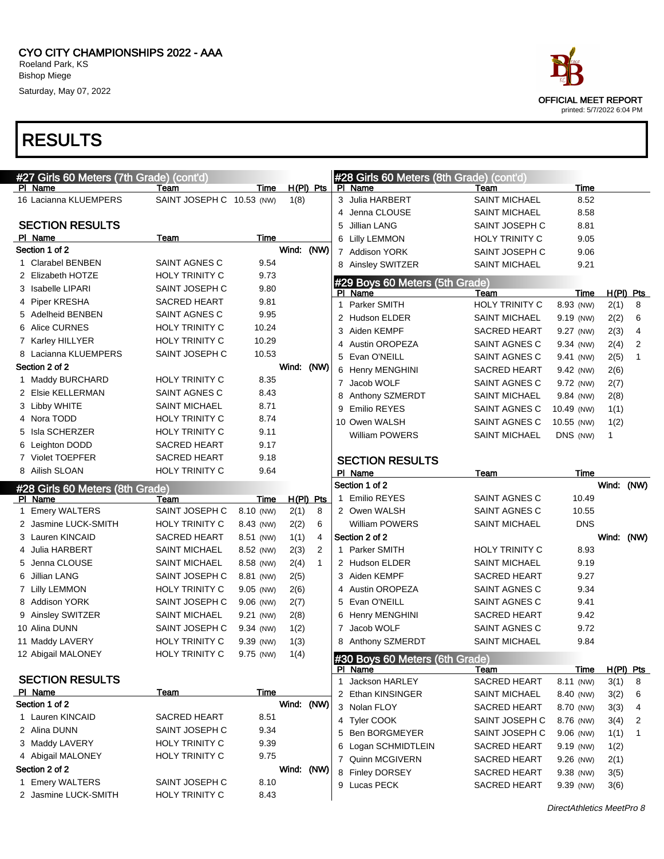



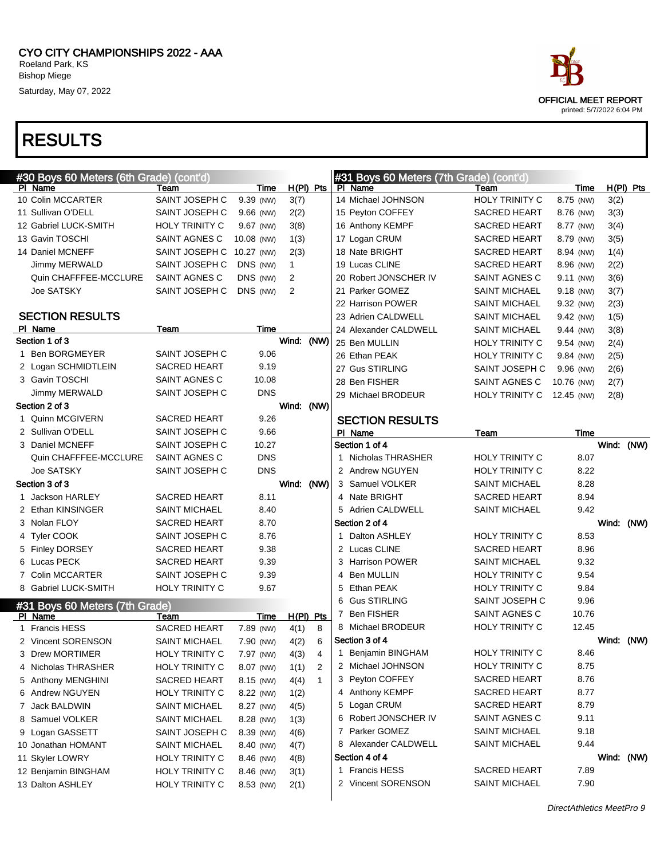

| #30 Boys 60 Meters (6th Grade) (cont'd) |                       |            |              |              |   | #31 Boys 60 Meters (7th Grade) (cont'd) |                       |            |            |             |
|-----------------------------------------|-----------------------|------------|--------------|--------------|---|-----------------------------------------|-----------------------|------------|------------|-------------|
| PI Name                                 | Team                  | Time       | $H(PI)$ Pts  |              |   | PI Name                                 | Team                  | Time       |            | $H(PI)$ Pts |
| 10 Colin MCCARTER                       | SAINT JOSEPH C        | 9.39 (NW)  | 3(7)         |              |   | 14 Michael JOHNSON                      | <b>HOLY TRINITY C</b> | 8.75 (NW)  | 3(2)       |             |
| 11 Sullivan O'DELL                      | SAINT JOSEPH C        | 9.66 (NW)  | 2(2)         |              |   | 15 Peyton COFFEY                        | <b>SACRED HEART</b>   | 8.76 (NW)  | 3(3)       |             |
| 12 Gabriel LUCK-SMITH                   | <b>HOLY TRINITY C</b> | 9.67 (NW)  | 3(8)         |              |   | 16 Anthony KEMPF                        | <b>SACRED HEART</b>   | 8.77 (NW)  | 3(4)       |             |
| 13 Gavin TOSCHI                         | SAINT AGNES C         | 10.08 (NW) | 1(3)         |              |   | 17 Logan CRUM                           | <b>SACRED HEART</b>   | 8.79 (NW)  | 3(5)       |             |
| 14 Daniel MCNEFF                        | SAINT JOSEPH C        | 10.27 (NW) | 2(3)         |              |   | 18 Nate BRIGHT                          | <b>SACRED HEART</b>   | 8.94 (NW)  | 1(4)       |             |
| Jimmy MERWALD                           | SAINT JOSEPH C        | DNS (NW)   | $\mathbf{1}$ |              |   | 19 Lucas CLINE                          | <b>SACRED HEART</b>   | 8.96 (NW)  | 2(2)       |             |
| Quin CHAFFFEE-MCCLURE                   | SAINT AGNES C         | DNS (NW)   | 2            |              |   | 20 Robert JONSCHER IV                   | SAINT AGNES C         | 9.11 (NW)  | 3(6)       |             |
| Joe SATSKY                              | SAINT JOSEPH C        | DNS (NW)   | 2            |              |   | 21 Parker GOMEZ                         | <b>SAINT MICHAEL</b>  | 9.18 (NW)  | 3(7)       |             |
|                                         |                       |            |              |              |   | 22 Harrison POWER                       | <b>SAINT MICHAEL</b>  | 9.32 (NW)  | 2(3)       |             |
| <b>SECTION RESULTS</b>                  |                       |            |              |              |   | 23 Adrien CALDWELL                      | <b>SAINT MICHAEL</b>  | 9.42 (NW)  | 1(5)       |             |
| PI Name                                 | Team                  | Time       |              |              |   | 24 Alexander CALDWELL                   | <b>SAINT MICHAEL</b>  | 9.44 (NW)  | 3(8)       |             |
| Section 1 of 3                          |                       |            | Wind: (NW)   |              |   | 25 Ben MULLIN                           | <b>HOLY TRINITY C</b> | 9.54 (NW)  | 2(4)       |             |
| 1 Ben BORGMEYER                         | SAINT JOSEPH C        | 9.06       |              |              |   | 26 Ethan PEAK                           | <b>HOLY TRINITY C</b> | 9.84 (NW)  | 2(5)       |             |
| 2 Logan SCHMIDTLEIN                     | <b>SACRED HEART</b>   | 9.19       |              |              |   | 27 Gus STIRLING                         | SAINT JOSEPH C        | 9.96 (NW)  | 2(6)       |             |
| 3 Gavin TOSCHI                          | SAINT AGNES C         | 10.08      |              |              |   | 28 Ben FISHER                           | SAINT AGNES C         | 10.76 (NW) | 2(7)       |             |
| Jimmy MERWALD                           | SAINT JOSEPH C        | <b>DNS</b> |              |              |   | 29 Michael BRODEUR                      | <b>HOLY TRINITY C</b> | 12.45 (NW) | 2(8)       |             |
| Section 2 of 3                          |                       |            | Wind: (NW)   |              |   |                                         |                       |            |            |             |
| 1 Quinn MCGIVERN                        | SACRED HEART          | 9.26       |              |              |   | <b>SECTION RESULTS</b>                  |                       |            |            |             |
| 2 Sullivan O'DELL                       | SAINT JOSEPH C        | 9.66       |              |              |   | PI Name                                 | Team                  | Time       |            |             |
| 3 Daniel MCNEFF                         | SAINT JOSEPH C        | 10.27      |              |              |   | Section 1 of 4                          |                       |            | Wind: (NW) |             |
| Quin CHAFFFEE-MCCLURE                   | SAINT AGNES C         | <b>DNS</b> |              |              |   | 1 Nicholas THRASHER                     | <b>HOLY TRINITY C</b> | 8.07       |            |             |
| <b>Joe SATSKY</b>                       | SAINT JOSEPH C        | <b>DNS</b> |              |              |   | 2 Andrew NGUYEN                         | <b>HOLY TRINITY C</b> | 8.22       |            |             |
| Section 3 of 3                          |                       |            | Wind: (NW)   |              |   | 3 Samuel VOLKER                         | <b>SAINT MICHAEL</b>  | 8.28       |            |             |
| 1 Jackson HARLEY                        | SACRED HEART          | 8.11       |              |              |   | 4 Nate BRIGHT                           | <b>SACRED HEART</b>   | 8.94       |            |             |
| 2 Ethan KINSINGER                       | <b>SAINT MICHAEL</b>  | 8.40       |              |              |   | 5 Adrien CALDWELL                       | <b>SAINT MICHAEL</b>  | 9.42       |            |             |
| 3 Nolan FLOY                            | <b>SACRED HEART</b>   | 8.70       |              |              |   | Section 2 of 4                          |                       |            | Wind: (NW) |             |
| 4 Tyler COOK                            | SAINT JOSEPH C        | 8.76       |              |              | 1 | Dalton ASHLEY                           | <b>HOLY TRINITY C</b> | 8.53       |            |             |
| 5 Finley DORSEY                         | <b>SACRED HEART</b>   | 9.38       |              |              |   | 2 Lucas CLINE                           | <b>SACRED HEART</b>   | 8.96       |            |             |
| 6 Lucas PECK                            | SACRED HEART          | 9.39       |              |              |   | 3 Harrison POWER                        | <b>SAINT MICHAEL</b>  | 9.32       |            |             |
| 7 Colin MCCARTER                        | SAINT JOSEPH C        | 9.39       |              |              | 4 | <b>Ben MULLIN</b>                       | <b>HOLY TRINITY C</b> | 9.54       |            |             |
| 8 Gabriel LUCK-SMITH                    | HOLY TRINITY C        | 9.67       |              |              |   | 5 Ethan PEAK                            | <b>HOLY TRINITY C</b> | 9.84       |            |             |
| #31 Boys 60 Meters (7th Grade)          |                       |            |              |              |   | 6 Gus STIRLING                          | SAINT JOSEPH C        | 9.96       |            |             |
| PI Name                                 | Team                  | Time       | $H(PI)$ Pts  |              |   | 7 Ben FISHER                            | SAINT AGNES C         | 10.76      |            |             |
| 1 Francis HESS                          | <b>SACRED HEART</b>   | 7.89 (NW)  | 4(1)         | 8            |   | 8 Michael BRODEUR                       | <b>HOLY TRINITY C</b> | 12.45      |            |             |
| 2 Vincent SORENSON                      | <b>SAINT MICHAEL</b>  | 7.90 (NW)  | 4(2)         | 6            |   | Section 3 of 4                          |                       |            | Wind: (NW) |             |
| <b>Drew MORTIMER</b><br>3               | HOLY TRINITY C        | 7.97 (NW)  | 4(3)         | 4            |   | 1 Benjamin BINGHAM                      | HOLY TRINITY C        | 8.46       |            |             |
| 4 Nicholas THRASHER                     | <b>HOLY TRINITY C</b> | 8.07 (NW)  | 1(1)         | 2            |   | 2 Michael JOHNSON                       | <b>HOLY TRINITY C</b> | 8.75       |            |             |
| 5 Anthony MENGHINI                      | SACRED HEART          | 8.15 (NW)  | 4(4)         | $\mathbf{1}$ |   | 3 Peyton COFFEY                         | SACRED HEART          | 8.76       |            |             |
| 6 Andrew NGUYEN                         | <b>HOLY TRINITY C</b> | 8.22 (NW)  | 1(2)         |              |   | 4 Anthony KEMPF                         | SACRED HEART          | 8.77       |            |             |
| 7 Jack BALDWIN                          | <b>SAINT MICHAEL</b>  | 8.27 (NW)  | 4(5)         |              |   | 5 Logan CRUM                            | SACRED HEART          | 8.79       |            |             |
| Samuel VOLKER<br>8                      | <b>SAINT MICHAEL</b>  | 8.28 (NW)  | 1(3)         |              |   | 6 Robert JONSCHER IV                    | SAINT AGNES C         | 9.11       |            |             |
| 9 Logan GASSETT                         | SAINT JOSEPH C        | 8.39 (NW)  | 4(6)         |              |   | 7 Parker GOMEZ                          | <b>SAINT MICHAEL</b>  | 9.18       |            |             |
| 10 Jonathan HOMANT                      | <b>SAINT MICHAEL</b>  | 8.40 (NW)  | 4(7)         |              |   | 8 Alexander CALDWELL                    | SAINT MICHAEL         | 9.44       |            |             |
| 11 Skyler LOWRY                         | <b>HOLY TRINITY C</b> | 8.46 (NW)  | 4(8)         |              |   | Section 4 of 4                          |                       |            | Wind: (NW) |             |
| 12 Benjamin BINGHAM                     | <b>HOLY TRINITY C</b> | 8.46 (NW)  | 3(1)         |              |   | 1 Francis HESS                          | SACRED HEART          | 7.89       |            |             |
| 13 Dalton ASHLEY                        | HOLY TRINITY C        | 8.53 (NW)  | 2(1)         |              |   | 2 Vincent SORENSON                      | <b>SAINT MICHAEL</b>  | 7.90       |            |             |
|                                         |                       |            |              |              |   |                                         |                       |            |            |             |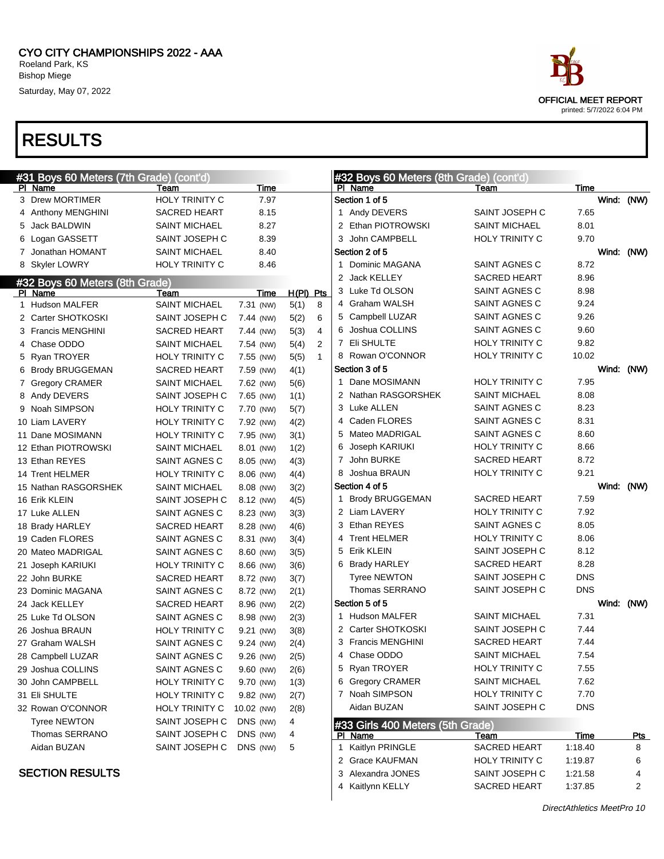

| #31 Boys 60 Meters (7th Grade) (cont'd) |                       |            |                      | #32 Boys 60 Meters (8th Grade) (cont'd) |                             |                 |       |                 |
|-----------------------------------------|-----------------------|------------|----------------------|-----------------------------------------|-----------------------------|-----------------|-------|-----------------|
| PI Name                                 | Team                  | Time       |                      | PI Name                                 | Team                        | Time            |       |                 |
| 3 Drew MORTIMER                         | HOLY TRINITY C        | 7.97       |                      | Section 1 of 5                          |                             |                 |       | Wind: (NW)      |
| 4 Anthony MENGHINI                      | SACRED HEART          | 8.15       |                      | 1 Andy DEVERS                           | SAINT JOSEPH C              | 7.65            |       |                 |
| 5 Jack BALDWIN                          | <b>SAINT MICHAEL</b>  | 8.27       |                      | 2 Ethan PIOTROWSKI                      | <b>SAINT MICHAEL</b>        | 8.01            |       |                 |
| 6 Logan GASSETT                         | SAINT JOSEPH C        | 8.39       |                      | 3 John CAMPBELL                         | <b>HOLY TRINITY C</b>       | 9.70            |       |                 |
| 7 Jonathan HOMANT                       | <b>SAINT MICHAEL</b>  | 8.40       |                      | Section 2 of 5                          |                             |                 |       | Wind: (NW)      |
| 8 Skyler LOWRY                          | <b>HOLY TRINITY C</b> | 8.46       |                      | 1 Dominic MAGANA                        | SAINT AGNES C               | 8.72            |       |                 |
| #32 Boys 60 Meters (8th Grade)          |                       |            |                      | 2 Jack KELLEY                           | <b>SACRED HEART</b>         | 8.96            |       |                 |
| PI Name                                 | Team                  | Time       | H(PI) Pts            | 3 Luke Td OLSON                         | SAINT AGNES C               | 8.98            |       |                 |
| 1 Hudson MALFER                         | <b>SAINT MICHAEL</b>  | 7.31 (NW)  | 5(1)<br>8            | 4 Graham WALSH                          | SAINT AGNES C               | 9.24            |       |                 |
| 2 Carter SHOTKOSKI                      | SAINT JOSEPH C        | 7.44 (NW)  | 5(2)<br>6            | 5 Campbell LUZAR                        | SAINT AGNES C               | 9.26            |       |                 |
| 3 Francis MENGHINI                      | <b>SACRED HEART</b>   | 7.44 (NW)  | 5(3)<br>4            | 6 Joshua COLLINS                        | SAINT AGNES C               | 9.60            |       |                 |
| 4 Chase ODDO                            | <b>SAINT MICHAEL</b>  | 7.54 (NW)  | 5(4)<br>2            | 7 Eli SHULTE                            | <b>HOLY TRINITY C</b>       | 9.82            |       |                 |
| 5 Ryan TROYER                           | <b>HOLY TRINITY C</b> | 7.55 (NW)  | $\mathbf{1}$<br>5(5) | 8 Rowan O'CONNOR                        | <b>HOLY TRINITY C</b>       | 10.02           |       |                 |
| 6 Brody BRUGGEMAN                       | <b>SACRED HEART</b>   | 7.59 (NW)  | 4(1)                 | Section 3 of 5                          |                             |                 | Wind: | (NW)            |
| 7 Gregory CRAMER                        | <b>SAINT MICHAEL</b>  | 7.62 (NW)  | 5(6)                 | 1 Dane MOSIMANN                         | <b>HOLY TRINITY C</b>       | 7.95            |       |                 |
| 8 Andy DEVERS                           | SAINT JOSEPH C        | 7.65 (NW)  | 1(1)                 | 2 Nathan RASGORSHEK                     | <b>SAINT MICHAEL</b>        | 8.08            |       |                 |
| 9 Noah SIMPSON                          | HOLY TRINITY C        | 7.70 (NW)  | 5(7)                 | 3 Luke ALLEN                            | SAINT AGNES C               | 8.23            |       |                 |
| 10 Liam LAVERY                          | HOLY TRINITY C        | 7.92 (NW)  | 4(2)                 | 4 Caden FLORES                          | SAINT AGNES C               | 8.31            |       |                 |
| 11 Dane MOSIMANN                        | HOLY TRINITY C        | 7.95 (NW)  | 3(1)                 | 5 Mateo MADRIGAL                        | SAINT AGNES C               | 8.60            |       |                 |
| 12 Ethan PIOTROWSKI                     | <b>SAINT MICHAEL</b>  | 8.01 (NW)  | 1(2)                 | 6 Joseph KARIUKI                        | <b>HOLY TRINITY C</b>       | 8.66            |       |                 |
| 13 Ethan REYES                          | SAINT AGNES C         | 8.05 (NW)  | 4(3)                 | 7 John BURKE                            | <b>SACRED HEART</b>         | 8.72            |       |                 |
| 14 Trent HELMER                         | <b>HOLY TRINITY C</b> | 8.06 (NW)  | 4(4)                 | 8 Joshua BRAUN                          | <b>HOLY TRINITY C</b>       | 9.21            |       |                 |
| 15 Nathan RASGORSHEK                    | <b>SAINT MICHAEL</b>  | 8.08 (NW)  | 3(2)                 | Section 4 of 5                          |                             |                 |       | Wind: (NW)      |
| 16 Erik KLEIN                           | SAINT JOSEPH C        | 8.12 (NW)  | 4(5)                 | 1 Brody BRUGGEMAN                       | <b>SACRED HEART</b>         | 7.59            |       |                 |
| 17 Luke ALLEN                           | SAINT AGNES C         | 8.23 (NW)  | 3(3)                 | 2 Liam LAVERY                           | <b>HOLY TRINITY C</b>       | 7.92            |       |                 |
| 18 Brady HARLEY                         | <b>SACRED HEART</b>   | 8.28 (NW)  | 4(6)                 | 3 Ethan REYES                           | SAINT AGNES C               | 8.05            |       |                 |
| 19 Caden FLORES                         | SAINT AGNES C         | 8.31 (NW)  | 3(4)                 | 4 Trent HELMER                          | <b>HOLY TRINITY C</b>       | 8.06            |       |                 |
| 20 Mateo MADRIGAL                       | SAINT AGNES C         | 8.60 (NW)  | 3(5)                 | 5 Erik KLEIN                            | SAINT JOSEPH C              | 8.12            |       |                 |
| 21 Joseph KARIUKI                       | <b>HOLY TRINITY C</b> | 8.66 (NW)  | 3(6)                 | 6 Brady HARLEY                          | <b>SACRED HEART</b>         | 8.28            |       |                 |
| 22 John BURKE                           | <b>SACRED HEART</b>   | 8.72 (NW)  | 3(7)                 | <b>Tyree NEWTON</b>                     | SAINT JOSEPH C              | DNS             |       |                 |
| 23 Dominic MAGANA                       | SAINT AGNES C         | 8.72 (NW)  | 2(1)                 | Thomas SERRANO                          | SAINT JOSEPH C              | <b>DNS</b>      |       |                 |
| 24 Jack KELLEY                          | <b>SACRED HEART</b>   | 8.96 (NW)  | 2(2)                 | Section 5 of 5                          |                             |                 |       | Wind: (NW)      |
| 25 Luke Td OLSON                        | SAINT AGNES C         | 8.98 (NW)  | 2(3)                 | 1 Hudson MALFER                         | <b>SAINT MICHAEL</b>        | 7.31            |       |                 |
| 26 Joshua BRAUN                         | <b>HOLY TRINITY C</b> | 9.21 (NW)  | 3(8)                 | 2 Carter SHOTKOSKI                      | SAINT JOSEPH C              | 7.44            |       |                 |
| 27 Graham WALSH                         | SAINT AGNES C         | 9.24 (NW)  | 2(4)                 | 3 Francis MENGHINI                      | <b>SACRED HEART</b>         | 7.44            |       |                 |
| 28 Campbell LUZAR                       | SAINT AGNES C         | 9.26 (NW)  | 2(5)                 | 4 Chase ODDO                            | <b>SAINT MICHAEL</b>        | 7.54            |       |                 |
| 29 Joshua COLLINS                       | SAINT AGNES C         | 9.60 (NW)  | 2(6)                 | 5 Ryan TROYER                           | <b>HOLY TRINITY C</b>       | 7.55            |       |                 |
| 30 John CAMPBELL                        | HOLY TRINITY C        | 9.70 (NW)  | 1(3)                 | 6 Gregory CRAMER                        | <b>SAINT MICHAEL</b>        | 7.62            |       |                 |
| 31 Eli SHULTE                           | HOLY TRINITY C        | 9.82 (NW)  | 2(7)                 | 7 Noah SIMPSON                          | HOLY TRINITY C              | 7.70            |       |                 |
| 32 Rowan O'CONNOR                       | HOLY TRINITY C        | 10.02 (NW) | 2(8)                 | Aidan BUZAN                             | SAINT JOSEPH C              | <b>DNS</b>      |       |                 |
| <b>Tyree NEWTON</b>                     | SAINT JOSEPH C        | DNS (NW)   | 4                    |                                         |                             |                 |       |                 |
| Thomas SERRANO                          | SAINT JOSEPH C        | DNS (NW)   |                      | #33 Girls 400 Meters (5th Grade)        |                             |                 |       |                 |
| Aidan BUZAN                             | SAINT JOSEPH C        | DNS (NW)   | 4<br>5               | PI Name<br>1 Kaitlyn PRINGLE            | Team<br><b>SACRED HEART</b> | Time<br>1:18.40 |       | <u>Pts</u><br>8 |
|                                         |                       |            |                      | 2 Grace KAUFMAN                         | HOLY TRINITY C              | 1:19.87         |       | 6               |
| <b>SECTION RESULTS</b>                  |                       |            |                      | 3 Alexandra JONES                       | SAINT JOSEPH C              | 1:21.58         |       | 4               |
|                                         |                       |            |                      | 4 Kaitlynn KELLY                        | SACRED HEART                | 1:37.85         |       | 2               |
|                                         |                       |            |                      |                                         |                             |                 |       |                 |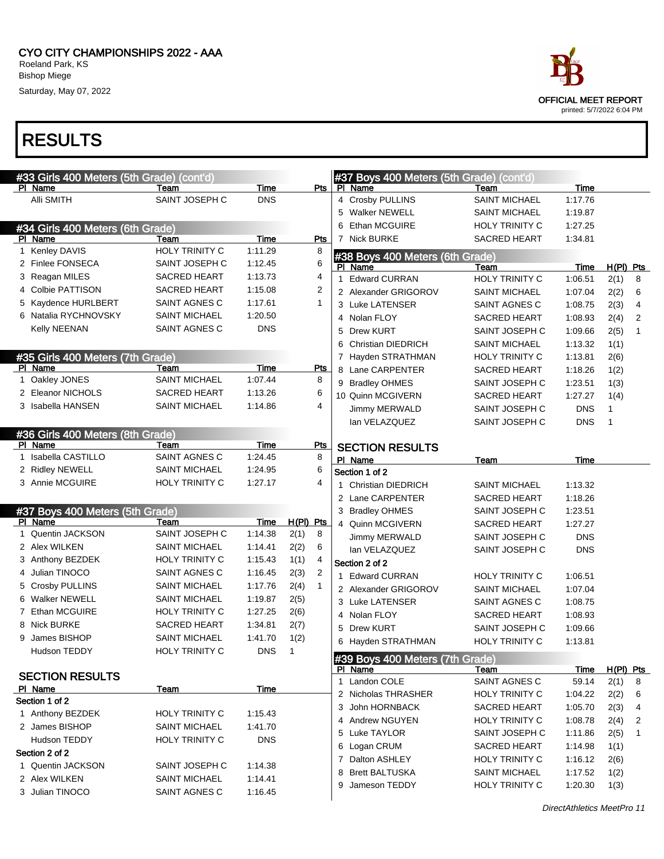#### RESULTS

|   | #33 Girls 400 Meters (5th Grade) (cont'd) |                       |             |             |                | #37 Boys 400 Meters (5th Grade) (cont'd) |                       |             |              |                |
|---|-------------------------------------------|-----------------------|-------------|-------------|----------------|------------------------------------------|-----------------------|-------------|--------------|----------------|
|   | PI Name                                   | Team                  | <b>Time</b> |             | Pts            | PI Name                                  | Team                  | Time        |              |                |
|   | Alli SMITH                                | SAINT JOSEPH C        | <b>DNS</b>  |             |                | 4 Crosby PULLINS                         | SAINT MICHAEL         | 1:17.76     |              |                |
|   |                                           |                       |             |             |                | 5 Walker NEWELL                          | <b>SAINT MICHAEL</b>  | 1:19.87     |              |                |
|   | #34 Girls 400 Meters (6th Grade)          |                       |             |             |                | Ethan MCGUIRE<br>6                       | HOLY TRINITY C        | 1:27.25     |              |                |
|   | PI Name                                   | Team                  | <b>Time</b> |             | <b>Pts</b>     | 7 Nick BURKE                             | <b>SACRED HEART</b>   | 1:34.81     |              |                |
| 1 | Kenley DAVIS                              | HOLY TRINITY C        | 1:11.29     |             | 8              | #38 Boys 400 Meters (6th Grade)          |                       |             |              |                |
|   | 2 Finlee FONSECA                          | SAINT JOSEPH C        | 1:12.45     |             | 6              | PI Name                                  | Team                  | Time        | $H(PI)$ Pts  |                |
|   | 3 Reagan MILES                            | SACRED HEART          | 1:13.73     |             | 4              | 1 Edward CURRAN                          | HOLY TRINITY C        | 1:06.51     | 2(1)         | 8              |
|   | 4 Colbie PATTISON                         | <b>SACRED HEART</b>   | 1:15.08     |             | $\overline{c}$ | 2 Alexander GRIGOROV                     | <b>SAINT MICHAEL</b>  | 1:07.04     | 2(2)         | 6              |
|   | 5 Kaydence HURLBERT                       | SAINT AGNES C         | 1:17.61     |             | $\mathbf{1}$   | 3 Luke LATENSER                          | SAINT AGNES C         | 1:08.75     | 2(3)         | 4              |
|   | 6 Natalia RYCHNOVSKY                      | SAINT MICHAEL         | 1:20.50     |             |                | 4 Nolan FLOY                             | SACRED HEART          | 1:08.93     | 2(4)         | $\overline{2}$ |
|   | Kelly NEENAN                              | SAINT AGNES C         | <b>DNS</b>  |             |                | 5 Drew KURT                              | SAINT JOSEPH C        | 1:09.66     | 2(5)         | $\mathbf{1}$   |
|   |                                           |                       |             |             |                | 6 Christian DIEDRICH                     | <b>SAINT MICHAEL</b>  | 1:13.32     | 1(1)         |                |
|   | #35 Girls 400 Meters (7th Grade)          |                       |             |             |                | 7 Hayden STRATHMAN                       | HOLY TRINITY C        | 1:13.81     | 2(6)         |                |
|   | PI Name                                   | Team                  | <b>Time</b> |             | Pts            | 8 Lane CARPENTER                         | SACRED HEART          | 1:18.26     | 1(2)         |                |
|   | 1 Oakley JONES                            | <b>SAINT MICHAEL</b>  | 1:07.44     |             | 8              | 9 Bradley OHMES                          | SAINT JOSEPH C        | 1:23.51     | 1(3)         |                |
|   | 2 Eleanor NICHOLS                         | <b>SACRED HEART</b>   | 1:13.26     |             | 6              | 10 Quinn MCGIVERN                        | SACRED HEART          | 1:27.27     | 1(4)         |                |
|   | 3 Isabella HANSEN                         | <b>SAINT MICHAEL</b>  | 1:14.86     |             | 4              | Jimmy MERWALD                            | SAINT JOSEPH C        | <b>DNS</b>  | 1            |                |
|   |                                           |                       |             |             |                | lan VELAZQUEZ                            | SAINT JOSEPH C        | <b>DNS</b>  | $\mathbf{1}$ |                |
|   | #36 Girls 400 Meters (8th Grade)          |                       |             |             |                |                                          |                       |             |              |                |
|   | PI Name                                   | Team                  | Time        |             | <b>Pts</b>     | <b>SECTION RESULTS</b>                   |                       |             |              |                |
| 1 | Isabella CASTILLO                         | SAINT AGNES C         | 1:24.45     |             | 8              | PI Name                                  | <b>Team</b>           | <b>Time</b> |              |                |
|   | 2 Ridley NEWELL                           | <b>SAINT MICHAEL</b>  | 1:24.95     |             | 6              | Section 1 of 2                           |                       |             |              |                |
|   | 3 Annie MCGUIRE                           | <b>HOLY TRINITY C</b> | 1:27.17     |             | 4              | 1 Christian DIEDRICH                     | <b>SAINT MICHAEL</b>  | 1:13.32     |              |                |
|   |                                           |                       |             |             |                | 2 Lane CARPENTER                         | SACRED HEART          | 1:18.26     |              |                |
|   | #37 Boys 400 Meters (5th Grade)           |                       |             |             |                | 3 Bradley OHMES                          | SAINT JOSEPH C        | 1:23.51     |              |                |
|   | PI Name                                   | Team                  | <b>Time</b> | $H(PI)$ Pts |                | 4 Quinn MCGIVERN                         |                       | 1:27.27     |              |                |
| 1 | <b>Quentin JACKSON</b>                    | SAINT JOSEPH C        | 1:14.38     | 2(1)        | 8              |                                          | SACRED HEART          |             |              |                |
|   | 2 Alex WILKEN                             | <b>SAINT MICHAEL</b>  | 1:14.41     | 2(2)        | 6              | Jimmy MERWALD                            | SAINT JOSEPH C        | <b>DNS</b>  |              |                |
|   | 3 Anthony BEZDEK                          | HOLY TRINITY C        | 1:15.43     | 1(1)        | 4              | lan VELAZQUEZ                            | SAINT JOSEPH C        | <b>DNS</b>  |              |                |
|   | 4 Julian TINOCO                           | SAINT AGNES C         | 1:16.45     | 2(3)        | $\overline{2}$ | Section 2 of 2                           |                       |             |              |                |
|   | 5 Crosby PULLINS                          | SAINT MICHAEL         | 1:17.76     | 2(4)        | $\mathbf{1}$   | 1 Edward CURRAN                          | <b>HOLY TRINITY C</b> | 1:06.51     |              |                |
|   | 6 Walker NEWELL                           | <b>SAINT MICHAEL</b>  | 1:19.87     | 2(5)        |                | 2 Alexander GRIGOROV                     | <b>SAINT MICHAEL</b>  | 1:07.04     |              |                |
|   | 7 Ethan MCGUIRE                           | <b>HOLY TRINITY C</b> | 1:27.25     |             |                | 3 Luke LATENSER                          | SAINT AGNES C         | 1:08.75     |              |                |
|   |                                           |                       |             | 2(6)        |                | 4 Nolan FLOY                             | SACRED HEART          | 1:08.93     |              |                |
|   | 8 Nick BURKE                              | <b>SACRED HEART</b>   | 1:34.81     | 2(7)        |                | 5 Drew KURT                              | SAINT JOSEPH C        | 1:09.66     |              |                |
|   | 9 James BISHOP                            | <b>SAINT MICHAEL</b>  | 1:41.70     | 1(2)        |                | 6 Hayden STRATHMAN                       | HOLY TRINITY C        | 1:13.81     |              |                |
|   | Hudson TEDDY                              | HOLY TRINITY C        | <b>DNS</b>  | 1           |                | #39 Boys 400 Meters (7th Grade)          |                       |             |              |                |
|   |                                           |                       |             |             |                | PI Name                                  | Te <u>am</u>          | <b>Time</b> | $H(PI)$ Pts  |                |
|   | <b>SECTION RESULTS</b>                    |                       |             |             |                | 1 Landon COLE                            | SAINT AGNES C         | 59.14       | 2(1)         | 8              |
|   | PI Name                                   | <u>Team</u>           | Time        |             |                | 2 Nicholas THRASHER                      | HOLY TRINITY C        | 1:04.22     | 2(2)         | 6              |
|   | Section 1 of 2                            |                       |             |             |                | 3 John HORNBACK                          | <b>SACRED HEART</b>   | 1:05.70     | 2(3)         | 4              |
|   | 1 Anthony BEZDEK                          | HOLY TRINITY C        | 1:15.43     |             |                | 4 Andrew NGUYEN                          | HOLY TRINITY C        | 1:08.78     | 2(4)         | 2              |
|   | 2 James BISHOP                            | <b>SAINT MICHAEL</b>  | 1:41.70     |             |                | 5 Luke TAYLOR                            | SAINT JOSEPH C        | 1:11.86     | 2(5)         | $\mathbf{1}$   |
|   | Hudson TEDDY                              | HOLY TRINITY C        | <b>DNS</b>  |             |                | 6 Logan CRUM                             | SACRED HEART          | 1:14.98     | 1(1)         |                |
|   | Section 2 of 2                            |                       |             |             |                | 7 Dalton ASHLEY                          | HOLY TRINITY C        | 1:16.12     | 2(6)         |                |
| 1 | Quentin JACKSON                           | SAINT JOSEPH C        | 1:14.38     |             |                | <b>Brett BALTUSKA</b><br>8               | <b>SAINT MICHAEL</b>  | 1:17.52     | 1(2)         |                |
|   | 2 Alex WILKEN                             | <b>SAINT MICHAEL</b>  | 1:14.41     |             |                | Jameson TEDDY<br>9                       | HOLY TRINITY C        | 1:20.30     | 1(3)         |                |
|   | 3 Julian TINOCO                           | SAINT AGNES C         | 1:16.45     |             |                |                                          |                       |             |              |                |
|   |                                           |                       |             |             |                |                                          |                       |             |              |                |

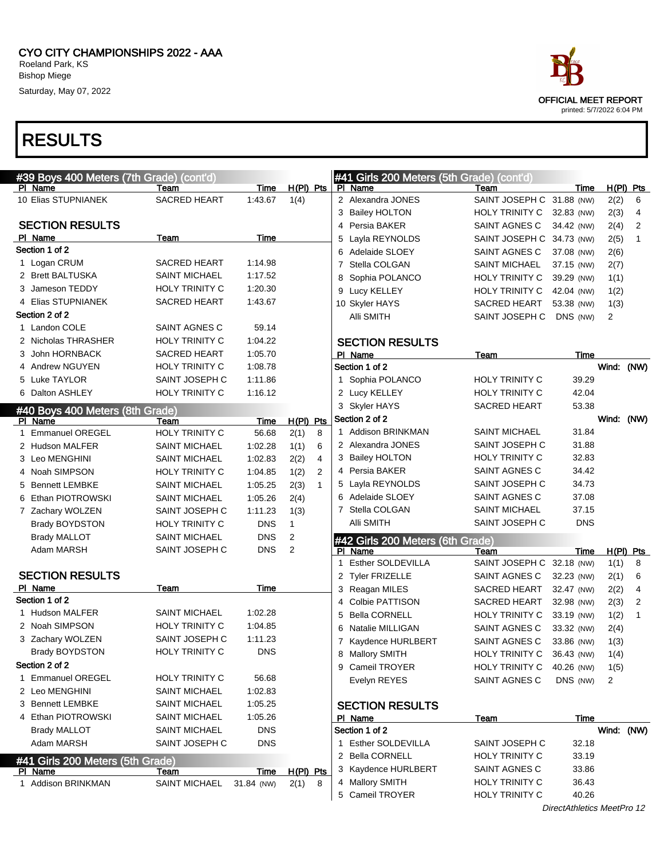

| #39 Boys 400 Meters (7th Grade) (cont'd) |                       |            |             |              |   | #41 Girls 200 Meters (5th Grade) (cont'd) |                           |                       |       |                |
|------------------------------------------|-----------------------|------------|-------------|--------------|---|-------------------------------------------|---------------------------|-----------------------|-------|----------------|
| PI Name                                  | Team                  | Time       | $H(PI)$ Pts |              |   | PI Name                                   | Team                      | Time                  |       | $H(PI)$ Pts    |
| 10 Elias STUPNIANEK                      | <b>SACRED HEART</b>   | 1:43.67    | 1(4)        |              |   | 2 Alexandra JONES                         | SAINT JOSEPH C 31.88 (NW) |                       | 2(2)  | 6              |
|                                          |                       |            |             |              |   | 3 Bailey HOLTON                           | HOLY TRINITY C            | 32.83 (NW)            | 2(3)  | 4              |
| <b>SECTION RESULTS</b>                   |                       |            |             |              |   | 4 Persia BAKER                            | SAINT AGNES C             | 34.42 (NW)            | 2(4)  | 2              |
| PI Name                                  | Team                  | Time       |             |              | 5 | Layla REYNOLDS                            | SAINT JOSEPH C 34.73 (NW) |                       | 2(5)  | $\mathbf{1}$   |
| Section 1 of 2                           |                       |            |             |              |   | 6 Adelaide SLOEY                          | SAINT AGNES C             | 37.08 (NW)            | 2(6)  |                |
| 1 Logan CRUM                             | <b>SACRED HEART</b>   | 1:14.98    |             |              | 7 | Stella COLGAN                             | <b>SAINT MICHAEL</b>      | 37.15 (NW)            | 2(7)  |                |
| 2 Brett BALTUSKA                         | <b>SAINT MICHAEL</b>  | 1:17.52    |             |              | 8 | Sophia POLANCO                            | <b>HOLY TRINITY C</b>     | 39.29 (NW)            | 1(1)  |                |
| 3 Jameson TEDDY                          | <b>HOLY TRINITY C</b> | 1:20.30    |             |              | 9 | Lucy KELLEY                               | HOLY TRINITY C            | 42.04 (NW)            | 1(2)  |                |
| 4 Elias STUPNIANEK                       | SACRED HEART          | 1:43.67    |             |              |   | 10 Skyler HAYS                            | SACRED HEART              | 53.38 (NW)            | 1(3)  |                |
| Section 2 of 2                           |                       |            |             |              |   | Alli SMITH                                | SAINT JOSEPH C            | DNS (NW)              | 2     |                |
| 1 Landon COLE                            | SAINT AGNES C         | 59.14      |             |              |   |                                           |                           |                       |       |                |
| 2 Nicholas THRASHER                      | <b>HOLY TRINITY C</b> | 1:04.22    |             |              |   | <b>SECTION RESULTS</b>                    |                           |                       |       |                |
| 3 John HORNBACK                          | <b>SACRED HEART</b>   | 1:05.70    |             |              |   | PI Name                                   | Team                      | Time                  |       |                |
| 4 Andrew NGUYEN                          | <b>HOLY TRINITY C</b> | 1:08.78    |             |              |   | Section 1 of 2                            |                           |                       | Wind: | (NW)           |
| 5 Luke TAYLOR                            | SAINT JOSEPH C        | 1:11.86    |             |              |   | 1 Sophia POLANCO                          | <b>HOLY TRINITY C</b>     | 39.29                 |       |                |
| 6 Dalton ASHLEY                          | <b>HOLY TRINITY C</b> | 1:16.12    |             |              |   | 2 Lucy KELLEY                             | HOLY TRINITY C            | 42.04                 |       |                |
| #40 Boys 400 Meters (8th Grade)          |                       |            |             |              |   | 3 Skyler HAYS                             | <b>SACRED HEART</b>       | 53.38                 |       |                |
| PI Name                                  | Team                  | Time       | $H(PI)$ Pts |              |   | Section 2 of 2                            |                           |                       | Wind: | (NW)           |
| 1 Emmanuel OREGEL                        | HOLY TRINITY C        | 56.68      | 2(1)        | 8            |   | 1 Addison BRINKMAN                        | SAINT MICHAEL             | 31.84                 |       |                |
| 2 Hudson MALFER                          | <b>SAINT MICHAEL</b>  | 1:02.28    | 1(1)        | 6            |   | 2 Alexandra JONES                         | SAINT JOSEPH C            | 31.88                 |       |                |
| 3 Leo MENGHINI                           | <b>SAINT MICHAEL</b>  | 1:02.83    | 2(2)        | 4            |   | 3 Bailey HOLTON                           | HOLY TRINITY C            | 32.83                 |       |                |
| 4 Noah SIMPSON                           | <b>HOLY TRINITY C</b> | 1:04.85    | 1(2)        | 2            |   | 4 Persia BAKER                            | SAINT AGNES C             | 34.42                 |       |                |
| 5 Bennett LEMBKE                         | <b>SAINT MICHAEL</b>  | 1:05.25    | 2(3)        | $\mathbf{1}$ |   | 5 Layla REYNOLDS                          | SAINT JOSEPH C            | 34.73                 |       |                |
| 6 Ethan PIOTROWSKI                       | <b>SAINT MICHAEL</b>  | 1:05.26    | 2(4)        |              |   | 6 Adelaide SLOEY                          | SAINT AGNES C             | 37.08                 |       |                |
| 7 Zachary WOLZEN                         | SAINT JOSEPH C        | 1:11.23    | 1(3)        |              |   | 7 Stella COLGAN                           | SAINT MICHAEL             | 37.15                 |       |                |
| <b>Brady BOYDSTON</b>                    | HOLY TRINITY C        | <b>DNS</b> | 1           |              |   | Alli SMITH                                | SAINT JOSEPH C            | <b>DNS</b>            |       |                |
| <b>Brady MALLOT</b>                      | <b>SAINT MICHAEL</b>  | <b>DNS</b> | 2           |              |   | #42 Girls 200 Meters (6th Grade)          |                           |                       |       |                |
| Adam MARSH                               | SAINT JOSEPH C        | <b>DNS</b> | 2           |              |   | PI Name                                   | Team                      | <u>Time</u>           |       | $H(PI)$ Pts    |
|                                          |                       |            |             |              | 1 | Esther SOLDEVILLA                         | SAINT JOSEPH C 32.18 (NW) |                       | 1(1)  | 8              |
| <b>SECTION RESULTS</b>                   |                       |            |             |              |   | 2 Tyler FRIZELLE                          | SAINT AGNES C             | 32.23 (NW)            | 2(1)  | 6              |
| PI Name                                  | Team                  | Time       |             |              |   | 3 Reagan MILES                            | SACRED HEART              | 32.47 (NW)            | 2(2)  | 4              |
| Section 1 of 2                           |                       |            |             |              |   | 4 Colbie PATTISON                         | <b>SACRED HEART</b>       | 32.98 (NW)            | 2(3)  | $\overline{2}$ |
| 1 Hudson MALFER                          | <b>SAINT MICHAEL</b>  | 1:02.28    |             |              | 5 | <b>Bella CORNELL</b>                      | <b>HOLY TRINITY C</b>     | 33.19 (NW)            | 1(2)  | 1              |
| 2 Noah SIMPSON                           | <b>HOLY TRINITY C</b> | 1:04.85    |             |              | 6 | Natalie MILLIGAN                          | SAINT AGNES C             | 33.32 (NW)            | 2(4)  |                |
| 3 Zachary WOLZEN                         | SAINT JOSEPH C        | 1:11.23    |             |              |   | 7 Kaydence HURLBERT                       | SAINT AGNES C             | 33.86 (NW)            | 1(3)  |                |
| <b>Brady BOYDSTON</b>                    | HOLY TRINITY C        | <b>DNS</b> |             |              |   | 8 Mallory SMITH                           | HOLY TRINITY C            | 36.43 (NW)            | 1(4)  |                |
| Section 2 of 2                           |                       |            |             |              |   | 9 Cameil TROYER                           | HOLY TRINITY C 40.26 (NW) |                       | 1(5)  |                |
| 1 Emmanuel OREGEL                        | <b>HOLY TRINITY C</b> | 56.68      |             |              |   | Evelyn REYES                              | SAINT AGNES C             | DNS (NW)              | 2     |                |
| 2 Leo MENGHINI                           | <b>SAINT MICHAEL</b>  | 1:02.83    |             |              |   |                                           |                           |                       |       |                |
| 3 Bennett LEMBKE                         | <b>SAINT MICHAEL</b>  | 1:05.25    |             |              |   | <b>SECTION RESULTS</b>                    |                           |                       |       |                |
| 4 Ethan PIOTROWSKI                       | <b>SAINT MICHAEL</b>  | 1:05.26    |             |              |   | PI Name                                   | <u>Team</u>               | Time                  |       |                |
| <b>Brady MALLOT</b>                      | <b>SAINT MICHAEL</b>  | <b>DNS</b> |             |              |   | Section 1 of 2                            |                           |                       |       | Wind: (NW)     |
| Adam MARSH                               | SAINT JOSEPH C        | <b>DNS</b> |             |              |   | 1 Esther SOLDEVILLA                       | SAINT JOSEPH C            | 32.18                 |       |                |
| #41 Girls 200 Meters (5th Grade)         |                       |            |             |              |   | 2 Bella CORNELL                           | HOLY TRINITY C            | 33.19                 |       |                |
| PI Name                                  | Team                  | Time       | $H(PI)$ Pts |              |   | 3 Kaydence HURLBERT                       | SAINT AGNES C             | 33.86                 |       |                |
| 1 Addison BRINKMAN                       | <b>SAINT MICHAEL</b>  | 31.84 (NW) | 2(1)        | 8            |   | 4 Mallory SMITH                           | <b>HOLY TRINITY C</b>     | 36.43                 |       |                |
|                                          |                       |            |             |              |   | 5 Cameil TROYER                           | <b>HOLY TRINITY C</b>     | 40.26                 |       |                |
|                                          |                       |            |             |              |   |                                           |                           | $Athlatiaa A0ADra 42$ |       |                |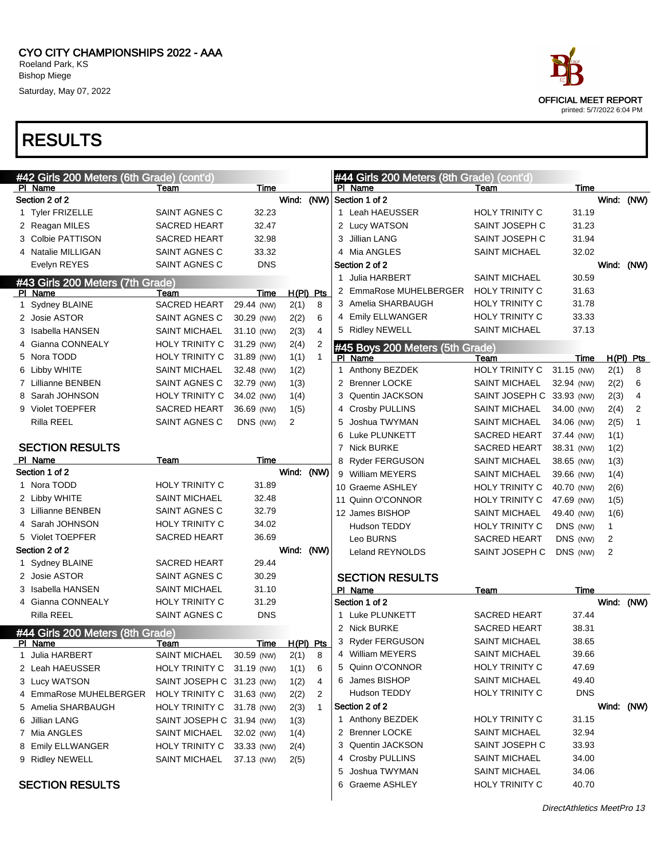## RESULTS

|   | #42 Girls 200 Meters (6th Grade) (cont'd)<br>PI Name | Team                                          | Time       |             |                |    | #44 Girls 200 Meters (8th Grade) (cont'd)<br>PI Name | Team                                       | Time           |            |                |
|---|------------------------------------------------------|-----------------------------------------------|------------|-------------|----------------|----|------------------------------------------------------|--------------------------------------------|----------------|------------|----------------|
|   | Section 2 of 2                                       |                                               |            | Wind: (NW)  |                |    | Section 1 of 2                                       |                                            |                | Wind: (NW) |                |
|   | 1 Tyler FRIZELLE                                     | SAINT AGNES C                                 | 32.23      |             |                |    | 1 Leah HAEUSSER                                      | <b>HOLY TRINITY C</b>                      | 31.19          |            |                |
|   | 2 Reagan MILES                                       | <b>SACRED HEART</b>                           | 32.47      |             |                |    | 2 Lucy WATSON                                        | SAINT JOSEPH C                             | 31.23          |            |                |
|   | 3 Colbie PATTISON                                    | <b>SACRED HEART</b>                           | 32.98      |             |                | 3. | Jillian LANG                                         | SAINT JOSEPH C                             | 31.94          |            |                |
|   | 4 Natalie MILLIGAN                                   | SAINT AGNES C                                 | 33.32      |             |                | 4  | Mia ANGLES                                           | <b>SAINT MICHAEL</b>                       | 32.02          |            |                |
|   | Evelyn REYES                                         | SAINT AGNES C                                 | <b>DNS</b> |             |                |    | Section 2 of 2                                       |                                            |                | Wind: (NW) |                |
|   | #43 Girls 200 Meters (7th Grade)                     |                                               |            |             |                |    | 1 Julia HARBERT                                      | <b>SAINT MICHAEL</b>                       | 30.59          |            |                |
|   | PI Name                                              | Team                                          | Time       | $H(PI)$ Pts |                |    | 2 EmmaRose MUHELBERGER                               | <b>HOLY TRINITY C</b>                      | 31.63          |            |                |
|   | 1 Sydney BLAINE                                      | <b>SACRED HEART</b>                           | 29.44 (NW) | 2(1)        | 8              |    | 3 Amelia SHARBAUGH                                   | HOLY TRINITY C                             | 31.78          |            |                |
|   | 2 Josie ASTOR                                        | SAINT AGNES C                                 | 30.29 (NW) | 2(2)        | 6              |    | 4 Emily ELLWANGER                                    | <b>HOLY TRINITY C</b>                      | 33.33          |            |                |
|   | 3 Isabella HANSEN                                    | <b>SAINT MICHAEL</b>                          | 31.10 (NW) | 2(3)        | 4              |    | 5 Ridley NEWELL                                      | <b>SAINT MICHAEL</b>                       | 37.13          |            |                |
|   | 4 Gianna CONNEALY                                    | HOLY TRINITY C                                | 31.29 (NW) | 2(4)        | $\overline{2}$ |    | #45 Boys 200 Meters (5th Grade)                      |                                            |                |            |                |
|   | 5 Nora TODD                                          | HOLY TRINITY C                                | 31.89 (NW) | 1(1)        | $\mathbf{1}$   |    | PI Name                                              | Team                                       | Time           |            | $H(PI)$ Pts    |
|   | 6 Libby WHITE                                        | <b>SAINT MICHAEL</b>                          | 32.48 (NW) | 1(2)        |                |    | 1 Anthony BEZDEK                                     | <b>HOLY TRINITY C</b>                      | 31.15 (NW)     | 2(1)       | 8              |
|   | 7 Lillianne BENBEN                                   | SAINT AGNES C                                 | 32.79 (NW) | 1(3)        |                |    | 2 Brenner LOCKE                                      | <b>SAINT MICHAEL</b>                       | 32.94 (NW)     | 2(2)       | 6              |
|   | 8 Sarah JOHNSON                                      | HOLY TRINITY C                                | 34.02 (NW) | 1(4)        |                |    | 3 Quentin JACKSON                                    | SAINT JOSEPH C 33.93 (NW)                  |                | 2(3)       | 4              |
|   | 9 Violet TOEPFER                                     | <b>SACRED HEART</b>                           | 36.69 (NW) | 1(5)        |                |    | 4 Crosby PULLINS                                     | <b>SAINT MICHAEL</b>                       | 34.00 (NW)     | 2(4)       | $\overline{2}$ |
|   | Rilla REEL                                           | SAINT AGNES C                                 | DNS (NW)   | 2           |                | 5  | Joshua TWYMAN                                        | <b>SAINT MICHAEL</b>                       | 34.06 (NW)     | 2(5)       | $\mathbf{1}$   |
|   |                                                      |                                               |            |             |                | 6  | Luke PLUNKETT                                        | <b>SACRED HEART</b>                        | 37.44 (NW)     | 1(1)       |                |
|   | <b>SECTION RESULTS</b>                               |                                               |            |             |                |    | 7 Nick BURKE                                         | <b>SACRED HEART</b>                        | 38.31 (NW)     | 1(2)       |                |
|   | PI Name                                              | Team                                          | Time       |             |                |    | 8 Ryder FERGUSON                                     | <b>SAINT MICHAEL</b>                       | 38.65 (NW)     | 1(3)       |                |
|   | Section 1 of 2                                       |                                               |            | Wind: (NW)  |                |    | 9 William MEYERS                                     | <b>SAINT MICHAEL</b>                       | 39.66 (NW)     | 1(4)       |                |
|   | 1 Nora TODD                                          | <b>HOLY TRINITY C</b>                         | 31.89      |             |                |    | 10 Graeme ASHLEY                                     | HOLY TRINITY C                             | 40.70 (NW)     | 2(6)       |                |
|   | 2 Libby WHITE                                        | <b>SAINT MICHAEL</b>                          | 32.48      |             |                |    | 11 Quinn O'CONNOR                                    | HOLY TRINITY C                             | 47.69 (NW)     | 1(5)       |                |
|   | 3 Lillianne BENBEN                                   | SAINT AGNES C                                 | 32.79      |             |                |    | 12 James BISHOP                                      | <b>SAINT MICHAEL</b>                       | 49.40 (NW)     | 1(6)       |                |
|   | 4 Sarah JOHNSON                                      | <b>HOLY TRINITY C</b>                         | 34.02      |             |                |    | Hudson TEDDY                                         | HOLY TRINITY C                             | DNS (NW)       | 1          |                |
|   | 5 Violet TOEPFER                                     | <b>SACRED HEART</b>                           | 36.69      |             |                |    | Leo BURNS                                            | <b>SACRED HEART</b>                        | DNS (NW)       | 2          |                |
|   | Section 2 of 2                                       |                                               |            | Wind:       | (NW)           |    | Leland REYNOLDS                                      | SAINT JOSEPH C                             | DNS (NW)       | 2          |                |
|   | 1 Sydney BLAINE                                      | <b>SACRED HEART</b>                           | 29.44      |             |                |    |                                                      |                                            |                |            |                |
|   | 2 Josie ASTOR                                        | SAINT AGNES C                                 | 30.29      |             |                |    | <b>SECTION RESULTS</b>                               |                                            |                |            |                |
|   | 3 Isabella HANSEN                                    | <b>SAINT MICHAEL</b>                          | 31.10      |             |                |    | PI Name                                              | Team                                       | Time           |            |                |
|   | 4 Gianna CONNEALY                                    | <b>HOLY TRINITY C</b><br><b>SAINT AGNES C</b> | 31.29      |             |                |    | Section 1 of 2                                       |                                            |                | Wind: (NW) |                |
|   | Rilla REEL                                           |                                               | <b>DNS</b> |             |                |    | 1 Luke PLUNKETT<br>2 Nick BURKE                      | <b>SACRED HEART</b><br><b>SACRED HEART</b> | 37.44          |            |                |
|   | #44 Girls 200 Meters (8th Grade)                     |                                               |            |             |                |    | 3 Ryder FERGUSON                                     | <b>SAINT MICHAEL</b>                       | 38.31<br>38.65 |            |                |
|   | PI Name                                              | Team                                          | Time       | $H(PI)$ Pts |                |    | William MEYERS                                       |                                            |                |            |                |
| 1 | Julia HARBERT                                        | <b>SAINT MICHAEL</b>                          | 30.59 (NW) | 2(1)        | 8              | 4  | 5 Quinn O'CONNOR                                     | <b>SAINT MICHAEL</b><br>HOLY TRINITY C     | 39.66<br>47.69 |            |                |
|   | 2 Leah HAEUSSER                                      | <b>HOLY TRINITY C</b>                         | 31.19 (NW) | 1(1)        | 6              |    | 6 James BISHOP                                       | <b>SAINT MICHAEL</b>                       | 49.40          |            |                |
|   | 3 Lucy WATSON                                        | SAINT JOSEPH C 31.23 (NW)                     |            | 1(2)        | 4              |    | Hudson TEDDY                                         | HOLY TRINITY C                             | <b>DNS</b>     |            |                |
|   | 4 EmmaRose MUHELBERGER                               | HOLY TRINITY C 31.63 (NW)                     |            | 2(2)        | 2              |    | Section 2 of 2                                       |                                            |                |            |                |
|   | 5 Amelia SHARBAUGH                                   | <b>HOLY TRINITY C</b>                         | 31.78 (NW) | 2(3)        | $\mathbf{1}$   |    | 1 Anthony BEZDEK                                     | <b>HOLY TRINITY C</b>                      | 31.15          | Wind: (NW) |                |
|   | 6 Jillian LANG                                       | SAINT JOSEPH C 31.94 (NW)                     |            | 1(3)        |                |    | 2 Brenner LOCKE                                      | <b>SAINT MICHAEL</b>                       | 32.94          |            |                |
|   | 7 Mia ANGLES                                         | <b>SAINT MICHAEL</b>                          | 32.02 (NW) | 1(4)        |                |    | 3 Quentin JACKSON                                    | SAINT JOSEPH C                             | 33.93          |            |                |
|   | 8 Emily ELLWANGER                                    | <b>HOLY TRINITY C</b>                         | 33.33 (NW) | 2(4)        |                |    | 4 Crosby PULLINS                                     | <b>SAINT MICHAEL</b>                       | 34.00          |            |                |
|   | 9 Ridley NEWELL                                      | <b>SAINT MICHAEL</b>                          | 37.13 (NW) | 2(5)        |                | 5  | Joshua TWYMAN                                        | <b>SAINT MICHAEL</b>                       | 34.06          |            |                |
|   | <b>SECTION RESULTS</b>                               |                                               |            |             |                |    | 6 Graeme ASHLEY                                      | HOLY TRINITY C                             | 40.70          |            |                |
|   |                                                      |                                               |            |             |                |    |                                                      |                                            |                |            |                |

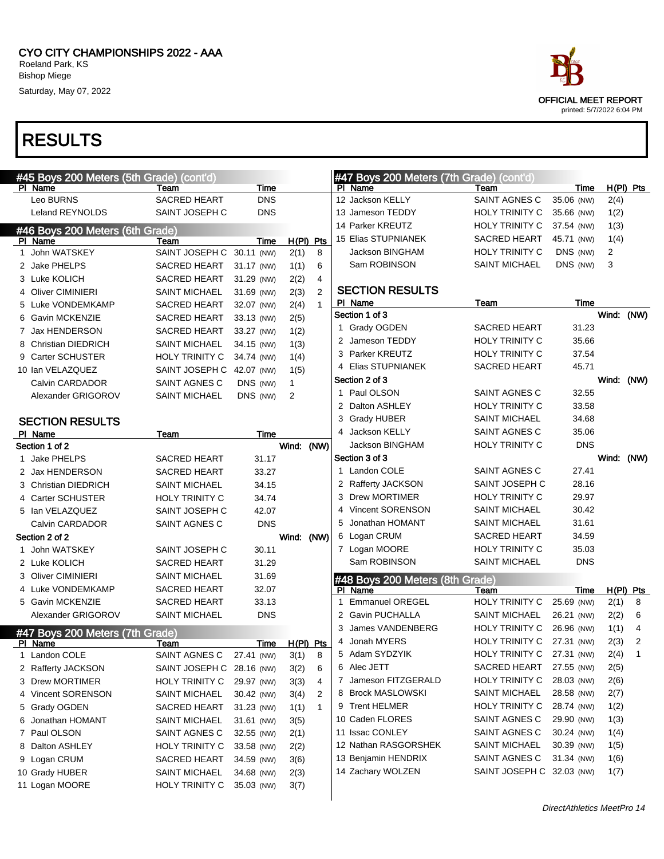| ace.                      |
|---------------------------|
| OFFICIAL MEET REPORT      |
| printed: 5/7/2022 6:04 PM |

|   | #45 Boys 200 Meters (5th Grade) (cont'd) |                           |            |              |                |   | #47 Boys 200 Meters (7th Grade) (cont'd) |                           |            |            |                |
|---|------------------------------------------|---------------------------|------------|--------------|----------------|---|------------------------------------------|---------------------------|------------|------------|----------------|
|   | PI Name                                  | Team                      | Time       |              |                |   | PI Name                                  | Team                      | Time       |            | $H(PI)$ Pts    |
|   | Leo BURNS                                | <b>SACRED HEART</b>       | <b>DNS</b> |              |                |   | 12 Jackson KELLY                         | SAINT AGNES C             | 35.06 (NW) | 2(4)       |                |
|   | Leland REYNOLDS                          | SAINT JOSEPH C            | <b>DNS</b> |              |                |   | 13 Jameson TEDDY                         | <b>HOLY TRINITY C</b>     | 35.66 (NW) | 1(2)       |                |
|   | #46 Boys 200 Meters (6th Grade)          |                           |            |              |                |   | 14 Parker KREUTZ                         | HOLY TRINITY C            | 37.54 (NW) | 1(3)       |                |
|   | PI Name                                  | Team                      | Time       | $H(PI)$ Pts  |                |   | 15 Elias STUPNIANEK                      | <b>SACRED HEART</b>       | 45.71 (NW) | 1(4)       |                |
|   | 1 John WATSKEY                           | SAINT JOSEPH C 30.11 (NW) |            | 2(1)         | 8              |   | Jackson BINGHAM                          | <b>HOLY TRINITY C</b>     | DNS (NW)   | 2          |                |
|   | 2 Jake PHELPS                            | <b>SACRED HEART</b>       | 31.17 (NW) | 1(1)         | 6              |   | Sam ROBINSON                             | <b>SAINT MICHAEL</b>      | DNS (NW)   | 3          |                |
|   | 3 Luke KOLICH                            | <b>SACRED HEART</b>       | 31.29 (NW) | 2(2)         | $\overline{4}$ |   |                                          |                           |            |            |                |
|   | 4 Oliver CIMINIERI                       | <b>SAINT MICHAEL</b>      | 31.69 (NW) | 2(3)         | $\overline{2}$ |   | <b>SECTION RESULTS</b>                   |                           |            |            |                |
|   | 5 Luke VONDEMKAMP                        | <b>SACRED HEART</b>       | 32.07 (NW) | 2(4)         | $\mathbf{1}$   |   | PI Name                                  | Team                      | Time       |            |                |
|   | 6 Gavin MCKENZIE                         | <b>SACRED HEART</b>       | 33.13 (NW) | 2(5)         |                |   | Section 1 of 3                           |                           |            |            | Wind: (NW)     |
|   | 7 Jax HENDERSON                          | <b>SACRED HEART</b>       | 33.27 (NW) | 1(2)         |                |   | 1 Grady OGDEN                            | <b>SACRED HEART</b>       | 31.23      |            |                |
|   | 8 Christian DIEDRICH                     | <b>SAINT MICHAEL</b>      | 34.15 (NW) | 1(3)         |                |   | 2 Jameson TEDDY                          | HOLY TRINITY C            | 35.66      |            |                |
|   | 9 Carter SCHUSTER                        | <b>HOLY TRINITY C</b>     | 34.74 (NW) | 1(4)         |                |   | 3 Parker KREUTZ                          | HOLY TRINITY C            | 37.54      |            |                |
|   | 10 Ian VELAZQUEZ                         | SAINT JOSEPH C 42.07 (NW) |            | 1(5)         |                |   | 4 Elias STUPNIANEK                       | <b>SACRED HEART</b>       | 45.71      |            |                |
|   | Calvin CARDADOR                          | SAINT AGNES C             | DNS (NW)   | $\mathbf{1}$ |                |   | Section 2 of 3                           |                           |            | Wind: (NW) |                |
|   | Alexander GRIGOROV                       | <b>SAINT MICHAEL</b>      | DNS (NW)   | 2            |                |   | 1 Paul OLSON                             | SAINT AGNES C             | 32.55      |            |                |
|   |                                          |                           |            |              |                |   | 2 Dalton ASHLEY                          | <b>HOLY TRINITY C</b>     | 33.58      |            |                |
|   | <b>SECTION RESULTS</b>                   |                           |            |              |                |   | 3 Grady HUBER                            | <b>SAINT MICHAEL</b>      | 34.68      |            |                |
|   | PI Name                                  | Team                      | Time       |              |                |   | 4 Jackson KELLY                          | SAINT AGNES C             | 35.06      |            |                |
|   | Section 1 of 2                           |                           |            | Wind: (NW)   |                |   | <b>Jackson BINGHAM</b>                   | HOLY TRINITY C            | <b>DNS</b> |            |                |
|   | 1 Jake PHELPS                            | <b>SACRED HEART</b>       | 31.17      |              |                |   | Section 3 of 3                           |                           |            | Wind: (NW) |                |
|   | 2 Jax HENDERSON                          | <b>SACRED HEART</b>       | 33.27      |              |                |   | 1 Landon COLE                            | SAINT AGNES C             | 27.41      |            |                |
|   | 3 Christian DIEDRICH                     | <b>SAINT MICHAEL</b>      | 34.15      |              |                |   | 2 Rafferty JACKSON                       | SAINT JOSEPH C            | 28.16      |            |                |
|   | 4 Carter SCHUSTER                        | <b>HOLY TRINITY C</b>     | 34.74      |              |                |   | 3 Drew MORTIMER                          | <b>HOLY TRINITY C</b>     | 29.97      |            |                |
|   | 5 Ian VELAZQUEZ                          | SAINT JOSEPH C            | 42.07      |              |                |   | 4 Vincent SORENSON                       | <b>SAINT MICHAEL</b>      | 30.42      |            |                |
|   | Calvin CARDADOR                          | SAINT AGNES C             | <b>DNS</b> |              |                |   | 5 Jonathan HOMANT                        | <b>SAINT MICHAEL</b>      | 31.61      |            |                |
|   | Section 2 of 2                           |                           |            | Wind: (NW)   |                |   | 6 Logan CRUM                             | SACRED HEART              | 34.59      |            |                |
|   | 1 John WATSKEY                           | SAINT JOSEPH C            | 30.11      |              |                |   | 7 Logan MOORE                            | HOLY TRINITY C            | 35.03      |            |                |
|   | 2 Luke KOLICH                            | <b>SACRED HEART</b>       | 31.29      |              |                |   | Sam ROBINSON                             | <b>SAINT MICHAEL</b>      | <b>DNS</b> |            |                |
|   | 3 Oliver CIMINIERI                       | <b>SAINT MICHAEL</b>      | 31.69      |              |                |   | #48 Boys 200 Meters (8th Grade)          |                           |            |            |                |
|   | 4 Luke VONDEMKAMP                        | <b>SACRED HEART</b>       | 32.07      |              |                |   | PI Name                                  | Team                      | Time       |            | $H(PI)$ Pts    |
|   | 5 Gavin MCKENZIE                         | <b>SACRED HEART</b>       | 33.13      |              |                |   | 1 Emmanuel OREGEL                        | HOLY TRINITY C            | 25.69 (NW) | 2(1)       | 8              |
|   | Alexander GRIGOROV                       | <b>SAINT MICHAEL</b>      | <b>DNS</b> |              |                |   | 2 Gavin PUCHALLA                         | <b>SAINT MICHAEL</b>      | 26.21 (NW) | 2(2)       | 6              |
|   | #47 Boys 200 Meters (7th Grade)          |                           |            |              |                | 3 | James VANDENBERG                         | HOLY TRINITY C            | 26.96 (NW) | 1(1)       | 4              |
|   | PI Name                                  | Team                      | Time       | $H(PI)$ Pts  |                |   | 4 Jonah MYERS                            | HOLY TRINITY C            | 27.31 (NW) | 2(3)       | $\overline{2}$ |
| 1 | Landon COLE                              | SAINT AGNES C             | 27.41 (NW) | 3(1)         | 8              |   | 5 Adam SYDZYIK                           | HOLY TRINITY C            | 27.31 (NW) | 2(4)       | $\mathbf{1}$   |
|   | 2 Rafferty JACKSON                       | SAINT JOSEPH C 28.16 (NW) |            | 3(2)         | 6              |   | 6 Alec JETT                              | <b>SACRED HEART</b>       | 27.55 (NW) | 2(5)       |                |
|   | 3 Drew MORTIMER                          | HOLY TRINITY C            | 29.97 (NW) | 3(3)         | 4              |   | 7 Jameson FITZGERALD                     | <b>HOLY TRINITY C</b>     | 28.03 (NW) | 2(6)       |                |
|   | 4 Vincent SORENSON                       | <b>SAINT MICHAEL</b>      | 30.42 (NW) | 3(4)         | 2              |   | 8 Brock MASLOWSKI                        | SAINT MICHAEL             | 28.58 (NW) | 2(7)       |                |
|   | 5 Grady OGDEN                            | SACRED HEART              | 31.23 (NW) | 1(1)         | $\mathbf{1}$   |   | 9 Trent HELMER                           | <b>HOLY TRINITY C</b>     | 28.74 (NW) | 1(2)       |                |
|   | 6 Jonathan HOMANT                        | <b>SAINT MICHAEL</b>      | 31.61 (NW) | 3(5)         |                |   | 10 Caden FLORES                          | SAINT AGNES C             | 29.90 (NW) | 1(3)       |                |
|   | 7 Paul OLSON                             | SAINT AGNES C             | 32.55 (NW) | 2(1)         |                |   | 11 Issac CONLEY                          | SAINT AGNES C             | 30.24 (NW) | 1(4)       |                |
|   | 8 Dalton ASHLEY                          | HOLY TRINITY C            | 33.58 (NW) | 2(2)         |                |   | 12 Nathan RASGORSHEK                     | SAINT MICHAEL             | 30.39 (NW) | 1(5)       |                |
|   | 9 Logan CRUM                             | <b>SACRED HEART</b>       | 34.59 (NW) | 3(6)         |                |   | 13 Benjamin HENDRIX                      | SAINT AGNES C             | 31.34 (NW) | 1(6)       |                |
|   | 10 Grady HUBER                           | <b>SAINT MICHAEL</b>      | 34.68 (NW) | 2(3)         |                |   | 14 Zachary WOLZEN                        | SAINT JOSEPH C 32.03 (NW) |            | 1(7)       |                |
|   | 11 Logan MOORE                           | HOLY TRINITY C            | 35.03 (NW) | 3(7)         |                |   |                                          |                           |            |            |                |
|   |                                          |                           |            |              |                |   |                                          |                           |            |            |                |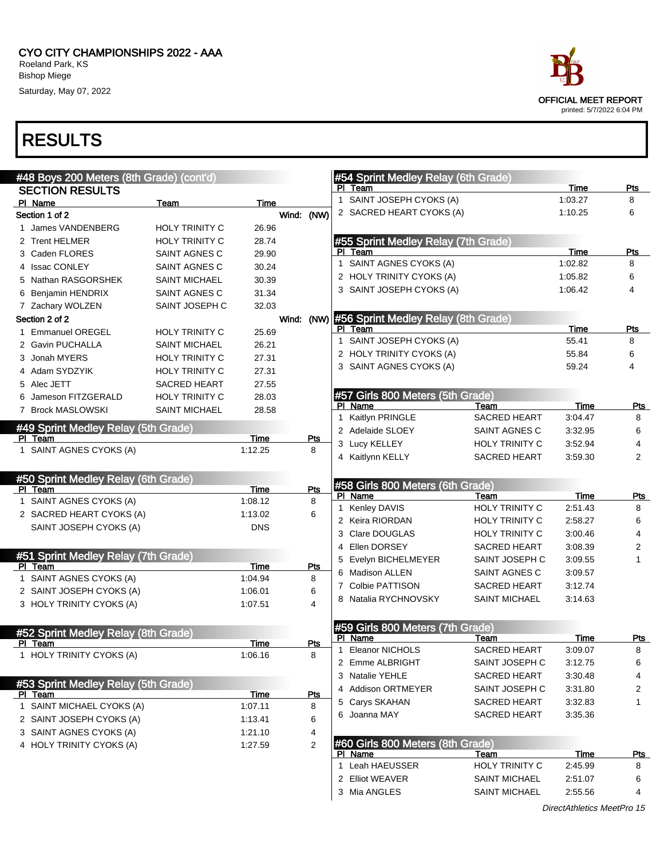

| #48 Boys 200 Meters (8th Grade) (cont'd) |                       |                 |                | #54 Sprint Medley Relay (6th Grade)         |                       |             |                |
|------------------------------------------|-----------------------|-----------------|----------------|---------------------------------------------|-----------------------|-------------|----------------|
| <b>SECTION RESULTS</b>                   |                       |                 |                | PI Team                                     |                       | Time        | Pts            |
| PI Name                                  | Team                  | Time            |                | SAINT JOSEPH CYOKS (A)<br>1                 |                       | 1:03.27     | 8              |
| Section 1 of 2                           |                       |                 | Wind: (NW)     | 2 SACRED HEART CYOKS (A)                    |                       | 1:10.25     | 6              |
| 1 James VANDENBERG                       | <b>HOLY TRINITY C</b> | 26.96           |                |                                             |                       |             |                |
| 2 Trent HELMER                           | <b>HOLY TRINITY C</b> | 28.74           |                | #55 Sprint Medley Relay (7th Grade)         |                       |             |                |
| 3 Caden FLORES                           | SAINT AGNES C         | 29.90           |                | Team<br>PI.                                 |                       | Time        | Pts            |
| 4 Issac CONLEY                           | SAINT AGNES C         | 30.24           |                | SAINT AGNES CYOKS (A)<br>$\mathbf 1$        |                       | 1:02.82     | 8              |
| 5 Nathan RASGORSHEK                      | <b>SAINT MICHAEL</b>  | 30.39           |                | 2 HOLY TRINITY CYOKS (A)                    |                       | 1:05.82     | 6              |
| 6 Benjamin HENDRIX                       | SAINT AGNES C         | 31.34           |                | 3 SAINT JOSEPH CYOKS (A)                    |                       | 1:06.42     | 4              |
| 7 Zachary WOLZEN                         | SAINT JOSEPH C        | 32.03           |                |                                             |                       |             |                |
| Section 2 of 2                           |                       |                 | Wind:          | (NW) #56 Sprint Medley Relay (8th Grade)    |                       |             |                |
| 1 Emmanuel OREGEL                        | <b>HOLY TRINITY C</b> | 25.69           |                | PI Team                                     |                       | Time        | Pts            |
| 2 Gavin PUCHALLA                         | <b>SAINT MICHAEL</b>  | 26.21           |                | SAINT JOSEPH CYOKS (A)<br>$\mathbf{1}$      |                       | 55.41       | 8              |
| 3 Jonah MYERS                            | <b>HOLY TRINITY C</b> | 27.31           |                | 2 HOLY TRINITY CYOKS (A)                    |                       | 55.84       | 6              |
| 4 Adam SYDZYIK                           | <b>HOLY TRINITY C</b> | 27.31           |                | 3 SAINT AGNES CYOKS (A)                     |                       | 59.24       | 4              |
| 5 Alec JETT                              | <b>SACRED HEART</b>   | 27.55           |                |                                             |                       |             |                |
| 6 Jameson FITZGERALD                     | <b>HOLY TRINITY C</b> | 28.03           |                | #57 Girls 800 Meters (5th Grade)            |                       |             |                |
| 7 Brock MASLOWSKI                        | <b>SAINT MICHAEL</b>  | 28.58           |                | PI Name                                     | Team                  | <b>Time</b> | <b>Pts</b>     |
|                                          |                       |                 |                | Kaitlyn PRINGLE<br>$\mathbf{1}$             | <b>SACRED HEART</b>   | 3:04.47     | 8              |
| #49 Sprint Medley Relay (5th Grade)      |                       |                 |                | 2 Adelaide SLOEY                            | SAINT AGNES C         | 3:32.95     | 6              |
| PI Team<br>1 SAINT AGNES CYOKS (A)       |                       | Time<br>1:12.25 | Pts<br>8       | 3 Lucy KELLEY                               | <b>HOLY TRINITY C</b> | 3:52.94     | 4              |
|                                          |                       |                 |                | 4 Kaitlynn KELLY                            | <b>SACRED HEART</b>   | 3:59.30     | 2              |
|                                          |                       |                 |                |                                             |                       |             |                |
| #50 Sprint Medley Relay (6th Grade)      |                       |                 |                | #58 Girls 800 Meters (6th Grade)            |                       |             |                |
| PI Team<br>1 SAINT AGNES CYOKS (A)       |                       | Time<br>1:08.12 | Pts<br>8       | PI Name                                     | Team                  | Time        | <b>Pts</b>     |
| 2 SACRED HEART CYOKS (A)                 |                       | 1:13.02         | 6              | 1 Kenley DAVIS                              | <b>HOLY TRINITY C</b> | 2:51.43     | 8              |
|                                          |                       |                 |                | 2 Keira RIORDAN                             | <b>HOLY TRINITY C</b> | 2:58.27     | 6              |
| SAINT JOSEPH CYOKS (A)                   |                       | <b>DNS</b>      |                | 3 Clare DOUGLAS                             | <b>HOLY TRINITY C</b> | 3:00.46     | 4              |
|                                          |                       |                 |                | 4 Ellen DORSEY                              | <b>SACRED HEART</b>   | 3:08.39     | 2              |
| #51 Sprint Medley Relay (7th Grade)      |                       |                 |                | 5 Evelyn BICHELMEYER                        | SAINT JOSEPH C        | 3:09.55     | $\mathbf{1}$   |
| PI Team                                  |                       | Time            | Pts            | 6 Madison ALLEN                             | SAINT AGNES C         | 3:09.57     |                |
| 1 SAINT AGNES CYOKS (A)                  |                       | 1:04.94         | 8              | 7 Colbie PATTISON                           | <b>SACRED HEART</b>   | 3:12.74     |                |
| 2 SAINT JOSEPH CYOKS (A)                 |                       | 1:06.01         | 6              | 8 Natalia RYCHNOVSKY                        | <b>SAINT MICHAEL</b>  | 3:14.63     |                |
| 3 HOLY TRINITY CYOKS (A)                 |                       | 1:07.51         | 4              |                                             |                       |             |                |
|                                          |                       |                 |                | #59 Girls 800 Meters (7th Grade)            |                       |             |                |
| #52 Sprint Medley Relay (8th Grade)      |                       |                 |                | PI Name                                     | Team                  | Time        | Pts            |
| PI Team                                  |                       | Time            | <u>Pts</u>     | <b>Eleanor NICHOLS</b><br>1                 | <b>SACRED HEART</b>   | 3:09.07     | 8              |
| 1 HOLY TRINITY CYOKS (A)                 |                       | 1:06.16         | 8              | 2 Emme ALBRIGHT                             | SAINT JOSEPH C        | 3:12.75     | 6              |
|                                          |                       |                 |                | 3 Natalie YEHLE                             | <b>SACRED HEART</b>   | 3:30.48     | 4              |
| #53 Sprint Medley Relay (5th Grade)      |                       |                 |                | 4 Addison ORTMEYER                          | SAINT JOSEPH C        | 3:31.80     | $\overline{c}$ |
| PI Team                                  |                       | Time            | <b>Pts</b>     | 5 Carys SKAHAN                              | SACRED HEART          | 3:32.83     | 1              |
| 1 SAINT MICHAEL CYOKS (A)                |                       | 1:07.11         | 8              | 6 Joanna MAY                                | <b>SACRED HEART</b>   | 3:35.36     |                |
| 2 SAINT JOSEPH CYOKS (A)                 |                       | 1:13.41         | 6              |                                             |                       |             |                |
| 3 SAINT AGNES CYOKS (A)                  |                       | 1:21.10         | 4              |                                             |                       |             |                |
| 4 HOLY TRINITY CYOKS (A)                 |                       | 1:27.59         | $\overline{2}$ | #60 Girls 800 Meters (8th Grade)<br>PI Name | Team                  | <b>Time</b> | <u>Pts</u>     |
|                                          |                       |                 |                | 1 Leah HAEUSSER                             | HOLY TRINITY C        | 2:45.99     | 8              |
|                                          |                       |                 |                | 2 Elliot WEAVER                             | <b>SAINT MICHAEL</b>  | 2:51.07     | 6              |
|                                          |                       |                 |                | 3 Mia ANGLES                                | <b>SAINT MICHAEL</b>  | 2:55.56     | 4              |
|                                          |                       |                 |                |                                             |                       |             |                |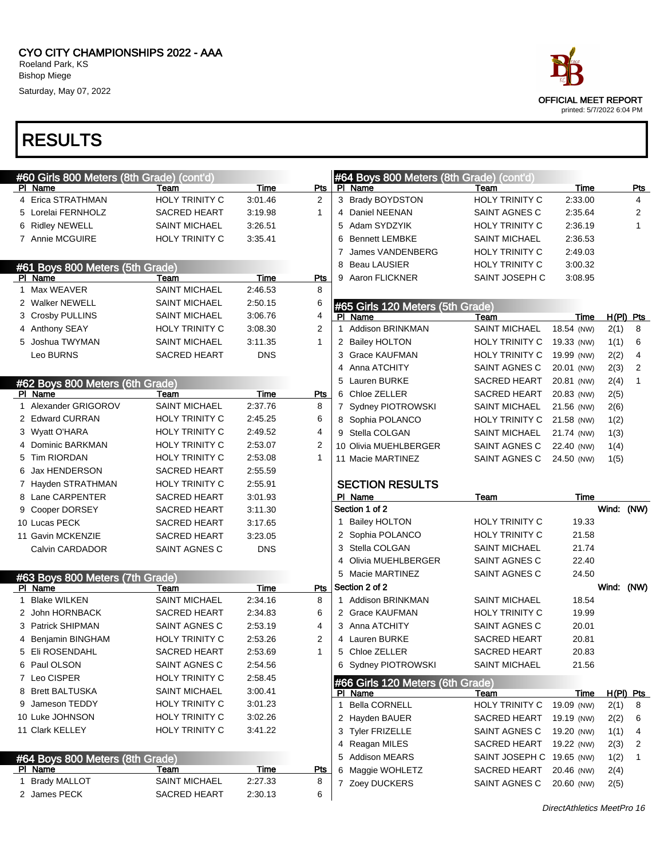| ace                                               |
|---------------------------------------------------|
| OFFICIAL MEET REPORT<br>printed: 5/7/2022 6:04 PM |

|   | #60 Girls 800 Meters (8th Grade) (cont'd)  |                       |             |                | #64 Boys 800 Meters (8th Grade) (cont'd)    |                           |            |            |                |
|---|--------------------------------------------|-----------------------|-------------|----------------|---------------------------------------------|---------------------------|------------|------------|----------------|
|   | PI Name                                    | Team                  | Time        | Pts            | PI Name                                     | Team                      | Time       |            | <b>Pts</b>     |
|   | 4 Erica STRATHMAN                          | <b>HOLY TRINITY C</b> | 3:01.46     | $\overline{2}$ | 3 Brady BOYDSTON                            | HOLY TRINITY C            | 2:33.00    |            | 4              |
|   | 5 Lorelai FERNHOLZ                         | SACRED HEART          | 3:19.98     | $\mathbf{1}$   | 4 Daniel NEENAN                             | SAINT AGNES C             | 2:35.64    |            | 2              |
|   | 6 Ridley NEWELL                            | <b>SAINT MICHAEL</b>  | 3:26.51     |                | 5 Adam SYDZYIK                              | HOLY TRINITY C            | 2:36.19    |            | 1              |
|   | 7 Annie MCGUIRE                            | <b>HOLY TRINITY C</b> | 3:35.41     |                | <b>Bennett LEMBKE</b><br>6                  | <b>SAINT MICHAEL</b>      | 2:36.53    |            |                |
|   |                                            |                       |             |                | James VANDENBERG                            | HOLY TRINITY C            | 2:49.03    |            |                |
|   | #61 Boys 800 Meters (5th Grade)            |                       |             |                | Beau LAUSIER<br>8                           | <b>HOLY TRINITY C</b>     | 3:00.32    |            |                |
|   | PI Name                                    | Team                  | Time        | <b>Pts</b>     | 9 Aaron FLICKNER                            | SAINT JOSEPH C            | 3:08.95    |            |                |
|   | 1 Max WEAVER                               | <b>SAINT MICHAEL</b>  | 2:46.53     | 8              |                                             |                           |            |            |                |
|   | 2 Walker NEWELL                            | <b>SAINT MICHAEL</b>  | 2:50.15     | 6              | #65 Girls 120 Meters (5th Grade)            |                           |            |            |                |
|   | 3 Crosby PULLINS                           | <b>SAINT MICHAEL</b>  | 3:06.76     | 4              | PI Name                                     | Team                      | Time       |            | $H(PI)$ Pts    |
|   | 4 Anthony SEAY                             | <b>HOLY TRINITY C</b> | 3:08.30     | $\overline{2}$ | 1 Addison BRINKMAN                          | <b>SAINT MICHAEL</b>      | 18.54 (NW) | 2(1)       | 8              |
|   | 5 Joshua TWYMAN                            | SAINT MICHAEL         | 3:11.35     | $\mathbf{1}$   | 2 Bailey HOLTON                             | <b>HOLY TRINITY C</b>     | 19.33 (NW) | 1(1)       | 6              |
|   | Leo BURNS                                  | <b>SACRED HEART</b>   | <b>DNS</b>  |                | 3 Grace KAUFMAN                             | <b>HOLY TRINITY C</b>     | 19.99 (NW) | 2(2)       | 4              |
|   |                                            |                       |             |                | Anna ATCHITY<br>4                           | SAINT AGNES C             | 20.01 (NW) | 2(3)       | $\overline{2}$ |
|   | #62 Boys 800 Meters (6th Grade)            |                       |             |                | 5 Lauren BURKE                              | <b>SACRED HEART</b>       | 20.81 (NW) | 2(4)       | 1              |
|   | PI Name                                    | Team                  | Time        | Pts            | 6 Chloe ZELLER                              | <b>SACRED HEART</b>       | 20.83 (NW) | 2(5)       |                |
| 1 | Alexander GRIGOROV                         | <b>SAINT MICHAEL</b>  | 2:37.76     | 8              | 7 Sydney PIOTROWSKI                         | <b>SAINT MICHAEL</b>      | 21.56 (NW) | 2(6)       |                |
|   | 2 Edward CURRAN                            | HOLY TRINITY C        | 2:45.25     | 6              | 8 Sophia POLANCO                            | <b>HOLY TRINITY C</b>     | 21.58 (NW) | 1(2)       |                |
|   | 3 Wyatt O'HARA                             | HOLY TRINITY C        | 2:49.52     | 4              | 9 Stella COLGAN                             | <b>SAINT MICHAEL</b>      | 21.74 (NW) | 1(3)       |                |
|   | 4 Dominic BARKMAN                          | HOLY TRINITY C        | 2:53.07     | 2              | 10 Olivia MUEHLBERGER                       | SAINT AGNES C             | 22.40 (NW) | 1(4)       |                |
|   | 5 Tim RIORDAN                              | <b>HOLY TRINITY C</b> | 2:53.08     | $\mathbf{1}$   | 11 Macie MARTINEZ                           | SAINT AGNES C             | 24.50 (NW) | 1(5)       |                |
|   | 6 Jax HENDERSON                            | <b>SACRED HEART</b>   | 2:55.59     |                |                                             |                           |            |            |                |
|   | 7 Hayden STRATHMAN                         | HOLY TRINITY C        | 2:55.91     |                | <b>SECTION RESULTS</b>                      |                           |            |            |                |
|   |                                            |                       |             |                |                                             |                           |            |            |                |
|   | 8 Lane CARPENTER                           | <b>SACRED HEART</b>   | 3:01.93     |                | PI Name                                     | Team                      | Time       |            |                |
|   | 9 Cooper DORSEY                            | <b>SACRED HEART</b>   | 3:11.30     |                | Section 1 of 2                              |                           |            | Wind: (NW) |                |
|   | 10 Lucas PECK                              | <b>SACRED HEART</b>   | 3:17.65     |                | 1 Bailey HOLTON                             | HOLY TRINITY C            | 19.33      |            |                |
|   | 11 Gavin MCKENZIE                          | <b>SACRED HEART</b>   | 3:23.05     |                | 2 Sophia POLANCO                            | HOLY TRINITY C            | 21.58      |            |                |
|   | Calvin CARDADOR                            | SAINT AGNES C         | <b>DNS</b>  |                | 3 Stella COLGAN                             | <b>SAINT MICHAEL</b>      | 21.74      |            |                |
|   |                                            |                       |             |                | 4 Olivia MUEHLBERGER                        | SAINT AGNES C             | 22.40      |            |                |
|   |                                            |                       |             |                | 5 Macie MARTINEZ                            | SAINT AGNES C             | 24.50      |            |                |
|   | #63 Boys 800 Meters (7th Grade)<br>PI Name | Team                  | Time        | Pts            | Section 2 of 2                              |                           |            | Wind: (NW) |                |
|   | 1 Blake WILKEN                             | <b>SAINT MICHAEL</b>  | 2:34.16     | 8              | 1 Addison BRINKMAN                          | <b>SAINT MICHAEL</b>      | 18.54      |            |                |
|   | 2 John HORNBACK                            | <b>SACRED HEART</b>   | 2:34.83     | 6              | 2 Grace KAUFMAN                             | HOLY TRINITY C            | 19.99      |            |                |
|   | 3 Patrick SHIPMAN                          | SAINT AGNES C         | 2:53.19     | 4              | 3 Anna ATCHITY                              | SAINT AGNES C             | 20.01      |            |                |
|   | 4 Benjamin BINGHAM                         | HOLY TRINITY C        | 2:53.26     | 2              | 4 Lauren BURKE                              | <b>SACRED HEART</b>       | 20.81      |            |                |
|   | 5 Eli ROSENDAHL                            | SACRED HEART          | 2:53.69     |                | 5 Chloe ZELLER                              | SACRED HEART              | 20.83      |            |                |
|   | 6 Paul OLSON                               | SAINT AGNES C         | 2:54.56     |                | 6 Sydney PIOTROWSKI                         | <b>SAINT MICHAEL</b>      | 21.56      |            |                |
|   | 7 Leo CISPER                               | HOLY TRINITY C        | 2:58.45     |                |                                             |                           |            |            |                |
|   | 8 Brett BALTUSKA                           | <b>SAINT MICHAEL</b>  | 3:00.41     |                | #66 Girls 120 Meters (6th Grade)<br>PI Name | Team                      | Time       |            |                |
|   | 9 Jameson TEDDY                            | HOLY TRINITY C        | 3:01.23     |                | 1 Bella CORNELL                             | HOLY TRINITY C            | 19.09 (NW) | 2(1)       | H(PI) Pts<br>8 |
|   | 10 Luke JOHNSON                            | HOLY TRINITY C        | 3:02.26     |                | 2 Hayden BAUER                              | SACRED HEART              | 19.19 (NW) | 2(2)       | 6              |
|   | 11 Clark KELLEY                            | <b>HOLY TRINITY C</b> | 3:41.22     |                | 3 Tyler FRIZELLE                            | SAINT AGNES C             | 19.20 (NW) | 1(1)       | 4              |
|   |                                            |                       |             |                | 4 Reagan MILES                              | <b>SACRED HEART</b>       | 19.22 (NW) | 2(3)       | 2              |
|   |                                            |                       |             |                | 5 Addison MEARS                             | SAINT JOSEPH C 19.65 (NW) |            | 1(2)       | 1              |
|   | #64 Boys 800 Meters (8th Grade)<br>PI Name | Team                  | <u>Time</u> | <b>Pts</b>     | Maggie WOHLETZ<br>6                         | SACRED HEART              | 20.46 (NW) | 2(4)       |                |
|   | 1 Brady MALLOT                             | <b>SAINT MICHAEL</b>  | 2:27.33     | 8              | 7 Zoey DUCKERS                              | SAINT AGNES C             | 20.60 (NW) | 2(5)       |                |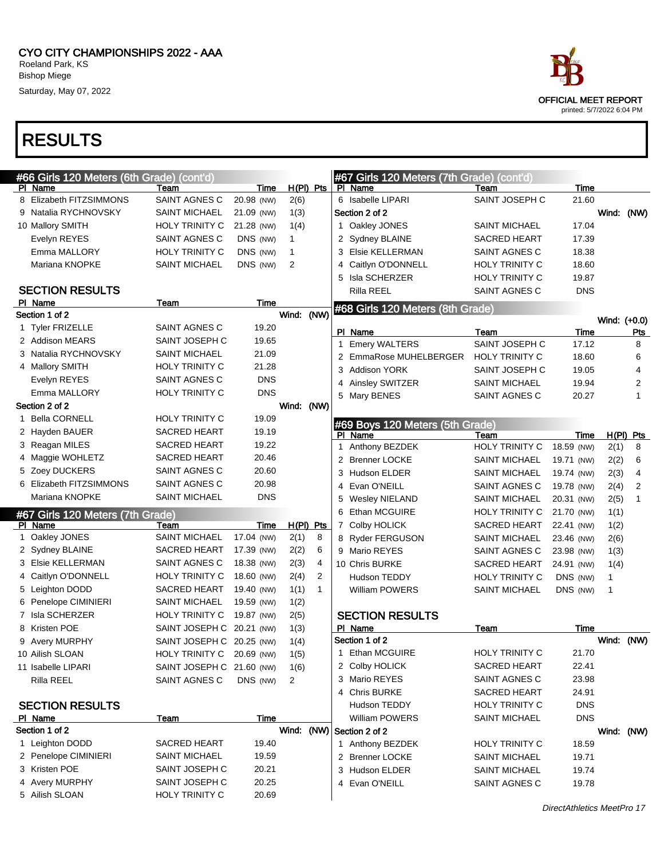

| #66 Girls 120 Meters (6th Grade) (cont'd) |                           |            |             |                |   | #67 Girls 120 Meters (7th Grade) (cont'd) |                                      |                     |              |                |
|-------------------------------------------|---------------------------|------------|-------------|----------------|---|-------------------------------------------|--------------------------------------|---------------------|--------------|----------------|
| PI Name                                   | Team                      | Time       | H(PI) Pts   |                |   | PI Name                                   | Team                                 | Time                |              |                |
| 8 Elizabeth FITZSIMMONS                   | SAINT AGNES C             | 20.98 (NW) | 2(6)        |                |   | 6 Isabelle LIPARI                         | SAINT JOSEPH C                       | 21.60               |              |                |
| 9 Natalia RYCHNOVSKY                      | <b>SAINT MICHAEL</b>      | 21.09 (NW) | 1(3)        |                |   | Section 2 of 2                            |                                      |                     | Wind: (NW)   |                |
| 10 Mallory SMITH                          | HOLY TRINITY C            | 21.28 (NW) | 1(4)        |                |   | 1 Oakley JONES                            | <b>SAINT MICHAEL</b>                 | 17.04               |              |                |
| Evelyn REYES                              | SAINT AGNES C             | DNS (NW)   | $\mathbf 1$ |                |   | 2 Sydney BLAINE                           | <b>SACRED HEART</b>                  | 17.39               |              |                |
| Emma MALLORY                              | HOLY TRINITY C            | DNS (NW)   | $\mathbf 1$ |                |   | 3 Elsie KELLERMAN                         | SAINT AGNES C                        | 18.38               |              |                |
| Mariana KNOPKE                            | <b>SAINT MICHAEL</b>      | DNS (NW)   | 2           |                | 4 | Caitlyn O'DONNELL                         | HOLY TRINITY C                       | 18.60               |              |                |
|                                           |                           |            |             |                |   | Isla SCHERZER                             | HOLY TRINITY C                       | 19.87               |              |                |
| <b>SECTION RESULTS</b>                    |                           |            |             |                |   | Rilla REEL                                | <b>SAINT AGNES C</b>                 | <b>DNS</b>          |              |                |
| PI Name                                   | Team                      | Time       |             |                |   | #68 Girls 120 Meters (8th Grade)          |                                      |                     |              |                |
| Section 1 of 2                            |                           |            | Wind: (NW)  |                |   |                                           |                                      |                     | Wind: (+0.0) |                |
| 1 Tyler FRIZELLE                          | SAINT AGNES C             | 19.20      |             |                |   | PI Name                                   | Team                                 | Time                |              | Pts            |
| 2 Addison MEARS                           | SAINT JOSEPH C            | 19.65      |             |                | 1 | <b>Emery WALTERS</b>                      | SAINT JOSEPH C                       | 17.12               |              | 8              |
| 3 Natalia RYCHNOVSKY                      | <b>SAINT MICHAEL</b>      | 21.09      |             |                |   | 2 EmmaRose MUHELBERGER                    | HOLY TRINITY C                       | 18.60               |              | 6              |
| 4 Mallory SMITH                           | <b>HOLY TRINITY C</b>     | 21.28      |             |                | 3 | <b>Addison YORK</b>                       | SAINT JOSEPH C                       | 19.05               |              | 4              |
| Evelyn REYES                              | SAINT AGNES C             | <b>DNS</b> |             |                | 4 | Ainsley SWITZER                           | <b>SAINT MICHAEL</b>                 | 19.94               |              | 2              |
| Emma MALLORY                              | HOLY TRINITY C            | <b>DNS</b> |             |                |   | 5 Mary BENES                              | SAINT AGNES C                        | 20.27               |              | 1              |
| Section 2 of 2                            |                           |            | Wind: (NW)  |                |   |                                           |                                      |                     |              |                |
| 1 Bella CORNELL                           | HOLY TRINITY C            | 19.09      |             |                |   | #69 Boys 120 Meters (5th Grade)           |                                      |                     |              |                |
| 2 Hayden BAUER                            | <b>SACRED HEART</b>       | 19.19      |             |                |   | PI Name                                   | Team                                 | Time                |              | H(PI) Pts      |
| 3 Reagan MILES                            | <b>SACRED HEART</b>       | 19.22      |             |                |   | 1 Anthony BEZDEK                          | HOLY TRINITY C                       | 18.59 (NW)          | 2(1)         | 8              |
| 4 Maggie WOHLETZ                          | <b>SACRED HEART</b>       | 20.46      |             |                |   | 2 Brenner LOCKE                           | <b>SAINT MICHAEL</b>                 | 19.71 (NW)          | 2(2)         | 6              |
| 5 Zoey DUCKERS                            | SAINT AGNES C             | 20.60      |             |                |   | 3 Hudson ELDER                            | <b>SAINT MICHAEL</b>                 | 19.74 (NW)          | 2(3)         | 4              |
| 6 Elizabeth FITZSIMMONS<br>Mariana KNOPKE | SAINT AGNES C             | 20.98      |             |                | 4 | Evan O'NEILL                              | SAINT AGNES C                        | 19.78 (NW)          | 2(4)         | $\overline{2}$ |
|                                           | <b>SAINT MICHAEL</b>      | <b>DNS</b> |             |                | 5 | <b>Wesley NIELAND</b>                     | <b>SAINT MICHAEL</b>                 | 20.31 (NW)          | 2(5)         | 1              |
| #67 Girls 120 Meters (7th Grade)          |                           |            |             |                | 6 | Ethan MCGUIRE                             | HOLY TRINITY C                       | 21.70 (NW)          | 1(1)         |                |
| PI Name                                   | Team                      | Time       | $H(PI)$ Pts |                |   | 7 Colby HOLICK                            | SACRED HEART                         | 22.41 (NW)          | 1(2)         |                |
| 1 Oakley JONES                            | <b>SAINT MICHAEL</b>      | 17.04 (NW) | 2(1)        | 8              |   | 8 Ryder FERGUSON                          | <b>SAINT MICHAEL</b>                 | 23.46 (NW)          | 2(6)         |                |
| 2 Sydney BLAINE                           | <b>SACRED HEART</b>       | 17.39 (NW) | 2(2)        | 6              |   | 9 Mario REYES                             | SAINT AGNES C                        | 23.98 (NW)          | 1(3)         |                |
| 3 Elsie KELLERMAN                         | SAINT AGNES C             | 18.38 (NW) | 2(3)        | 4              |   | 10 Chris BURKE                            | SACRED HEART                         | 24.91 (NW)          | 1(4)         |                |
| 4 Caitlyn O'DONNELL                       | HOLY TRINITY C            | 18.60 (NW) | 2(4)        | $\overline{2}$ |   | Hudson TEDDY                              | HOLY TRINITY C                       | DNS (NW)            | 1            |                |
| 5 Leighton DODD                           | <b>SACRED HEART</b>       | 19.40 (NW) | 1(1)        | $\mathbf{1}$   |   | William POWERS                            | <b>SAINT MICHAEL</b>                 | DNS (NW)            | 1            |                |
| 6 Penelope CIMINIERI                      | <b>SAINT MICHAEL</b>      | 19.59 (NW) | 1(2)        |                |   |                                           |                                      |                     |              |                |
| 7 Isla SCHERZER                           | HOLY TRINITY C            | 19.87 (NW) | 2(5)        |                |   | <b>SECTION RESULTS</b>                    |                                      |                     |              |                |
| 8 Kristen POE                             | SAINT JOSEPH C 20.21 (NW) |            | 1(3)        |                |   | PI Name<br>Section 1 of 2                 | Team                                 | Time                |              |                |
| 9 Avery MURPHY                            | SAINT JOSEPH C 20.25 (NW) |            | 1(4)        |                |   | 1 Ethan MCGUIRE                           | HOLY TRINITY C                       | 21.70               | Wind: (NW)   |                |
| 10 Ailish SLOAN                           | HOLY TRINITY C 20.69 (NW) |            | 1(5)        |                |   |                                           |                                      |                     |              |                |
| 11 Isabelle LIPARI                        | SAINT JOSEPH C 21.60 (NW) |            | 1(6)        |                |   | 2 Colby HOLICK<br>3 Mario REYES           | SACRED HEART                         | 22.41<br>23.98      |              |                |
| Rilla REEL                                | SAINT AGNES C             | DNS (NW)   | 2           |                |   | 4 Chris BURKE                             | SAINT AGNES C<br><b>SACRED HEART</b> |                     |              |                |
|                                           |                           |            |             |                |   | Hudson TEDDY                              | HOLY TRINITY C                       | 24.91<br><b>DNS</b> |              |                |
| <b>SECTION RESULTS</b><br>PI Name         |                           | Time       |             |                |   | William POWERS                            | <b>SAINT MICHAEL</b>                 | <b>DNS</b>          |              |                |
| Section 1 of 2                            | <u>Team</u>               |            | Wind: (NW)  |                |   | Section 2 of 2                            |                                      |                     |              |                |
| 1 Leighton DODD                           | <b>SACRED HEART</b>       | 19.40      |             |                |   | 1 Anthony BEZDEK                          | HOLY TRINITY C                       | 18.59               | Wind: (NW)   |                |
| 2 Penelope CIMINIERI                      | <b>SAINT MICHAEL</b>      | 19.59      |             |                |   | 2 Brenner LOCKE                           | <b>SAINT MICHAEL</b>                 | 19.71               |              |                |
| 3 Kristen POE                             | SAINT JOSEPH C            | 20.21      |             |                |   | 3 Hudson ELDER                            | <b>SAINT MICHAEL</b>                 | 19.74               |              |                |
| 4 Avery MURPHY                            | SAINT JOSEPH C            | 20.25      |             |                |   | 4 Evan O'NEILL                            | SAINT AGNES C                        | 19.78               |              |                |
| 5 Ailish SLOAN                            | HOLY TRINITY C            | 20.69      |             |                |   |                                           |                                      |                     |              |                |
|                                           |                           |            |             |                |   |                                           |                                      |                     |              |                |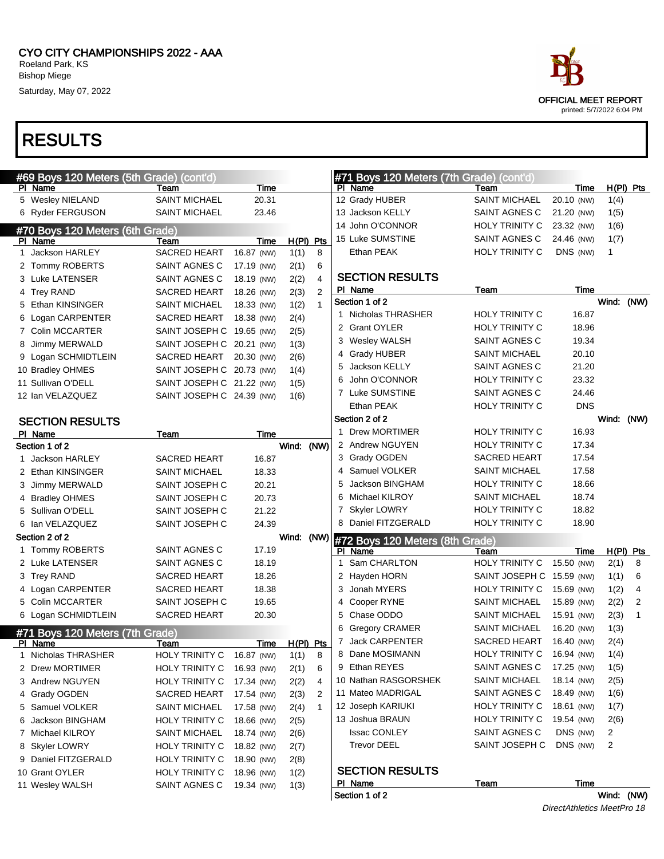# RESULTS



|   | #69 Boys 120 Meters (5th Grade) (cont'd) |                           |            |             |              |              | #71 Boys 120 Meters (7th Grade) (cont'd)  |                                        |                          |            |             |
|---|------------------------------------------|---------------------------|------------|-------------|--------------|--------------|-------------------------------------------|----------------------------------------|--------------------------|------------|-------------|
|   | PI Name                                  | Team                      | Time       |             |              |              | PI Name                                   | Team                                   | Time                     |            | $H(PI)$ Pts |
|   | 5 Wesley NIELAND                         | <b>SAINT MICHAEL</b>      | 20.31      |             |              |              | 12 Grady HUBER                            | <b>SAINT MICHAEL</b>                   | 20.10 (NW)               | 1(4)       |             |
|   | 6 Ryder FERGUSON                         | <b>SAINT MICHAEL</b>      | 23.46      |             |              |              | 13 Jackson KELLY                          | SAINT AGNES C                          | 21.20 (NW)               | 1(5)       |             |
|   | #70 Boys 120 Meters (6th Grade)          |                           |            |             |              |              | 14 John O'CONNOR                          | HOLY TRINITY C                         | 23.32 (NW)               | 1(6)       |             |
|   | PI Name                                  | Team                      | Time       | $H(PI)$ Pts |              |              | 15 Luke SUMSTINE                          | SAINT AGNES C                          | 24.46 (NW)               | 1(7)       |             |
|   | 1 Jackson HARLEY                         | SACRED HEART              | 16.87 (NW) | 1(1)        | 8            |              | Ethan PEAK                                | HOLY TRINITY C                         | DNS (NW)                 | 1          |             |
|   | 2 Tommy ROBERTS                          | SAINT AGNES C             | 17.19 (NW) | 2(1)        | 6            |              |                                           |                                        |                          |            |             |
|   | 3 Luke LATENSER                          | SAINT AGNES C             | 18.19 (NW) | 2(2)        | 4            |              | <b>SECTION RESULTS</b>                    |                                        |                          |            |             |
|   | 4 Trey RAND                              | SACRED HEART              | 18.26 (NW) | 2(3)        | 2            |              | PI Name                                   | Team                                   | Time                     |            |             |
|   | 5 Ethan KINSINGER                        | <b>SAINT MICHAEL</b>      | 18.33 (NW) | 1(2)        | $\mathbf{1}$ |              | Section 1 of 2                            |                                        |                          | Wind:      | (NW)        |
|   | 6 Logan CARPENTER                        | <b>SACRED HEART</b>       | 18.38 (NW) | 2(4)        |              |              | 1 Nicholas THRASHER                       | <b>HOLY TRINITY C</b>                  | 16.87                    |            |             |
|   | 7 Colin MCCARTER                         | SAINT JOSEPH C            | 19.65 (NW) | 2(5)        |              |              | 2 Grant OYLER                             | HOLY TRINITY C                         | 18.96                    |            |             |
|   | 8 Jimmy MERWALD                          | SAINT JOSEPH C 20.21 (NW) |            | 1(3)        |              |              | 3 Wesley WALSH                            | SAINT AGNES C                          | 19.34                    |            |             |
|   | 9 Logan SCHMIDTLEIN                      | SACRED HEART              | 20.30 (NW) | 2(6)        |              |              | 4 Grady HUBER                             | <b>SAINT MICHAEL</b>                   | 20.10                    |            |             |
|   | 10 Bradley OHMES                         | SAINT JOSEPH C 20.73 (NW) |            | 1(4)        |              | 5            | Jackson KELLY                             | SAINT AGNES C                          | 21.20                    |            |             |
|   | 11 Sullivan O'DELL                       | SAINT JOSEPH C 21.22 (NW) |            | 1(5)        |              | 6            | John O'CONNOR                             | HOLY TRINITY C                         | 23.32                    |            |             |
|   | 12 Ian VELAZQUEZ                         | SAINT JOSEPH C 24.39 (NW) |            | 1(6)        |              |              | 7 Luke SUMSTINE                           | SAINT AGNES C                          | 24.46                    |            |             |
|   |                                          |                           |            |             |              |              | Ethan PEAK                                | HOLY TRINITY C                         | <b>DNS</b>               |            |             |
|   | <b>SECTION RESULTS</b>                   |                           |            |             |              |              | Section 2 of 2                            |                                        |                          | Wind:      | (NW)        |
|   | PI Name                                  | Team                      | Time       |             |              | 1            | <b>Drew MORTIMER</b>                      | HOLY TRINITY C                         | 16.93                    |            |             |
|   | Section 1 of 2                           |                           |            | Wind: (NW)  |              |              | 2 Andrew NGUYEN                           | HOLY TRINITY C                         | 17.34                    |            |             |
|   | Jackson HARLEY                           | <b>SACRED HEART</b>       | 16.87      |             |              |              | 3 Grady OGDEN                             | <b>SACRED HEART</b>                    | 17.54                    |            |             |
|   | 2 Ethan KINSINGER                        | <b>SAINT MICHAEL</b>      | 18.33      |             |              |              | 4 Samuel VOLKER                           | <b>SAINT MICHAEL</b>                   | 17.58                    |            |             |
|   | 3 Jimmy MERWALD                          | SAINT JOSEPH C            | 20.21      |             |              | 5            | Jackson BINGHAM                           | HOLY TRINITY C                         | 18.66                    |            |             |
|   | 4 Bradley OHMES                          | SAINT JOSEPH C            | 20.73      |             |              | 6            | Michael KILROY                            | <b>SAINT MICHAEL</b>                   | 18.74                    |            |             |
|   | 5 Sullivan O'DELL                        | SAINT JOSEPH C            | 21.22      |             |              |              | 7 Skyler LOWRY                            | HOLY TRINITY C                         | 18.82                    |            |             |
|   | 6 Ian VELAZQUEZ                          | SAINT JOSEPH C            | 24.39      |             |              |              | 8 Daniel FITZGERALD                       | HOLY TRINITY C                         | 18.90                    |            |             |
|   | Section 2 of 2                           |                           |            | Wind:       |              |              | (NW) #72 Boys 120 Meters (8th Grade)      |                                        |                          |            |             |
|   | 1 Tommy ROBERTS                          | SAINT AGNES C             | 17.19      |             |              |              | PI Name                                   | Team                                   | Time                     |            | $H(PI)$ Pts |
|   | 2 Luke LATENSER                          | SAINT AGNES C             | 18.19      |             |              | $\mathbf{1}$ | Sam CHARLTON                              | HOLY TRINITY C                         | 15.50 (NW)               | 2(1)       | 8           |
|   | 3 Trey RAND                              | <b>SACRED HEART</b>       | 18.26      |             |              |              | 2 Hayden HORN                             | SAINT JOSEPH C 15.59 (NW)              |                          | 1(1)       | 6           |
|   | 4 Logan CARPENTER                        | <b>SACRED HEART</b>       | 18.38      |             |              | 3            | Jonah MYERS                               | HOLY TRINITY C                         | 15.69 (NW)               | 1(2)       | 4           |
|   | 5 Colin MCCARTER                         | SAINT JOSEPH C            | 19.65      |             |              | 4            | Cooper RYNE                               | <b>SAINT MICHAEL</b>                   | 15.89 (NW)               | 2(2)       | 2           |
|   | 6 Logan SCHMIDTLEIN                      | <b>SACRED HEART</b>       | 20.30      |             |              | 5            | Chase ODDO                                | <b>SAINT MICHAEL</b>                   | 15.91 (NW)               | 2(3)       | 1           |
|   | #71 Boys 120 Meters (7th Grade)          |                           |            |             |              | 6            | <b>Gregory CRAMER</b><br>7 Jack CARPENTER | <b>SAINT MICHAEL</b>                   | 16.20 (NW)               | 1(3)       |             |
|   | <u>PI Name</u>                           | Team                      | Time       | $H(PI)$ Pts |              |              | Dane MOSIMANN                             | SACRED HEART<br>HOLY TRINITY C         | 16.40 (NW)               | 2(4)       |             |
| 1 | Nicholas THRASHER                        | <b>HOLY TRINITY C</b>     | 16.87 (NW) | 1(1)        | 8            | 8            | 9 Ethan REYES                             | SAINT AGNES C                          | 16.94 (NW)<br>17.25 (NW) | 1(4)       |             |
|   | 2 Drew MORTIMER                          | HOLY TRINITY C            | 16.93 (NW) | 2(1)        | 6            |              | 10 Nathan RASGORSHEK                      | <b>SAINT MICHAEL</b>                   | 18.14 (NW)               | 1(5)       |             |
|   | 3 Andrew NGUYEN                          | <b>HOLY TRINITY C</b>     | 17.34 (NW) | 2(2)        | 4            |              |                                           |                                        |                          | 2(5)       |             |
|   | 4 Grady OGDEN                            | <b>SACRED HEART</b>       | 17.54 (NW) | 2(3)        | 2            |              | 11 Mateo MADRIGAL<br>12 Joseph KARIUKI    | SAINT AGNES C<br>HOLY TRINITY C        | 18.49 (NW)<br>18.61 (NW) | 1(6)       |             |
|   | 5 Samuel VOLKER                          | <b>SAINT MICHAEL</b>      | 17.58 (NW) | 2(4)        | $\mathbf{1}$ |              |                                           |                                        | 19.54 (NW)               | 1(7)       |             |
|   | 6 Jackson BINGHAM                        | HOLY TRINITY C            | 18.66 (NW) | 2(5)        |              |              | 13 Joshua BRAUN<br><b>Issac CONLEY</b>    | <b>HOLY TRINITY C</b><br>SAINT AGNES C | DNS (NW)                 | 2(6)       |             |
|   | 7 Michael KILROY                         | <b>SAINT MICHAEL</b>      | 18.74 (NW) | 2(6)        |              |              | <b>Trevor DEEL</b>                        | SAINT JOSEPH C                         | DNS (NW)                 | 2          |             |
|   | 8 Skyler LOWRY                           | HOLY TRINITY C            | 18.82 (NW) | 2(7)        |              |              |                                           |                                        |                          | 2          |             |
|   | 9 Daniel FITZGERALD                      | HOLY TRINITY C            | 18.90 (NW) | 2(8)        |              |              | <b>SECTION RESULTS</b>                    |                                        |                          |            |             |
|   | 10 Grant OYLER                           | <b>HOLY TRINITY C</b>     | 18.96 (NW) | 1(2)        |              |              | <u>PI Name</u>                            | <u>Team</u>                            | <b>Time</b>              |            |             |
|   | 11 Wesley WALSH                          | SAINT AGNES C             | 19.34 (NW) | 1(3)        |              |              | Section 1 of 2                            |                                        |                          | Wind: (NW) |             |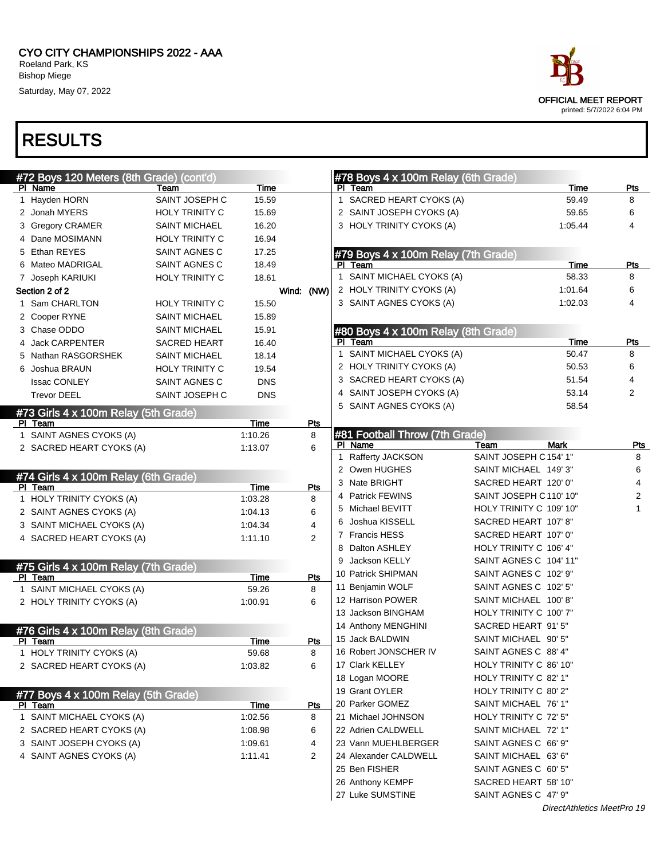CYO CITY CHAMPIONSHIPS 2022 - AAA Roeland Park, KS Bishop Miege

Saturday, May 07, 2022



| #72 Boys 120 Meters (8th Grade) (cont'd) |                       |             |                |              | $#78$ Boys 4 x 100m Relay (6th Grade) |                         |             |                |
|------------------------------------------|-----------------------|-------------|----------------|--------------|---------------------------------------|-------------------------|-------------|----------------|
| PI Name                                  | Team                  | Time        |                |              | PI Team                               |                         | Time        | Pts            |
| 1 Hayden HORN                            | SAINT JOSEPH C        | 15.59       |                |              | 1 SACRED HEART CYOKS (A)              |                         | 59.49       | 8              |
| 2 Jonah MYERS                            | <b>HOLY TRINITY C</b> | 15.69       |                |              | 2 SAINT JOSEPH CYOKS (A)              |                         | 59.65       | 6              |
| 3 Gregory CRAMER                         | <b>SAINT MICHAEL</b>  | 16.20       |                |              | 3 HOLY TRINITY CYOKS (A)              |                         | 1:05.44     | 4              |
| 4 Dane MOSIMANN                          | <b>HOLY TRINITY C</b> | 16.94       |                |              |                                       |                         |             |                |
| 5 Ethan REYES                            | SAINT AGNES C         | 17.25       |                |              | #79 Boys 4 x 100m Relay (7th Grade)   |                         |             |                |
| 6 Mateo MADRIGAL                         | SAINT AGNES C         | 18.49       |                |              | PI Team                               |                         | Time        | Pts            |
| 7 Joseph KARIUKI                         | <b>HOLY TRINITY C</b> | 18.61       |                |              | 1 SAINT MICHAEL CYOKS (A)             |                         | 58.33       | 8              |
| Section 2 of 2                           |                       |             | Wind: (NW)     |              | 2 HOLY TRINITY CYOKS (A)              |                         | 1:01.64     | 6              |
| 1 Sam CHARLTON                           | <b>HOLY TRINITY C</b> | 15.50       |                |              | 3 SAINT AGNES CYOKS (A)               |                         | 1:02.03     | 4              |
| 2 Cooper RYNE                            | <b>SAINT MICHAEL</b>  | 15.89       |                |              |                                       |                         |             |                |
| 3 Chase ODDO                             | <b>SAINT MICHAEL</b>  | 15.91       |                |              | #80 Boys 4 x 100m Relay (8th Grade)   |                         |             |                |
| 4 Jack CARPENTER                         | <b>SACRED HEART</b>   | 16.40       |                |              | PI Team                               |                         | Time        | Pts            |
| 5 Nathan RASGORSHEK                      | <b>SAINT MICHAEL</b>  | 18.14       |                |              | 1 SAINT MICHAEL CYOKS (A)             |                         | 50.47       | 8              |
| 6 Joshua BRAUN                           | <b>HOLY TRINITY C</b> | 19.54       |                |              | 2 HOLY TRINITY CYOKS (A)              |                         | 50.53       | 6              |
| <b>Issac CONLEY</b>                      | SAINT AGNES C         | <b>DNS</b>  |                |              | 3 SACRED HEART CYOKS (A)              |                         | 51.54       | 4              |
| <b>Trevor DEEL</b>                       | SAINT JOSEPH C        | <b>DNS</b>  |                |              | 4 SAINT JOSEPH CYOKS (A)              |                         | 53.14       | 2              |
| #73 Girls 4 x 100m Relay (5th Grade)     |                       |             |                |              | 5 SAINT AGNES CYOKS (A)               |                         | 58.54       |                |
| PI Team                                  |                       | Time        | Pts            |              |                                       |                         |             |                |
| 1 SAINT AGNES CYOKS (A)                  |                       | 1:10.26     | 8              |              | #81 Football Throw (7th Grade)        |                         |             |                |
| 2 SACRED HEART CYOKS (A)                 |                       | 1:13.07     | 6              |              | PI Name                               | Team                    | <b>Mark</b> | <b>Pts</b>     |
|                                          |                       |             |                | $\mathbf{1}$ | Rafferty JACKSON                      | SAINT JOSEPH C 154' 1"  |             | 8              |
| #74 Girls 4 x 100m Relay (6th Grade)     |                       |             |                |              | 2 Owen HUGHES                         | SAINT MICHAEL 149'3"    |             | 6              |
| PI Team                                  |                       | Time        | Pts            |              | 3 Nate BRIGHT                         | SACRED HEART 120' 0"    |             | 4              |
| 1 HOLY TRINITY CYOKS (A)                 |                       | 1:03.28     | 8              |              | 4 Patrick FEWINS                      | SAINT JOSEPH C 110' 10" |             | $\overline{c}$ |
| 2 SAINT AGNES CYOKS (A)                  |                       | 1:04.13     | 6              |              | 5 Michael BEVITT                      | HOLY TRINITY C 109' 10" |             | $\mathbf{1}$   |
| 3 SAINT MICHAEL CYOKS (A)                |                       | 1:04.34     | 4              |              | 6 Joshua KISSELL                      | SACRED HEART 107' 8"    |             |                |
| 4 SACRED HEART CYOKS (A)                 |                       | 1:11.10     | 2              |              | 7 Francis HESS                        | SACRED HEART 107' 0"    |             |                |
|                                          |                       |             |                |              | 8 Dalton ASHLEY                       | HOLY TRINITY C 106' 4"  |             |                |
| #75 Girls 4 x 100m Relay (7th Grade)     |                       |             |                |              | 9 Jackson KELLY                       | SAINT AGNES C 104' 11"  |             |                |
| PI Team                                  |                       | Time        | Pts            |              | 10 Patrick SHIPMAN                    | SAINT AGNES C 102' 9"   |             |                |
| 1 SAINT MICHAEL CYOKS (A)                |                       | 59.26       | 8              |              | 11 Benjamin WOLF                      | SAINT AGNES C 102' 5"   |             |                |
| 2 HOLY TRINITY CYOKS (A)                 |                       | 1:00.91     | 6              |              | 12 Harrison POWER                     | SAINT MICHAEL 100'8"    |             |                |
|                                          |                       |             |                |              | 13 Jackson BINGHAM                    | HOLY TRINITY C 100' 7"  |             |                |
| #76 Girls 4 x 100m Relay (8th Grade)     |                       |             |                |              | 14 Anthony MENGHINI                   | SACRED HEART 91' 5"     |             |                |
| PI Team                                  |                       | Time        | Pts            |              | 15 Jack BALDWIN                       | SAINT MICHAEL 90' 5"    |             |                |
| 1 HOLY TRINITY CYOKS (A)                 |                       | 59.68       | 8              |              | 16 Robert JONSCHER IV                 | SAINT AGNES C 88' 4"    |             |                |
| 2 SACRED HEART CYOKS (A)                 |                       | 1:03.82     | 6              |              | 17 Clark KELLEY                       | HOLY TRINITY C 86' 10"  |             |                |
|                                          |                       |             |                |              | 18 Logan MOORE                        | HOLY TRINITY C 82' 1"   |             |                |
| #77 Boys 4 x 100m Relay (5th Grade)      |                       |             |                |              | 19 Grant OYLER                        | HOLY TRINITY C 80' 2"   |             |                |
| PI Team                                  |                       | <b>Time</b> | Pts            |              | 20 Parker GOMEZ                       | SAINT MICHAEL 76' 1"    |             |                |
| 1 SAINT MICHAEL CYOKS (A)                |                       | 1:02.56     | 8              |              | 21 Michael JOHNSON                    | HOLY TRINITY C 72' 5"   |             |                |
| 2 SACRED HEART CYOKS (A)                 |                       | 1:08.98     | 6              |              | 22 Adrien CALDWELL                    | SAINT MICHAEL 72' 1"    |             |                |
| 3 SAINT JOSEPH CYOKS (A)                 |                       | 1:09.61     | 4              |              | 23 Vann MUEHLBERGER                   | SAINT AGNES C 66' 9"    |             |                |
| 4 SAINT AGNES CYOKS (A)                  |                       | 1:11.41     | $\overline{2}$ |              | 24 Alexander CALDWELL                 | SAINT MICHAEL 63' 6"    |             |                |
|                                          |                       |             |                |              | 25 Ben FISHER                         | SAINT AGNES C 60' 5"    |             |                |
|                                          |                       |             |                |              | 26 Anthony KEMPF                      | SACRED HEART 58' 10"    |             |                |
|                                          |                       |             |                |              | 27 Luke SUMSTINE                      | SAINT AGNES C 47' 9"    |             |                |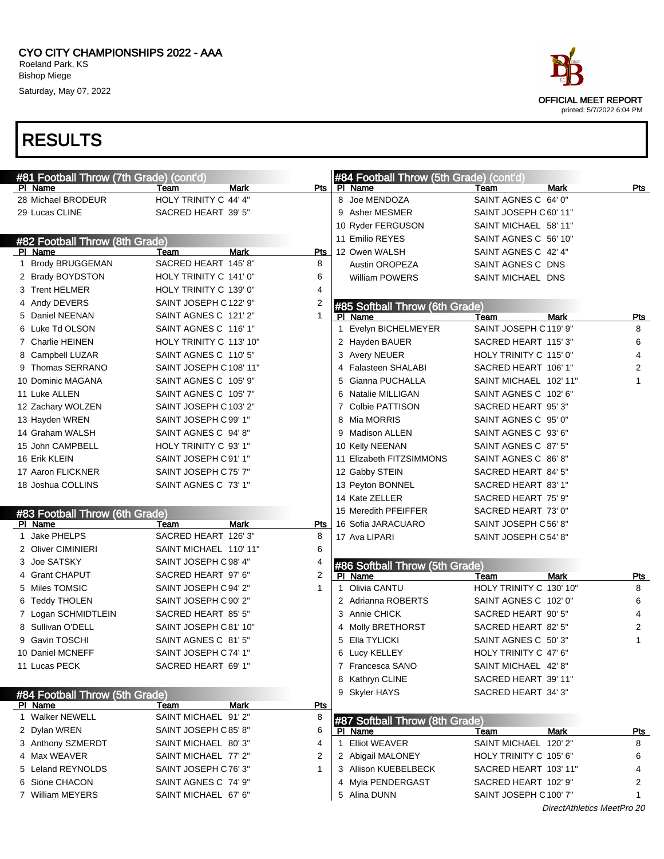# RESULTS

| #81 Football Throw (7th Grade) (cont'd)   |                         |                | #84 Football Throw (5th Grade) (cont'd) |                         |            |
|-------------------------------------------|-------------------------|----------------|-----------------------------------------|-------------------------|------------|
| PI Name                                   | Mark<br>Team            | Pts I          | PI Name                                 | Team<br><b>Mark</b>     | Pts        |
| 28 Michael BRODEUR                        | HOLY TRINITY C 44' 4"   |                | 8 Joe MENDOZA                           | SAINT AGNES C 64' 0"    |            |
| 29 Lucas CLINE                            | SACRED HEART 39' 5"     |                | 9 Asher MESMER                          | SAINT JOSEPH C 60' 11"  |            |
|                                           |                         |                | 10 Ryder FERGUSON                       | SAINT MICHAEL 58' 11"   |            |
| #82 Football Throw (8th Grade)            |                         |                | 11 Emilio REYES                         | SAINT AGNES C 56' 10"   |            |
| PI Name                                   | <b>Mark</b><br>Team     | <b>Pts</b>     | 12 Owen WALSH                           | SAINT AGNES C 42' 4"    |            |
| 1 Brody BRUGGEMAN                         | SACRED HEART 145' 8"    | 8              | Austin OROPEZA                          | SAINT AGNES C DNS       |            |
| 2 Brady BOYDSTON                          | HOLY TRINITY C 141' 0"  | 6              | William POWERS                          | SAINT MICHAEL DNS       |            |
| 3 Trent HELMER                            | HOLY TRINITY C 139' 0"  | 4              |                                         |                         |            |
| 4 Andy DEVERS                             | SAINT JOSEPH C122' 9"   | $\overline{c}$ | #85 Softball Throw (6th Grade)          |                         |            |
| 5 Daniel NEENAN                           | SAINT AGNES C 121'2"    | $\mathbf{1}$   | PI Name                                 | <b>Mark</b><br>Team     | <b>Pts</b> |
| 6 Luke Td OLSON                           | SAINT AGNES C 116' 1"   |                | Evelyn BICHELMEYER<br>1                 | SAINT JOSEPH C119' 9"   | 8          |
| 7 Charlie HEINEN                          | HOLY TRINITY C 113' 10" |                | 2 Hayden BAUER                          | SACRED HEART 115'3"     | 6          |
| 8 Campbell LUZAR                          | SAINT AGNES C 110' 5"   |                | 3 Avery NEUER                           | HOLY TRINITY C 115' 0"  | 4          |
| 9 Thomas SERRANO                          | SAINT JOSEPH C 108' 11" |                | Falasteen SHALABI                       | SACRED HEART 106' 1"    | 2          |
| 10 Dominic MAGANA                         | SAINT AGNES C 105' 9"   |                | Gianna PUCHALLA<br>5                    | SAINT MICHAEL 102' 11"  |            |
| 11 Luke ALLEN                             | SAINT AGNES C 105' 7"   |                | 6 Natalie MILLIGAN                      | SAINT AGNES C 102' 6"   |            |
| 12 Zachary WOLZEN                         | SAINT JOSEPH C103' 2"   |                | 7 Colbie PATTISON                       | SACRED HEART 95'3"      |            |
| 13 Hayden WREN                            | SAINT JOSEPH C99' 1"    |                | 8 Mia MORRIS                            | SAINT AGNES C 95' 0"    |            |
| 14 Graham WALSH                           | SAINT AGNES C 94'8"     |                | 9 Madison ALLEN                         | SAINT AGNES C 93' 6"    |            |
| 15 John CAMPBELL                          | HOLY TRINITY C 93' 1"   |                | 10 Kelly NEENAN                         | SAINT AGNES C 87' 5"    |            |
| 16 Erik KLEIN                             | SAINT JOSEPH C91' 1"    |                | 11 Elizabeth FITZSIMMONS                | SAINT AGNES C 86'8"     |            |
| 17 Aaron FLICKNER                         | SAINT JOSEPH C75' 7"    |                | 12 Gabby STEIN                          | SACRED HEART 84' 5"     |            |
| 18 Joshua COLLINS                         | SAINT AGNES C 73' 1"    |                | 13 Peyton BONNEL                        | SACRED HEART 83' 1"     |            |
|                                           |                         |                | 14 Kate ZELLER                          | SACRED HEART 75' 9"     |            |
| #83 Football Throw (6th Grade)            |                         |                | 15 Meredith PFEIFFER                    | SACRED HEART 73' 0"     |            |
| PI Name                                   | Mark<br>Team            | Pts            | 16 Sofia JARACUARO                      | SAINT JOSEPH C56' 8"    |            |
| 1 Jake PHELPS                             | SACRED HEART 126'3"     | 8              | 17 Ava LIPARI                           | SAINT JOSEPH C54' 8"    |            |
| 2 Oliver CIMINIERI                        | SAINT MICHAEL 110' 11"  | 6              |                                         |                         |            |
| 3 Joe SATSKY                              | SAINT JOSEPH C98' 4"    | 4              | #86 Softball Throw (5th Grade)          |                         |            |
| 4 Grant CHAPUT                            | SACRED HEART 97' 6"     | $\overline{2}$ | PI Name                                 | <b>Mark</b><br>Team     | Pts        |
| 5 Miles TOMSIC                            | SAINT JOSEPH C94' 2"    | $\mathbf 1$    | 1 Olivia CANTU                          | HOLY TRINITY C 130' 10" | 8          |
| 6 Teddy THOLEN                            | SAINT JOSEPH C 90' 2"   |                | 2 Adrianna ROBERTS                      | SAINT AGNES C 102' 0"   | 6          |
| 7 Logan SCHMIDTLEIN                       | SACRED HEART 85' 5"     |                | 3 Annie CHICK                           | SACRED HEART 90' 5"     | 4          |
| 8 Sullivan O'DELL                         | SAINT JOSEPH C81' 10"   |                | 4 Molly BRETHORST                       | SACRED HEART 82' 5"     | 2          |
| 9 Gavin TOSCHI                            | SAINT AGNES C 81'5"     |                | 5 Ella TYLICKI                          | SAINT AGNES C 50'3"     | 1          |
| 10 Daniel MCNEFF                          | SAINT JOSEPH C74' 1"    |                | 6 Lucy KELLEY                           | HOLY TRINITY C 47' 6"   |            |
| 11 Lucas PECK                             | SACRED HEART 69' 1"     |                | 7 Francesca SANO                        | SAINT MICHAEL 42' 8"    |            |
|                                           |                         |                | 8 Kathryn CLINE                         | SACRED HEART 39' 11"    |            |
|                                           |                         |                | 9 Skyler HAYS                           | SACRED HEART 34' 3"     |            |
| #84 Football Throw (5th Grade)<br>PI Name | Mark<br>Team            | <u>Pts</u>     |                                         |                         |            |
| 1 Walker NEWELL                           | SAINT MICHAEL 91'2"     | 8              | <b>HAZ Softhall Throw (8th Grade)</b>   |                         |            |
|                                           |                         |                |                                         |                         |            |

|  | #84 Football Throw (5th Grade) |                      |             |     | 9 Skyler HAYS                  | SACRED HEART 34' 3"    |             |     |
|--|--------------------------------|----------------------|-------------|-----|--------------------------------|------------------------|-------------|-----|
|  | PI Name                        | Team                 | <b>Mark</b> | Pts |                                |                        |             |     |
|  | Walker NEWELL                  | SAINT MICHAEL 91'2"  |             |     | #87 Softball Throw (8th Grade) |                        |             |     |
|  | 2 Dylan WREN                   | SAINT JOSEPH C85' 8" |             |     | PI Name                        | Team                   | <b>Mark</b> | Pts |
|  | 3 Anthony SZMERDT              | SAINT MICHAEL 80'3"  |             |     | <b>Elliot WEAVER</b>           | SAINT MICHAEL 120' 2"  |             | 8   |
|  | 4 Max WEAVER                   | SAINT MICHAEL 77' 2" |             |     | 2 Abigail MALONEY              | HOLY TRINITY C 105' 6" |             | 6   |
|  | 5 Leland REYNOLDS              | SAINT JOSEPH C76' 3" |             | 3   | Allison KUEBELBECK             | SACRED HEART 103' 11"  |             | 4   |
|  | 6 Sione CHACON                 | SAINT AGNES C 74' 9" |             |     | 4 Myla PENDERGAST              | SACRED HEART 102' 9"   |             | 2   |
|  | 7 William MEYERS               | SAINT MICHAEL 67' 6" |             |     | 5 Alina DUNN                   | SAINT JOSEPH C 100' 7" |             |     |
|  |                                |                      |             |     |                                |                        |             |     |

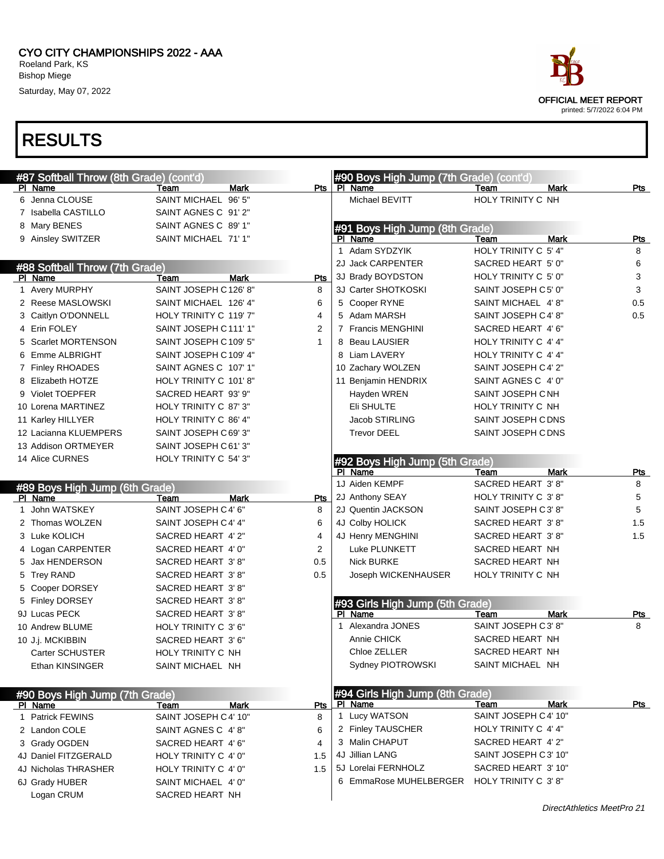

| #87 Softball Throw (8th Grade) (cont'd)   |                              |             |                 | #90 Boys High Jump (7th Grade) (cont'd)    |                           |                            |            |
|-------------------------------------------|------------------------------|-------------|-----------------|--------------------------------------------|---------------------------|----------------------------|------------|
| PI Name<br>6 Jenna CLOUSE                 | Team<br>SAINT MICHAEL 96' 5" | <b>Mark</b> |                 | Pts   PI Name<br>Michael BEVITT            | Team<br>HOLY TRINITY C NH | <b>Mark</b>                | Pts        |
| 7 Isabella CASTILLO                       | SAINT AGNES C 91'2"          |             |                 |                                            |                           |                            |            |
|                                           | SAINT AGNES C 89' 1"         |             |                 |                                            |                           |                            |            |
| 8 Mary BENES                              | SAINT MICHAEL 71' 1"         |             |                 | #91 Boys High Jump (8th Grade)<br>PI Name  | Team                      | <b>Mark</b>                | <b>Pts</b> |
| 9 Ainsley SWITZER                         |                              |             |                 | 1 Adam SYDZYIK                             | HOLY TRINITY C 5' 4"      |                            | 8          |
|                                           |                              |             |                 | 2J Jack CARPENTER                          | SACRED HEART 5' 0"        |                            | 6          |
| #88 Softball Throw (7th Grade)            | Team                         | <b>Mark</b> |                 | 3J Brady BOYDSTON                          | HOLY TRINITY C 5' 0"      |                            | 3          |
| PI Name<br>1 Avery MURPHY                 | SAINT JOSEPH C126' 8"        |             | <b>Pts</b><br>8 | 3J Carter SHOTKOSKI                        | SAINT JOSEPH C5' 0"       |                            | 3          |
| 2 Reese MASLOWSKI                         | SAINT MICHAEL 126' 4"        |             | 6               | 5 Cooper RYNE                              | SAINT MICHAEL 4'8"        |                            | 0.5        |
| 3 Caitlyn O'DONNELL                       | HOLY TRINITY C 119' 7"       |             | 4               | 5 Adam MARSH                               | SAINT JOSEPH C 4' 8"      |                            | 0.5        |
| 4 Erin FOLEY                              | SAINT JOSEPH C111'1"         |             | 2               | 7 Francis MENGHINI                         | SACRED HEART 4' 6"        |                            |            |
| 5 Scarlet MORTENSON                       | SAINT JOSEPH C109' 5"        |             | $\mathbf{1}$    | 8 Beau LAUSIER                             | HOLY TRINITY C 4' 4"      |                            |            |
| 6 Emme ALBRIGHT                           | SAINT JOSEPH C109' 4"        |             |                 | 8 Liam LAVERY                              | HOLY TRINITY C 4' 4"      |                            |            |
| 7 Finley RHOADES                          | SAINT AGNES C 107' 1"        |             |                 | 10 Zachary WOLZEN                          | SAINT JOSEPH C 4' 2"      |                            |            |
| 8 Elizabeth HOTZE                         | HOLY TRINITY C 101' 8"       |             |                 | 11 Benjamin HENDRIX                        | SAINT AGNES C 4' 0"       |                            |            |
| 9 Violet TOEPFER                          | SACRED HEART 93' 9"          |             |                 | Hayden WREN                                | SAINT JOSEPH CNH          |                            |            |
| 10 Lorena MARTINEZ                        | HOLY TRINITY C 87' 3"        |             |                 | Eli SHULTE                                 | HOLY TRINITY C NH         |                            |            |
| 11 Karley HILLYER                         | HOLY TRINITY C 86' 4"        |             |                 | Jacob STIRLING                             | SAINT JOSEPH C DNS        |                            |            |
| 12 Lacianna KLUEMPERS                     | SAINT JOSEPH C69'3"          |             |                 | <b>Trevor DEEL</b>                         | SAINT JOSEPH C DNS        |                            |            |
| 13 Addison ORTMEYER                       | SAINT JOSEPH C61'3"          |             |                 |                                            |                           |                            |            |
| 14 Alice CURNES                           | HOLY TRINITY C 54' 3"        |             |                 |                                            |                           |                            |            |
|                                           |                              |             |                 | #92 Boys High Jump (5th Grade)<br>PI Name  | Team                      | Mark                       | Pts        |
|                                           |                              |             |                 | 1J Aiden KEMPF                             | SACRED HEART 3'8"         |                            | 8          |
| #89 Boys High Jump (6th Grade)<br>PI Name | Team                         | Mark        | Pts             | 2J Anthony SEAY                            | HOLY TRINITY C 3'8"       |                            | 5          |
| 1 John WATSKEY                            | SAINT JOSEPH C4' 6"          |             | 8               | 2J Quentin JACKSON                         | SAINT JOSEPH C3'8"        |                            | 5          |
| 2 Thomas WOLZEN                           | SAINT JOSEPH C4' 4"          |             | 6               | 4J Colby HOLICK                            | SACRED HEART 3'8"         |                            | 1.5        |
| 3 Luke KOLICH                             | SACRED HEART 4' 2"           |             | 4               | 4J Henry MENGHINI                          | SACRED HEART 3'8"         |                            | 1.5        |
| 4 Logan CARPENTER                         | SACRED HEART 4' 0"           |             | 2               | Luke PLUNKETT                              | SACRED HEART NH           |                            |            |
| 5 Jax HENDERSON                           | SACRED HEART 3'8"            |             | 0.5             | <b>Nick BURKE</b>                          | SACRED HEART NH           |                            |            |
| 5 Trey RAND                               | SACRED HEART 3'8"            |             | 0.5             | Joseph WICKENHAUSER                        | HOLY TRINITY C NH         |                            |            |
| 5 Cooper DORSEY                           | SACRED HEART 3'8"            |             |                 |                                            |                           |                            |            |
| 5 Finley DORSEY                           | SACRED HEART 3'8"            |             |                 |                                            |                           |                            |            |
| 9J Lucas PECK                             | SACRED HEART 3'8"            |             |                 | #93 Girls High Jump (5th Grade)<br>PI Name | Team                      | <b>Mark</b>                | <u>Pts</u> |
| 10 Andrew BLUME                           | HOLY TRINITY C 3' 6"         |             |                 | 1 Alexandra JONES                          | SAINT JOSEPH C3'8"        |                            | 8          |
| 10 J.j. MCKIBBIN                          | SACRED HEART 3' 6"           |             |                 | Annie CHICK                                | SACRED HEART NH           |                            |            |
| Carter SCHUSTER                           | HOLY TRINITY C NH            |             |                 | Chloe ZELLER                               | SACRED HEART NH           |                            |            |
| Ethan KINSINGER                           | SAINT MICHAEL NH             |             |                 | Sydney PIOTROWSKI                          | SAINT MICHAEL NH          |                            |            |
|                                           |                              |             |                 |                                            |                           |                            |            |
| #90 Boys High Jump (7th Grade)            |                              |             |                 | #94 Girls High Jump (8th Grade)            |                           |                            |            |
| PI Name                                   | Team                         | <b>Mark</b> | Pts             | PI Name                                    | Team                      | <b>Mark</b>                | <u>Pts</u> |
| 1 Patrick FEWINS                          | SAINT JOSEPH C4' 10"         |             | 8               | 1 Lucy WATSON                              | SAINT JOSEPH C 4' 10"     |                            |            |
| 2 Landon COLE                             | SAINT AGNES C 4'8"           |             | 6               | 2 Finley TAUSCHER                          | HOLY TRINITY C 4' 4"      |                            |            |
| 3 Grady OGDEN                             | SACRED HEART 4' 6"           |             | 4               | 3 Malin CHAPUT                             | SACRED HEART 4' 2"        |                            |            |
| 4J Daniel FITZGERALD                      | HOLY TRINITY C 4' 0"         |             | 1.5             | 4J Jillian LANG                            | SAINT JOSEPH C3' 10"      |                            |            |
| 4J Nicholas THRASHER                      | HOLY TRINITY C 4' 0"         |             | 1.5             | 5J Lorelai FERNHOLZ                        | SACRED HEART 3' 10"       |                            |            |
| 6J Grady HUBER                            | SAINT MICHAEL 4' 0"          |             |                 | 6 EmmaRose MUHELBERGER                     | HOLY TRINITY C 3'8"       |                            |            |
| Logan CRUM                                | SACRED HEART NH              |             |                 |                                            |                           |                            |            |
|                                           |                              |             |                 |                                            |                           | DirectAthletics MeetPro 21 |            |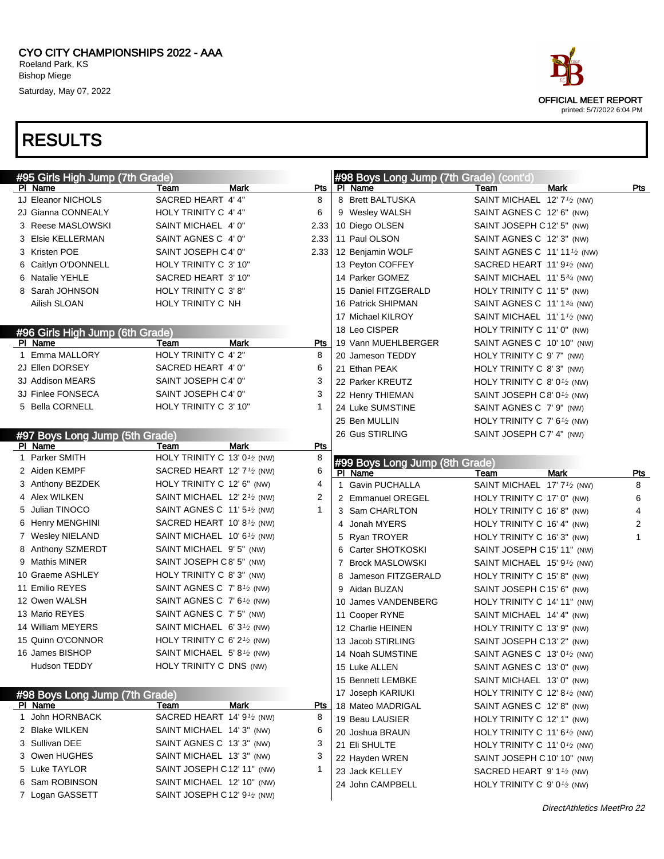

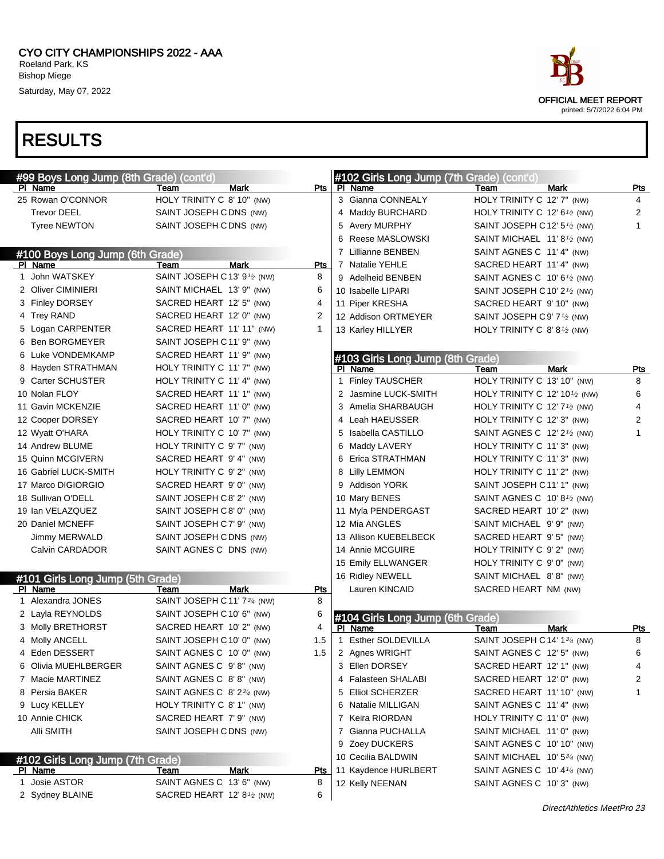

|                       |                                  | #99 Boys Long Jump (8th Grade) (cont'd)             |      |            | #102 Girls Long Jump (7th Grade) (cont'd) |                                                     |      |            |
|-----------------------|----------------------------------|-----------------------------------------------------|------|------------|-------------------------------------------|-----------------------------------------------------|------|------------|
| PI Name               |                                  | Team                                                | Mark | Pts        | PI Name                                   | Team                                                | Mark | <u>Pts</u> |
| 25 Rowan O'CONNOR     |                                  | HOLY TRINITY C 8' 10" (NW)                          |      |            | 3 Gianna CONNEALY                         | HOLY TRINITY C 12' 7" (NW)                          |      | 4          |
| <b>Trevor DEEL</b>    |                                  | SAINT JOSEPH CDNS (NW)                              |      |            | 4 Maddy BURCHARD                          | HOLY TRINITY C 12' $6\frac{1}{2}$ (NW)              |      | 2          |
| <b>Tyree NEWTON</b>   |                                  | SAINT JOSEPH CDNS (NW)                              |      |            | 5 Avery MURPHY                            | SAINT JOSEPH C 12' 5 <sup>1</sup> /2 (NW)           |      |            |
|                       |                                  |                                                     |      |            | 6 Reese MASLOWSKI                         | SAINT MICHAEL 11'8 <sup>1</sup> / <sub>2</sub> (NW) |      |            |
|                       | #100 Boys Long Jump (6th Grade)  |                                                     |      |            | 7 Lillianne BENBEN                        | SAINT AGNES C 11' 4" (NW)                           |      |            |
| PI Name               |                                  | Team                                                | Mark | Pts        | 7 Natalie YEHLE                           | SACRED HEART 11' 4" (NW)                            |      |            |
| 1 John WATSKEY        |                                  | SAINT JOSEPH C13' 91/2 (NW)                         |      | 8          | 9 Adelheid BENBEN                         | SAINT AGNES C 10' 6 <sup>1</sup> /2 (NW)            |      |            |
| 2 Oliver CIMINIERI    |                                  | SAINT MICHAEL 13' 9" (NW)                           |      | 6          | 10 Isabelle LIPARI                        | SAINT JOSEPH C 10' 2 $\frac{1}{2}$ (NW)             |      |            |
| 3 Finley DORSEY       |                                  | SACRED HEART 12' 5" (NW)                            |      | 4          | 11 Piper KRESHA                           | SACRED HEART 9' 10" (NW)                            |      |            |
| 4 Trey RAND           |                                  | SACRED HEART 12' 0" (NW)                            |      | 2          | 12 Addison ORTMEYER                       | SAINT JOSEPH C9' 7 <sup>1</sup> /2 (NW)             |      |            |
| 5 Logan CARPENTER     |                                  | SACRED HEART 11' 11" (NW)                           |      | 1          | 13 Karley HILLYER                         | HOLY TRINITY C 8' $8^{1/2}$ (NW)                    |      |            |
| 6 Ben BORGMEYER       |                                  | SAINT JOSEPH C11' 9" (NW)                           |      |            |                                           |                                                     |      |            |
| 6 Luke VONDEMKAMP     |                                  | SACRED HEART 11' 9" (NW)                            |      |            | #103 Girls Long Jump (8th Grade)          |                                                     |      |            |
| 8 Hayden STRATHMAN    |                                  | HOLY TRINITY C 11' 7" (NW)                          |      |            | PI Name                                   | Team                                                | Mark | Pts        |
| 9 Carter SCHUSTER     |                                  | HOLY TRINITY C 11' 4" (NW)                          |      |            | 1 Finley TAUSCHER                         | HOLY TRINITY C 13' 10" (NW)                         |      | 8          |
| 10 Nolan FLOY         |                                  | SACRED HEART 11' 1" (NW)                            |      |            | 2 Jasmine LUCK-SMITH                      | HOLY TRINITY C 12' 10 $1/2$ (NW)                    |      | 6          |
| 11 Gavin MCKENZIE     |                                  | SACRED HEART 11' 0" (NW)                            |      |            | 3 Amelia SHARBAUGH                        | HOLY TRINITY C 12' $7\frac{1}{2}$ (NW)              |      | 4          |
| 12 Cooper DORSEY      |                                  | SACRED HEART 10' 7" (NW)                            |      |            | 4 Leah HAEUSSER                           | HOLY TRINITY C 12' 3" (NW)                          |      | 2          |
| 12 Wyatt O'HARA       |                                  | HOLY TRINITY C 10' 7" (NW)                          |      |            | 5 Isabella CASTILLO                       | SAINT AGNES C $12'2'$ (NW)                          |      | 1          |
| 14 Andrew BLUME       |                                  | HOLY TRINITY C 9' 7" (NW)                           |      |            | 6 Maddy LAVERY                            | HOLY TRINITY C 11' 3" (NW)                          |      |            |
| 15 Quinn MCGIVERN     |                                  | SACRED HEART 9' 4" (NW)                             |      |            | 6 Erica STRATHMAN                         | HOLY TRINITY C 11' 3" (NW)                          |      |            |
| 16 Gabriel LUCK-SMITH |                                  | HOLY TRINITY C 9' 2" (NW)                           |      |            | 8 Lilly LEMMON                            | HOLY TRINITY C 11' 2" (NW)                          |      |            |
| 17 Marco DIGIORGIO    |                                  | SACRED HEART 9' 0" (NW)                             |      |            | 9 Addison YORK                            | SAINT JOSEPH C11' 1" (NW)                           |      |            |
| 18 Sullivan O'DELL    |                                  | SAINT JOSEPH C8' 2" (NW)                            |      |            | 10 Mary BENES                             | SAINT AGNES C $10' 8\frac{1}{2}$ (NW)               |      |            |
| 19 Ian VELAZQUEZ      |                                  | SAINT JOSEPH C8' 0" (NW)                            |      |            | 11 Myla PENDERGAST                        | SACRED HEART 10' 2" (NW)                            |      |            |
| 20 Daniel MCNEFF      |                                  | SAINT JOSEPH C7' 9" (NW)                            |      |            | 12 Mia ANGLES                             | SAINT MICHAEL 9'9" (NW)                             |      |            |
| Jimmy MERWALD         |                                  | SAINT JOSEPH CDNS (NW)                              |      |            | 13 Allison KUEBELBECK                     | SACRED HEART 9' 5" (NW)                             |      |            |
| Calvin CARDADOR       |                                  | SAINT AGNES C DNS (NW)                              |      |            | 14 Annie MCGUIRE                          | HOLY TRINITY C 9' 2" (NW)                           |      |            |
|                       |                                  |                                                     |      |            | 15 Emily ELLWANGER                        | HOLY TRINITY C 9' 0" (NW)                           |      |            |
|                       | #101 Girls Long Jump (5th Grade) |                                                     |      |            | 16 Ridley NEWELL                          | SAINT MICHAEL 8'8" (NW)                             |      |            |
| PI Name               |                                  | Team                                                | Mark | Pts        | Lauren KINCAID                            | SACRED HEART NM (NW)                                |      |            |
| 1 Alexandra JONES     |                                  | SAINT JOSEPH C11' 734 (NW)                          |      | 8          |                                           |                                                     |      |            |
| 2 Layla REYNOLDS      |                                  | SAINT JOSEPH C10' 6" (NW)                           |      | 6          | #104 Girls Long Jump (6th Grade)          |                                                     |      |            |
| 3 Molly BRETHORST     |                                  | SACRED HEART 10' 2" (NW)                            |      | 4          | PI Name                                   | Team                                                | Mark | Pts        |
| 4 Molly ANCELL        |                                  | SAINT JOSEPH C10' 0" (NW)                           |      | 1.5        | 1 Esther SOLDEVILLA                       | SAINT JOSEPH C 14' 134 (NW)                         |      | 8          |
| 4 Eden DESSERT        |                                  | SAINT AGNES C 10' 0" (NW)                           |      | 1.5        | 2 Agnes WRIGHT                            | SAINT AGNES C 12' 5" (NW)                           |      | 6          |
|                       | 6 Olivia MUEHLBERGER             | SAINT AGNES C 9'8" (NW)                             |      |            | 3 Ellen DORSEY                            | SACRED HEART 12' 1" (NW)                            |      | 4          |
| 7 Macie MARTINEZ      |                                  | SAINT AGNES C 8'8" (NW)                             |      |            | 4 Falasteen SHALABI                       | SACRED HEART 12' 0" (NW)                            |      | 2          |
| 8 Persia BAKER        |                                  | SAINT AGNES C 8' 2 <sup>3/4</sup> (NW)              |      |            | 5 Elliot SCHERZER                         | SACRED HEART 11' 10" (NW)                           |      |            |
| 9 Lucy KELLEY         |                                  | HOLY TRINITY C 8' 1" (NW)                           |      |            | 6 Natalie MILLIGAN                        | SAINT AGNES C 11' 4" (NW)                           |      |            |
| 10 Annie CHICK        |                                  | SACRED HEART 7' 9" (NW)                             |      |            | 7 Keira RIORDAN                           | HOLY TRINITY C 11' 0" (NW)                          |      |            |
| Alli SMITH            |                                  | SAINT JOSEPH CDNS (NW)                              |      |            | 7 Gianna PUCHALLA                         | SAINT MICHAEL 11' 0" (NW)                           |      |            |
|                       |                                  |                                                     |      |            | 9 Zoey DUCKERS                            | SAINT AGNES C 10' 10" (NW)                          |      |            |
|                       | #102 Girls Long Jump (7th Grade) |                                                     |      |            | 10 Cecilia BALDWIN                        | SAINT MICHAEL 10' 53/4 (NW)                         |      |            |
| <b>PI Name</b>        |                                  | Team                                                | Mark | <b>Pts</b> | 11 Kaydence HURLBERT                      | SAINT AGNES C $10'$ 4 $\frac{1}{4}$ (NW)            |      |            |
| 1 Josie ASTOR         |                                  | SAINT AGNES C 13' 6" (NW)                           |      | 8          | 12 Kelly NEENAN                           | SAINT AGNES C 10' 3" (NW)                           |      |            |
| 2 Sydney BLAINE       |                                  | SACRED HEART 12' 8 <sup>1</sup> / <sub>2</sub> (NW) |      | 6          |                                           |                                                     |      |            |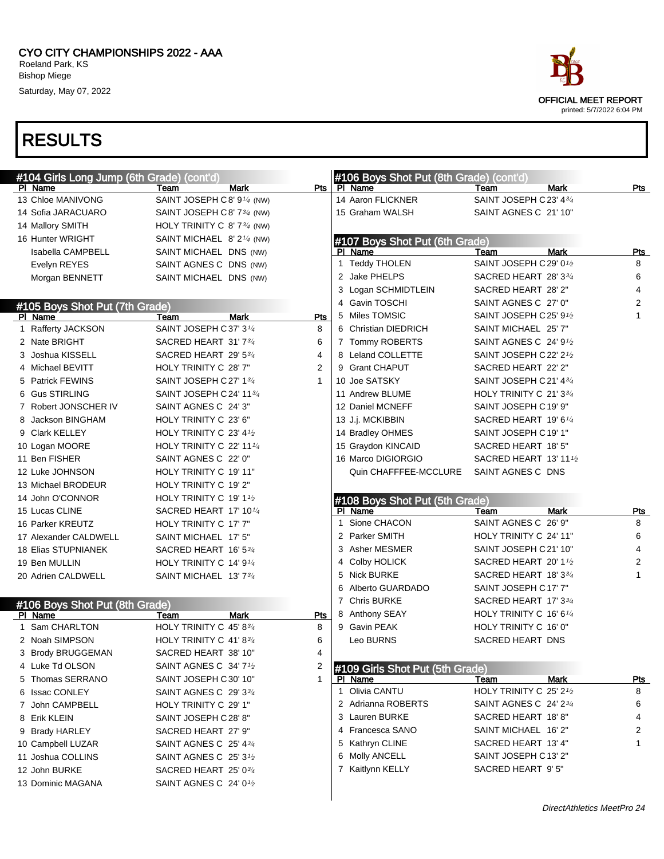CYO CITY CHAMPIONSHIPS 2022 - AAA Roeland Park, KS Bishop Miege

Saturday, May 07, 2022



| #104 Girls Long Jump (6th Grade) (cont'd) |                                         |                | #106 Boys Shot Put (8th Grade) (cont'd)    |                                      |            |
|-------------------------------------------|-----------------------------------------|----------------|--------------------------------------------|--------------------------------------|------------|
| PI Name                                   | Mark<br>Team                            | Pts            | PI Name                                    | <b>Mark</b><br>Team                  | Pts        |
| 13 Chloe MANIVONG                         | SAINT JOSEPH C8' 9 <sup>1/4</sup> (NW)  |                | 14 Aaron FLICKNER                          | SAINT JOSEPH C 23' 434               |            |
| 14 Sofia JARACUARO                        | SAINT JOSEPH C8' 73/4 (NW)              |                | 15 Graham WALSH                            | SAINT AGNES C 21' 10"                |            |
| 14 Mallory SMITH                          | HOLY TRINITY C 8' 7 <sup>3/4</sup> (NW) |                |                                            |                                      |            |
| 16 Hunter WRIGHT                          | SAINT MICHAEL 8' $2^{1/4}$ (NW)         |                | #107 Boys Shot Put (6th Grade)             |                                      |            |
| <b>Isabella CAMPBELL</b>                  | SAINT MICHAEL DNS (NW)                  |                | PI Name                                    | <b>Mark</b><br><b>Team</b>           | <b>Pts</b> |
| Evelyn REYES                              | SAINT AGNES C DNS (NW)                  |                | 1 Teddy THOLEN                             | SAINT JOSEPH C 29' 01/2              | 8          |
| Morgan BENNETT                            | SAINT MICHAEL DNS (NW)                  |                | 2 Jake PHELPS                              | SACRED HEART 28' 33/4                | 6          |
|                                           |                                         |                | 3 Logan SCHMIDTLEIN                        | SACRED HEART 28' 2"                  | 4          |
| #105 Boys Shot Put (7th Grade)            |                                         |                | 4 Gavin TOSCHI                             | SAINT AGNES C 27' 0"                 | 2          |
| PI Name                                   | <b>Mark</b><br>Team                     | Pts            | 5 Miles TOMSIC                             | SAINT JOSEPH C 25' 91/2              | 1          |
| 1 Rafferty JACKSON                        | SAINT JOSEPH C37' 31/4                  | 8              | 6 Christian DIEDRICH                       | SAINT MICHAEL 25' 7"                 |            |
| 2 Nate BRIGHT                             | SACRED HEART 31'734                     | 6              | 7 Tommy ROBERTS                            | SAINT AGNES C 24' 9 <sup>1</sup> /2  |            |
| 3 Joshua KISSELL                          | SACRED HEART 29' 53/4                   | 4              | 8 Leland COLLETTE                          | SAINT JOSEPH C 22' 21/2              |            |
| 4 Michael BEVITT                          | HOLY TRINITY C 28' 7"                   | $\overline{2}$ | 9 Grant CHAPUT                             | SACRED HEART 22' 2"                  |            |
| 5 Patrick FEWINS                          | SAINT JOSEPH C 27' 134                  | $\mathbf 1$    | 10 Joe SATSKY                              | SAINT JOSEPH C 21' 43/4              |            |
| 6 Gus STIRLING                            | SAINT JOSEPH C 24' 1134                 |                | 11 Andrew BLUME                            | HOLY TRINITY C 21' 33/4              |            |
| 7 Robert JONSCHER IV                      | SAINT AGNES C 24' 3"                    |                | 12 Daniel MCNEFF                           | SAINT JOSEPH C 19' 9"                |            |
| 8 Jackson BINGHAM                         | HOLY TRINITY C 23' 6"                   |                | 13 J.j. MCKIBBIN                           | SACRED HEART 19' 61/4                |            |
| 9 Clark KELLEY                            | HOLY TRINITY C 23' $4\frac{1}{2}$       |                | 14 Bradley OHMES                           | SAINT JOSEPH C 19' 1"                |            |
| 10 Logan MOORE                            | HOLY TRINITY C 22' 11 $\frac{1}{4}$     |                | 15 Graydon KINCAID                         | SACRED HEART 18' 5"                  |            |
| 11 Ben FISHER                             | SAINT AGNES C 22' 0"                    |                | 16 Marco DIGIORGIO                         | SACRED HEART 13' 111/2               |            |
| 12 Luke JOHNSON                           | HOLY TRINITY C 19' 11"                  |                | Quin CHAFFFEE-MCCLURE                      | SAINT AGNES C DNS                    |            |
| 13 Michael BRODEUR                        | HOLY TRINITY C 19' 2"                   |                |                                            |                                      |            |
|                                           |                                         |                |                                            |                                      |            |
| 14 John O'CONNOR                          | HOLY TRINITY C 19' 11/2                 |                |                                            |                                      |            |
| 15 Lucas CLINE                            | SACRED HEART 17' 101/4                  |                | #108 Boys Shot Put (5th Grade)<br>PI Name  | Team<br>Mark                         | Pts        |
| 16 Parker KREUTZ                          | HOLY TRINITY C 17' 7"                   |                | Sione CHACON<br>1                          | SAINT AGNES C 26' 9"                 | 8          |
| 17 Alexander CALDWELL                     | SAINT MICHAEL 17' 5"                    |                | 2 Parker SMITH                             | HOLY TRINITY C 24' 11"               | 6          |
| <b>18 Elias STUPNIANEK</b>                | SACRED HEART 16' 534                    |                | 3 Asher MESMER                             | SAINT JOSEPH C 21' 10"               | 4          |
| 19 Ben MULLIN                             | HOLY TRINITY C 14' 9 <sup>1/4</sup>     |                | Colby HOLICK<br>4                          | SACRED HEART 20'11/2                 | 2          |
| 20 Adrien CALDWELL                        | SAINT MICHAEL 13' 73/4                  |                | Nick BURKE<br>5                            | SACRED HEART 18' 33/4                | 1          |
|                                           |                                         |                | 6 Alberto GUARDADO                         | SAINT JOSEPH C17' 7"                 |            |
|                                           |                                         |                | 7 Chris BURKE                              | SACRED HEART 17' 33/4                |            |
| #106 Boys Shot Put (8th Grade)<br>PI Name | Mark<br>Team                            | Pts            | 8 Anthony SEAY                             | HOLY TRINITY C 16' 6 <sup>1/4</sup>  |            |
| 1 Sam CHARLTON                            | HOLY TRINITY C 45' 83/4                 | 8              | 9 Gavin PEAK                               | HOLY TRINITY C 16' 0"                |            |
| 2 Noah SIMPSON                            | HOLY TRINITY C 41' 83/4                 | 6              | Leo BURNS                                  | SACRED HEART DNS                     |            |
| 3 Brody BRUGGEMAN                         | SACRED HEART 38' 10"                    | 4              |                                            |                                      |            |
| 4 Luke Td OLSON                           | SAINT AGNES C 34' 7 <sup>1</sup> /2     | 2              |                                            |                                      |            |
| 5 Thomas SERRANO                          | SAINT JOSEPH C30' 10"                   | $\mathbf{1}$   | #109 Girls Shot Put (5th Grade)<br>PI Name | <b>Mark</b><br>Team                  | <b>Pts</b> |
| 6 Issac CONLEY                            | SAINT AGNES C 29' 334                   |                | 1 Olivia CANTU                             | HOLY TRINITY C 25' 2 <sup>1</sup> /2 | 8          |
| 7 John CAMPBELL                           | HOLY TRINITY C 29' 1"                   |                | 2 Adrianna ROBERTS                         | SAINT AGNES C 24' 23/4               | 6          |
| 8 Erik KLEIN                              | SAINT JOSEPH C 28' 8"                   |                | 3 Lauren BURKE                             | SACRED HEART 18'8"                   | 4          |
| 9 Brady HARLEY                            | SACRED HEART 27' 9"                     |                | 4 Francesca SANO                           | SAINT MICHAEL 16' 2"                 | 2          |
| 10 Campbell LUZAR                         | SAINT AGNES C 25' 434                   |                | 5 Kathryn CLINE                            | SACRED HEART 13' 4"                  | 1          |
| 11 Joshua COLLINS                         | SAINT AGNES C 25' 3 <sup>1</sup> /2     |                | 6 Molly ANCELL                             | SAINT JOSEPH C 13' 2"                |            |
| 12 John BURKE                             | SACRED HEART 25' 034                    |                | 7 Kaitlynn KELLY                           | SACRED HEART 9' 5"                   |            |
| 13 Dominic MAGANA                         | SAINT AGNES C 24' 0 <sup>1</sup> /2     |                |                                            |                                      |            |